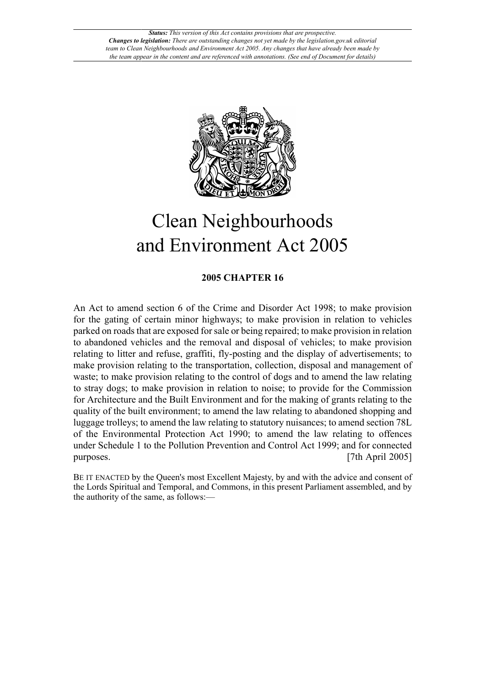

# Clean Neighbourhoods and Environment Act 2005

# **2005 CHAPTER 16**

An Act to amend section 6 of the Crime and Disorder Act 1998; to make provision for the gating of certain minor highways; to make provision in relation to vehicles parked on roads that are exposed for sale or being repaired; to make provision in relation to abandoned vehicles and the removal and disposal of vehicles; to make provision relating to litter and refuse, graffiti, fly-posting and the display of advertisements; to make provision relating to the transportation, collection, disposal and management of waste; to make provision relating to the control of dogs and to amend the law relating to stray dogs; to make provision in relation to noise; to provide for the Commission for Architecture and the Built Environment and for the making of grants relating to the quality of the built environment; to amend the law relating to abandoned shopping and luggage trolleys; to amend the law relating to statutory nuisances; to amend section 78L of the Environmental Protection Act 1990; to amend the law relating to offences under Schedule 1 to the Pollution Prevention and Control Act 1999; and for connected purposes. [7th April 2005]

BE IT ENACTED by the Queen's most Excellent Majesty, by and with the advice and consent of the Lords Spiritual and Temporal, and Commons, in this present Parliament assembled, and by the authority of the same, as follows:—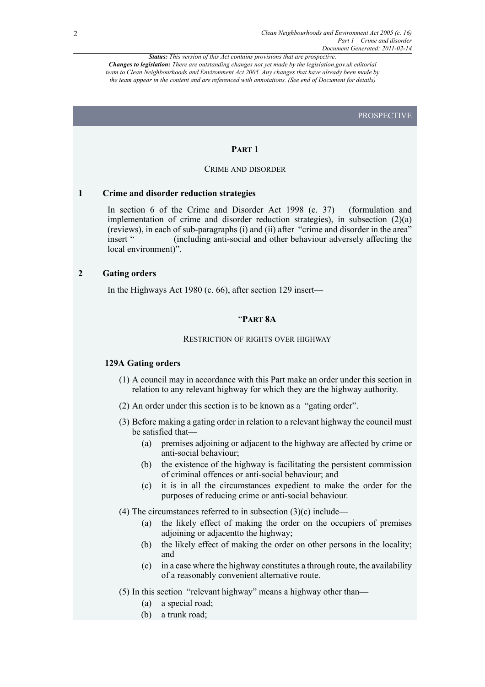PROSPECTIVE

## **PART 1**

#### CRIME AND DISORDER

# **1 Crime and disorder reduction strategies**

In section 6 of the Crime and Disorder Act 1998 (c. 37) (formulation and implementation of crime and disorder reduction strategies), in subsection (2)(a) (reviews), in each of sub-paragraphs (i) and (ii) after "crime and disorder in the area" including anti-social and other behaviour adversely affecting the local environment)".

# **2 Gating orders**

In the Highways Act 1980 (c. 66), after section 129 insert—

## "**PART 8A**

## RESTRICTION OF RIGHTS OVER HIGHWAY

## **129A Gating orders**

- (1) A council may in accordance with this Part make an order under this section in relation to any relevant highway for which they are the highway authority.
- (2) An order under this section is to be known as a "gating order".
- (3) Before making a gating order in relation to a relevant highway the council must be satisfied that—
	- (a) premises adjoining or adjacent to the highway are affected by crime or anti-social behaviour;
	- (b) the existence of the highway is facilitating the persistent commission of criminal offences or anti-social behaviour; and
	- (c) it is in all the circumstances expedient to make the order for the purposes of reducing crime or anti-social behaviour.
- (4) The circumstances referred to in subsection  $(3)(c)$  include—
	- (a) the likely effect of making the order on the occupiers of premises adjoining or adjacentto the highway;
	- (b) the likely effect of making the order on other persons in the locality; and
	- (c) in a case where the highway constitutes a through route, the availability of a reasonably convenient alternative route.
- (5) In this section "relevant highway" means a highway other than—
	- (a) a special road;
	- (b) a trunk road;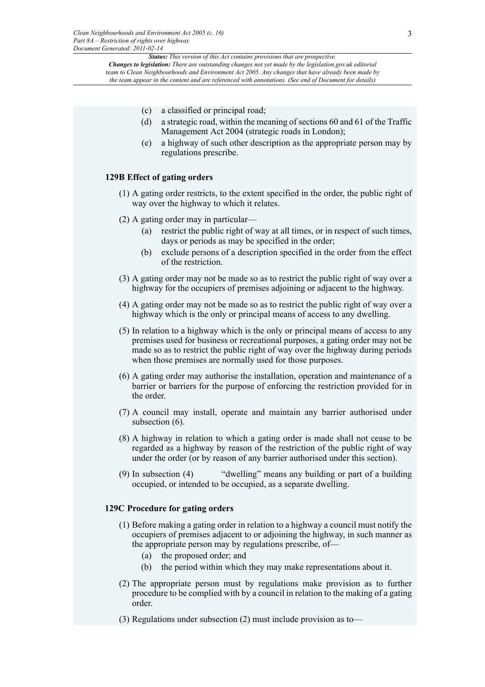*Status: This version of this Act contains provisions that are prospective.*

*Changes to legislation: There are outstanding changes not yet made by the legislation.gov.uk editorial team to Clean Neighbourhoods and Environment Act 2005. Any changes that have already been made by the team appear in the content and are referenced with annotations. (See end of Document for details)*

- (c) a classified or principal road;
- (d) a strategic road, within the meaning of sections 60 and 61 of the Traffic Management Act 2004 (strategic roads in London);
- (e) a highway of such other description as the appropriate person may by regulations prescribe.

#### **129B Effect of gating orders**

- (1) A gating order restricts, to the extent specified in the order, the public right of way over the highway to which it relates.
- (2) A gating order may in particular—
	- (a) restrict the public right of way at all times, or in respect of such times, days or periods as may be specified in the order;
	- (b) exclude persons of a description specified in the order from the effect of the restriction.
- (3) A gating order may not be made so as to restrict the public right of way over a highway for the occupiers of premises adjoining or adjacent to the highway.
- (4) A gating order may not be made so as to restrict the public right of way over a highway which is the only or principal means of access to any dwelling.
- (5) In relation to a highway which is the only or principal means of access to any premises used for business or recreational purposes, a gating order may not be made so as to restrict the public right of way over the highway during periods when those premises are normally used for those purposes.
- (6) A gating order may authorise the installation, operation and maintenance of a barrier or barriers for the purpose of enforcing the restriction provided for in the order.
- (7) A council may install, operate and maintain any barrier authorised under subsection  $(6)$ .
- (8) A highway in relation to which a gating order is made shall not cease to be regarded as a highway by reason of the restriction of the public right of way under the order (or by reason of any barrier authorised under this section).
- (9) In subsection (4) "dwelling" means any building or part of a building occupied, or intended to be occupied, as a separate dwelling.

### **129C Procedure for gating orders**

- (1) Before making a gating order in relation to a highway a council must notify the occupiers of premises adjacent to or adjoining the highway, in such manner as the appropriate person may by regulations prescribe, of—
	- (a) the proposed order; and
	- (b) the period within which they may make representations about it.
- (2) The appropriate person must by regulations make provision as to further procedure to be complied with by a council in relation to the making of a gating order.
- (3) Regulations under subsection (2) must include provision as to—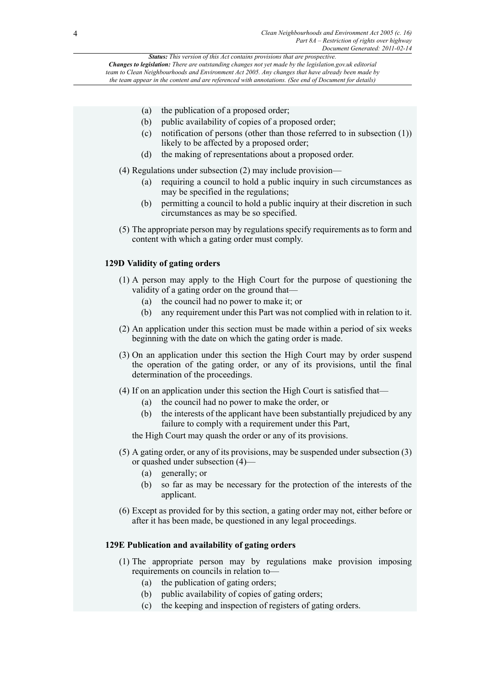| (a)        | the publication of a proposed order;                                                                                                                                                              |
|------------|---------------------------------------------------------------------------------------------------------------------------------------------------------------------------------------------------|
| (b)        | public availability of copies of a proposed order;                                                                                                                                                |
| (c)        | notification of persons (other than those referred to in subsection (1))<br>likely to be affected by a proposed order;                                                                            |
| (d)        | the making of representations about a proposed order.                                                                                                                                             |
|            | $(4)$ Regulations under subsection $(2)$ may include provision—                                                                                                                                   |
| (a)        | requiring a council to hold a public inquiry in such circumstances as<br>may be specified in the regulations;                                                                                     |
| (b)        | permitting a council to hold a public inquiry at their discretion in such<br>circumstances as may be so specified.                                                                                |
|            | (5) The appropriate person may by regulations specify requirements as to form and<br>content with which a gating order must comply.                                                               |
|            | 129D Validity of gating orders                                                                                                                                                                    |
|            | (1) A person may apply to the High Court for the purpose of questioning the<br>validity of a gating order on the ground that—                                                                     |
| (a)<br>(b) | the council had no power to make it; or<br>any requirement under this Part was not complied with in relation to it.                                                                               |
|            | (2) An application under this section must be made within a period of six weeks<br>beginning with the date on which the gating order is made.                                                     |
|            | (3) On an application under this section the High Court may by order suspend<br>the operation of the gating order, or any of its provisions, until the final<br>determination of the proceedings. |
| (a)        | (4) If on an application under this section the High Court is satisfied that-<br>the council had no power to make the order, or                                                                   |
| (b)        | the interests of the applicant have been substantially prejudiced by any<br>failure to comply with a requirement under this Part,                                                                 |
|            | the High Court may quash the order or any of its provisions.                                                                                                                                      |
| (a)        | (5) A gating order, or any of its provisions, may be suspended under subsection (3)<br>or quashed under subsection $(4)$ —<br>generally; or                                                       |
| (b)        | so far as may be necessary for the protection of the interests of the<br>applicant.                                                                                                               |
|            | (6) Except as provided for by this section, a gating order may not, either before or<br>after it has been made, be questioned in any legal proceedings.                                           |
|            | 129E Publication and availability of gating orders                                                                                                                                                |
|            | (1) The appropriate person may by regulations make provision imposing<br>requirements on councils in relation to-                                                                                 |

- (a) the publication of gating orders;
- (b) public availability of copies of gating orders;
- (c) the keeping and inspection of registers of gating orders.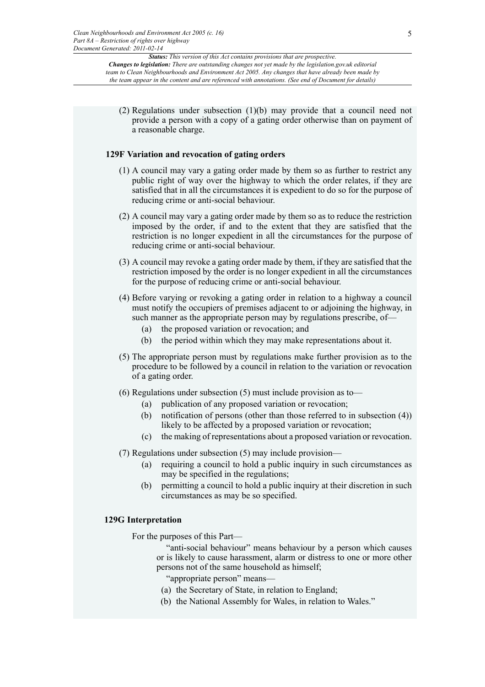(2) Regulations under subsection (1)(b) may provide that a council need not provide a person with a copy of a gating order otherwise than on payment of a reasonable charge.

## **129F Variation and revocation of gating orders**

- (1) A council may vary a gating order made by them so as further to restrict any public right of way over the highway to which the order relates, if they are satisfied that in all the circumstances it is expedient to do so for the purpose of reducing crime or anti-social behaviour.
- (2) A council may vary a gating order made by them so as to reduce the restriction imposed by the order, if and to the extent that they are satisfied that the restriction is no longer expedient in all the circumstances for the purpose of reducing crime or anti-social behaviour.
- (3) A council may revoke a gating order made by them, if they are satisfied that the restriction imposed by the order is no longer expedient in all the circumstances for the purpose of reducing crime or anti-social behaviour.
- (4) Before varying or revoking a gating order in relation to a highway a council must notify the occupiers of premises adjacent to or adjoining the highway, in such manner as the appropriate person may by regulations prescribe, of—
	- (a) the proposed variation or revocation; and
	- (b) the period within which they may make representations about it.
- (5) The appropriate person must by regulations make further provision as to the procedure to be followed by a council in relation to the variation or revocation of a gating order.
- (6) Regulations under subsection (5) must include provision as to—
	- (a) publication of any proposed variation or revocation;
	- (b) notification of persons (other than those referred to in subsection (4)) likely to be affected by a proposed variation or revocation;
	- (c) the making of representations about a proposed variation or revocation.
- (7) Regulations under subsection (5) may include provision—
	- (a) requiring a council to hold a public inquiry in such circumstances as may be specified in the regulations;
	- (b) permitting a council to hold a public inquiry at their discretion in such circumstances as may be so specified.

#### **129G Interpretation**

For the purposes of this Part—

"anti-social behaviour" means behaviour by a person which causes or is likely to cause harassment, alarm or distress to one or more other persons not of the same household as himself;

"appropriate person" means—

- (a) the Secretary of State, in relation to England;
- (b) the National Assembly for Wales, in relation to Wales."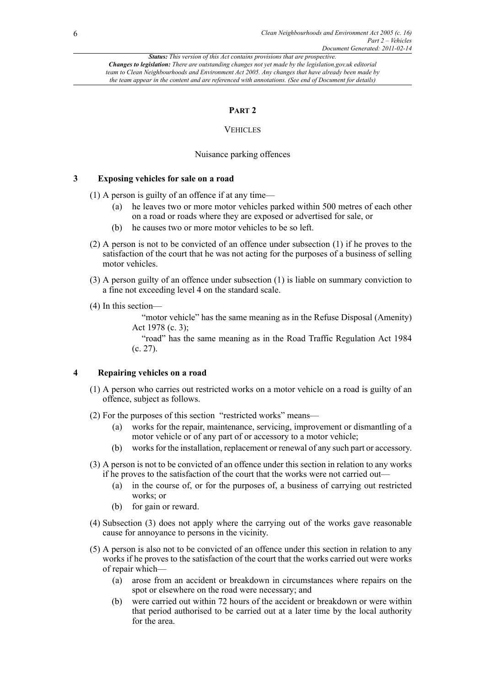# **PART 2**

# **VEHICLES**

## Nuisance parking offences

# **3 Exposing vehicles for sale on a road**

- (1) A person is guilty of an offence if at any time—
	- (a) he leaves two or more motor vehicles parked within 500 metres of each other on a road or roads where they are exposed or advertised for sale, or
	- (b) he causes two or more motor vehicles to be so left.
- (2) A person is not to be convicted of an offence under subsection (1) if he proves to the satisfaction of the court that he was not acting for the purposes of a business of selling motor vehicles.
- (3) A person guilty of an offence under subsection (1) is liable on summary conviction to a fine not exceeding level 4 on the standard scale.
- (4) In this section—

"motor vehicle" has the same meaning as in the Refuse Disposal (Amenity) Act 1978 (c. 3);

"road" has the same meaning as in the Road Traffic Regulation Act 1984 (c. 27).

# **4 Repairing vehicles on a road**

- (1) A person who carries out restricted works on a motor vehicle on a road is guilty of an offence, subject as follows.
- (2) For the purposes of this section "restricted works" means—
	- (a) works for the repair, maintenance, servicing, improvement or dismantling of a motor vehicle or of any part of or accessory to a motor vehicle;
	- (b) works for the installation, replacement or renewal of any such part or accessory.
- (3) A person is not to be convicted of an offence under this section in relation to any works if he proves to the satisfaction of the court that the works were not carried out—
	- (a) in the course of, or for the purposes of, a business of carrying out restricted works; or
	- (b) for gain or reward.
- (4) Subsection (3) does not apply where the carrying out of the works gave reasonable cause for annoyance to persons in the vicinity.
- (5) A person is also not to be convicted of an offence under this section in relation to any works if he proves to the satisfaction of the court that the works carried out were works of repair which—
	- (a) arose from an accident or breakdown in circumstances where repairs on the spot or elsewhere on the road were necessary; and
	- (b) were carried out within 72 hours of the accident or breakdown or were within that period authorised to be carried out at a later time by the local authority for the area.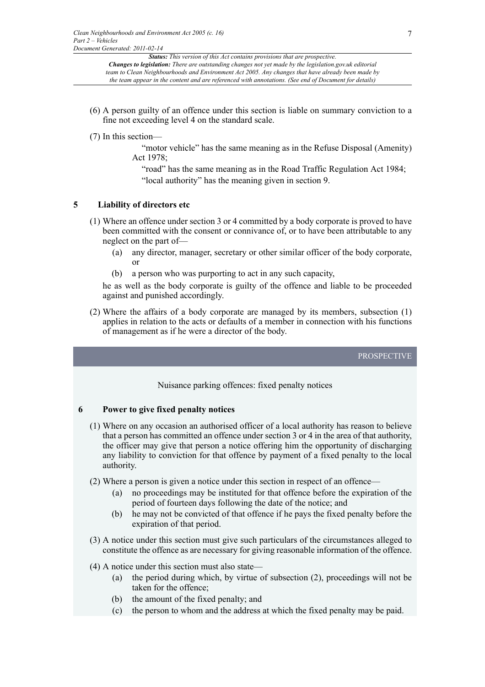- (6) A person guilty of an offence under this section is liable on summary conviction to a fine not exceeding level 4 on the standard scale.
- (7) In this section—

"motor vehicle" has the same meaning as in the Refuse Disposal (Amenity) Act 1978;

"road" has the same meaning as in the Road Traffic Regulation Act 1984; "local authority" has the meaning given in section 9.

# **5 Liability of directors etc**

- (1) Where an offence under section 3 or 4 committed by a body corporate is proved to have been committed with the consent or connivance of, or to have been attributable to any neglect on the part of—
	- (a) any director, manager, secretary or other similar officer of the body corporate, or
	- (b) a person who was purporting to act in any such capacity,

he as well as the body corporate is guilty of the offence and liable to be proceeded against and punished accordingly.

(2) Where the affairs of a body corporate are managed by its members, subsection (1) applies in relation to the acts or defaults of a member in connection with his functions of management as if he were a director of the body.

PROSPECTIVE

Nuisance parking offences: fixed penalty notices

## **6 Power to give fixed penalty notices**

- (1) Where on any occasion an authorised officer of a local authority has reason to believe that a person has committed an offence under section 3 or 4 in the area of that authority, the officer may give that person a notice offering him the opportunity of discharging any liability to conviction for that offence by payment of a fixed penalty to the local authority.
- (2) Where a person is given a notice under this section in respect of an offence—
	- (a) no proceedings may be instituted for that offence before the expiration of the period of fourteen days following the date of the notice; and
	- (b) he may not be convicted of that offence if he pays the fixed penalty before the expiration of that period.
- (3) A notice under this section must give such particulars of the circumstances alleged to constitute the offence as are necessary for giving reasonable information of the offence.
- (4) A notice under this section must also state—
	- (a) the period during which, by virtue of subsection (2), proceedings will not be taken for the offence;
	- (b) the amount of the fixed penalty; and
	- (c) the person to whom and the address at which the fixed penalty may be paid.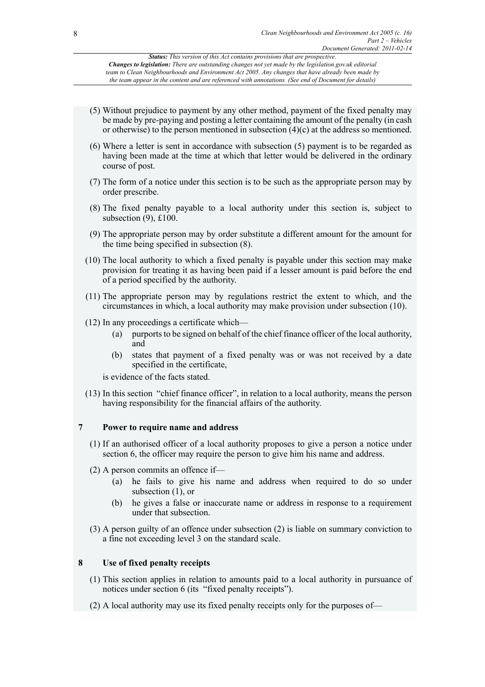- (5) Without prejudice to payment by any other method, payment of the fixed penalty may be made by pre-paying and posting a letter containing the amount of the penalty (in cash or otherwise) to the person mentioned in subsection  $(4)(c)$  at the address so mentioned.
- (6) Where a letter is sent in accordance with subsection (5) payment is to be regarded as having been made at the time at which that letter would be delivered in the ordinary course of post.
- (7) The form of a notice under this section is to be such as the appropriate person may by order prescribe.
- (8) The fixed penalty payable to a local authority under this section is, subject to subsection (9), £100.
- (9) The appropriate person may by order substitute a different amount for the amount for the time being specified in subsection (8).
- (10) The local authority to which a fixed penalty is payable under this section may make provision for treating it as having been paid if a lesser amount is paid before the end of a period specified by the authority.
- (11) The appropriate person may by regulations restrict the extent to which, and the circumstances in which, a local authority may make provision under subsection (10).
- (12) In any proceedings a certificate which—
	- (a) purports to be signed on behalf of the chief finance officer of the local authority, and
	- (b) states that payment of a fixed penalty was or was not received by a date specified in the certificate,

is evidence of the facts stated.

(13) In this section "chief finance officer", in relation to a local authority, means the person having responsibility for the financial affairs of the authority.

# **7 Power to require name and address**

- (1) If an authorised officer of a local authority proposes to give a person a notice under section 6, the officer may require the person to give him his name and address.
- (2) A person commits an offence if—
	- (a) he fails to give his name and address when required to do so under subsection (1), or
	- (b) he gives a false or inaccurate name or address in response to a requirement under that subsection.
- (3) A person guilty of an offence under subsection (2) is liable on summary conviction to a fine not exceeding level 3 on the standard scale.

# **8 Use of fixed penalty receipts**

- (1) This section applies in relation to amounts paid to a local authority in pursuance of notices under section 6 (its "fixed penalty receipts").
- (2) A local authority may use its fixed penalty receipts only for the purposes of—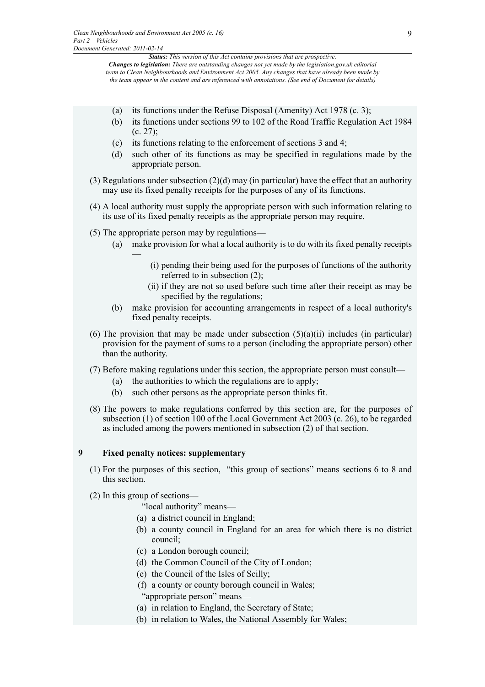*Status: This version of this Act contains provisions that are prospective.*

*Changes to legislation: There are outstanding changes not yet made by the legislation.gov.uk editorial team to Clean Neighbourhoods and Environment Act 2005. Any changes that have already been made by the team appear in the content and are referenced with annotations. (See end of Document for details)*

- (a) its functions under the Refuse Disposal (Amenity) Act 1978 (c. 3);
- (b) its functions under sections 99 to 102 of the Road Traffic Regulation Act 1984  $(c. 27);$
- (c) its functions relating to the enforcement of sections 3 and 4;
- (d) such other of its functions as may be specified in regulations made by the appropriate person.
- (3) Regulations under subsection  $(2)(d)$  may (in particular) have the effect that an authority may use its fixed penalty receipts for the purposes of any of its functions.
- (4) A local authority must supply the appropriate person with such information relating to its use of its fixed penalty receipts as the appropriate person may require.
- (5) The appropriate person may by regulations—

—

- (a) make provision for what a local authority is to do with its fixed penalty receipts
	- (i) pending their being used for the purposes of functions of the authority referred to in subsection (2);
	- (ii) if they are not so used before such time after their receipt as may be specified by the regulations;
- (b) make provision for accounting arrangements in respect of a local authority's fixed penalty receipts.
- (6) The provision that may be made under subsection  $(5)(a)(ii)$  includes (in particular) provision for the payment of sums to a person (including the appropriate person) other than the authority.
- (7) Before making regulations under this section, the appropriate person must consult—
	- (a) the authorities to which the regulations are to apply;
	- (b) such other persons as the appropriate person thinks fit.
- (8) The powers to make regulations conferred by this section are, for the purposes of subsection (1) of section 100 of the Local Government Act 2003 (c. 26), to be regarded as included among the powers mentioned in subsection (2) of that section.

# **9 Fixed penalty notices: supplementary**

- (1) For the purposes of this section, "this group of sections" means sections 6 to 8 and this section.
- (2) In this group of sections—

"local authority" means—

- (a) a district council in England;
- (b) a county council in England for an area for which there is no district council;
- (c) a London borough council;
- (d) the Common Council of the City of London;
- (e) the Council of the Isles of Scilly;
- (f) a county or county borough council in Wales; "appropriate person" means—
- (a) in relation to England, the Secretary of State;
- (b) in relation to Wales, the National Assembly for Wales;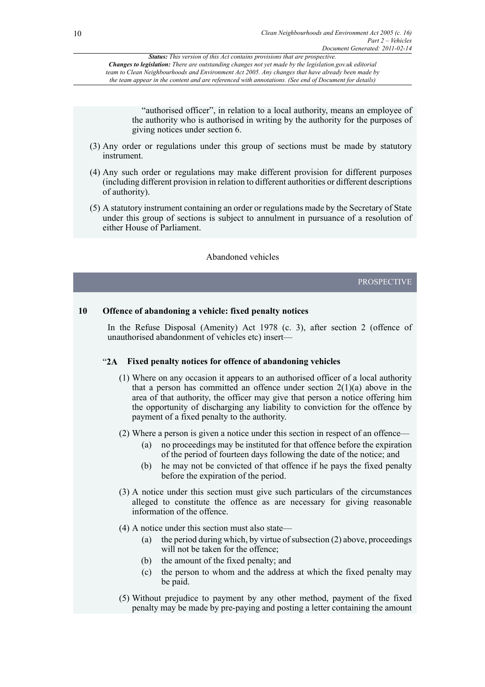"authorised officer", in relation to a local authority, means an employee of the authority who is authorised in writing by the authority for the purposes of giving notices under section 6.

- (3) Any order or regulations under this group of sections must be made by statutory instrument.
- (4) Any such order or regulations may make different provision for different purposes (including different provision in relation to different authorities or different descriptions of authority).
- (5) A statutory instrument containing an order or regulations made by the Secretary of State under this group of sections is subject to annulment in pursuance of a resolution of either House of Parliament.

Abandoned vehicles

PROSPECTIVE

# **10 Offence of abandoning a vehicle: fixed penalty notices**

In the Refuse Disposal (Amenity) Act 1978 (c. 3), after section 2 (offence of unauthorised abandonment of vehicles etc) insert—

#### "**2A Fixed penalty notices for offence of abandoning vehicles**

- (1) Where on any occasion it appears to an authorised officer of a local authority that a person has committed an offence under section  $2(1)(a)$  above in the area of that authority, the officer may give that person a notice offering him the opportunity of discharging any liability to conviction for the offence by payment of a fixed penalty to the authority.
- (2) Where a person is given a notice under this section in respect of an offence—
	- (a) no proceedings may be instituted for that offence before the expiration of the period of fourteen days following the date of the notice; and
	- (b) he may not be convicted of that offence if he pays the fixed penalty before the expiration of the period.
- (3) A notice under this section must give such particulars of the circumstances alleged to constitute the offence as are necessary for giving reasonable information of the offence.
- (4) A notice under this section must also state—
	- (a) the period during which, by virtue of subsection (2) above, proceedings will not be taken for the offence;
	- (b) the amount of the fixed penalty; and
	- (c) the person to whom and the address at which the fixed penalty may be paid.
- (5) Without prejudice to payment by any other method, payment of the fixed penalty may be made by pre-paying and posting a letter containing the amount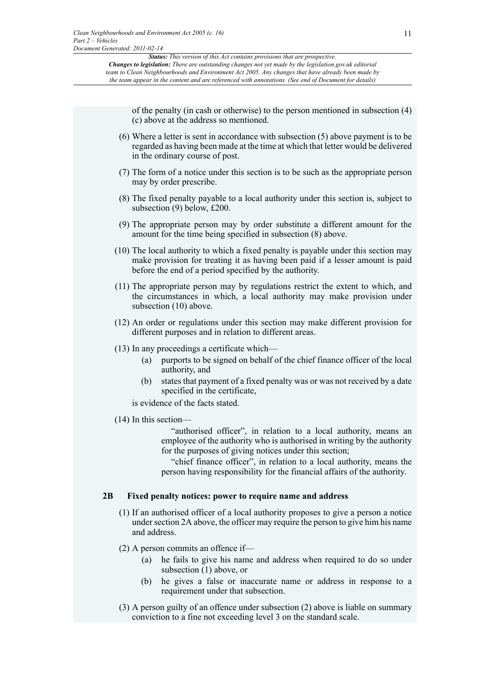*Status: This version of this Act contains provisions that are prospective.*

*Changes to legislation: There are outstanding changes not yet made by the legislation.gov.uk editorial team to Clean Neighbourhoods and Environment Act 2005. Any changes that have already been made by the team appear in the content and are referenced with annotations. (See end of Document for details)*

|    | of the penalty (in cash or otherwise) to the person mentioned in subsection (4)<br>(c) above at the address so mentioned.                                                                                                      |  |
|----|--------------------------------------------------------------------------------------------------------------------------------------------------------------------------------------------------------------------------------|--|
|    | $(6)$ Where a letter is sent in accordance with subsection $(5)$ above payment is to be<br>regarded as having been made at the time at which that letter would be delivered<br>in the ordinary course of post.                 |  |
|    | (7) The form of a notice under this section is to be such as the appropriate person<br>may by order prescribe.                                                                                                                 |  |
|    | (8) The fixed penalty payable to a local authority under this section is, subject to<br>subsection $(9)$ below, £200.                                                                                                          |  |
|    | (9) The appropriate person may by order substitute a different amount for the<br>amount for the time being specified in subsection (8) above.                                                                                  |  |
|    | (10) The local authority to which a fixed penalty is payable under this section may<br>make provision for treating it as having been paid if a lesser amount is paid<br>before the end of a period specified by the authority. |  |
|    | (11) The appropriate person may by regulations restrict the extent to which, and<br>the circumstances in which, a local authority may make provision under<br>subsection (10) above.                                           |  |
|    | (12) An order or regulations under this section may make different provision for<br>different purposes and in relation to different areas.                                                                                     |  |
|    | $(13)$ In any proceedings a certificate which—<br>purports to be signed on behalf of the chief finance officer of the local<br>(a)<br>authority, and                                                                           |  |
|    | states that payment of a fixed penalty was or was not received by a date<br>(b)<br>specified in the certificate,                                                                                                               |  |
|    | is evidence of the facts stated.                                                                                                                                                                                               |  |
|    | $(14)$ In this section—                                                                                                                                                                                                        |  |
|    | "authorised officer", in relation to a local authority, means an<br>employee of the authority who is authorised in writing by the authority<br>for the purposes of giving notices under this section;                          |  |
|    | "chief finance officer", in relation to a local authority, means the<br>person having responsibility for the financial affairs of the authority.                                                                               |  |
| 2B | Fixed penalty notices: power to require name and address                                                                                                                                                                       |  |
|    | (1) If an authorised officer of a local authority proposes to give a person a notice<br>under section 2A above, the officer may require the person to give him his name<br>and address.                                        |  |
|    | $(2)$ A person commits an offence if-                                                                                                                                                                                          |  |
|    | he fails to give his name and address when required to do so under<br>(a)<br>subsection (1) above, or                                                                                                                          |  |
|    | he gives a false or inaccurate name or address in response to a<br>(b)<br>requirement under that subsection.                                                                                                                   |  |

(3) A person guilty of an offence under subsection (2) above is liable on summary conviction to a fine not exceeding level 3 on the standard scale.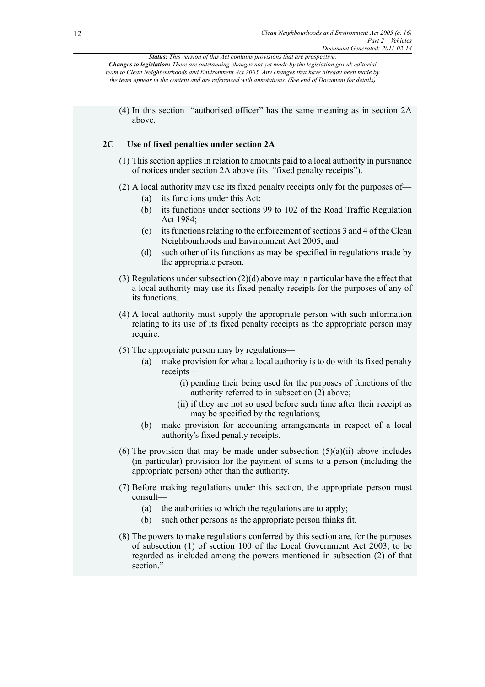(4) In this section "authorised officer" has the same meaning as in section 2A above.

# **2C Use of fixed penalties under section 2A**

- (1) This section applies in relation to amounts paid to a local authority in pursuance of notices under section 2A above (its "fixed penalty receipts").
- (2) A local authority may use its fixed penalty receipts only for the purposes of—
	- (a) its functions under this Act;
	- (b) its functions under sections 99 to 102 of the Road Traffic Regulation Act 1984;
	- (c) its functions relating to the enforcement of sections 3 and 4 of the Clean Neighbourhoods and Environment Act 2005; and
	- (d) such other of its functions as may be specified in regulations made by the appropriate person.
- (3) Regulations under subsection (2)(d) above may in particular have the effect that a local authority may use its fixed penalty receipts for the purposes of any of its functions.
- (4) A local authority must supply the appropriate person with such information relating to its use of its fixed penalty receipts as the appropriate person may require.
- (5) The appropriate person may by regulations—
	- (a) make provision for what a local authority is to do with its fixed penalty receipts—
		- (i) pending their being used for the purposes of functions of the authority referred to in subsection (2) above;
		- (ii) if they are not so used before such time after their receipt as may be specified by the regulations;
	- (b) make provision for accounting arrangements in respect of a local authority's fixed penalty receipts.
- (6) The provision that may be made under subsection  $(5)(a)(ii)$  above includes (in particular) provision for the payment of sums to a person (including the appropriate person) other than the authority.
- (7) Before making regulations under this section, the appropriate person must consult—
	- (a) the authorities to which the regulations are to apply;
	- (b) such other persons as the appropriate person thinks fit.
- (8) The powers to make regulations conferred by this section are, for the purposes of subsection (1) of section 100 of the Local Government Act 2003, to be regarded as included among the powers mentioned in subsection (2) of that section."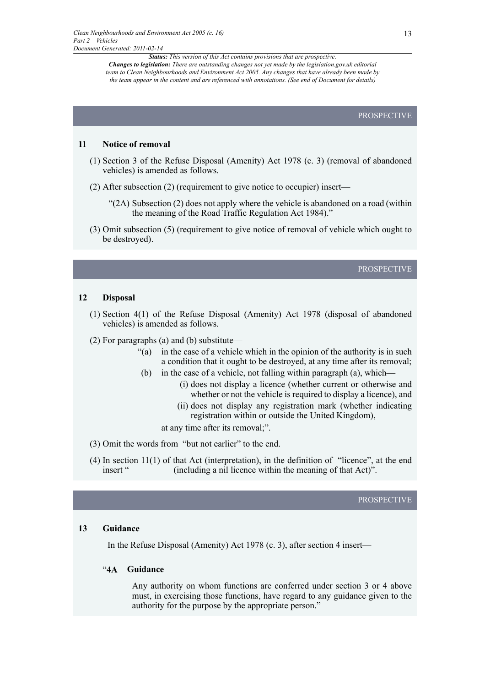#### **11 Notice of removal**

- (1) Section 3 of the Refuse Disposal (Amenity) Act 1978 (c. 3) (removal of abandoned vehicles) is amended as follows.
- (2) After subsection (2) (requirement to give notice to occupier) insert—
	- $(2)$  Subsection (2) does not apply where the vehicle is abandoned on a road (within the meaning of the Road Traffic Regulation Act 1984)."
- (3) Omit subsection (5) (requirement to give notice of removal of vehicle which ought to be destroyed).

# PROSPECTIVE

## **12 Disposal**

- (1) Section 4(1) of the Refuse Disposal (Amenity) Act 1978 (disposal of abandoned vehicles) is amended as follows.
- (2) For paragraphs (a) and (b) substitute—
	- "(a) in the case of a vehicle which in the opinion of the authority is in such a condition that it ought to be destroyed, at any time after its removal;
	- (b) in the case of a vehicle, not falling within paragraph (a), which—
		- (i) does not display a licence (whether current or otherwise and whether or not the vehicle is required to display a licence), and
		- (ii) does not display any registration mark (whether indicating registration within or outside the United Kingdom),
		- at any time after its removal;".
- (3) Omit the words from "but not earlier" to the end.
- $(4)$  In section 11(1) of that Act (interpretation), in the definition of "licence", at the end insert " (including a nil licence within the meaning of that Act)".

PROSPECTIVE

#### **13 Guidance**

In the Refuse Disposal (Amenity) Act 1978 (c. 3), after section 4 insert—

## "**4A Guidance**

Any authority on whom functions are conferred under section 3 or 4 above must, in exercising those functions, have regard to any guidance given to the authority for the purpose by the appropriate person."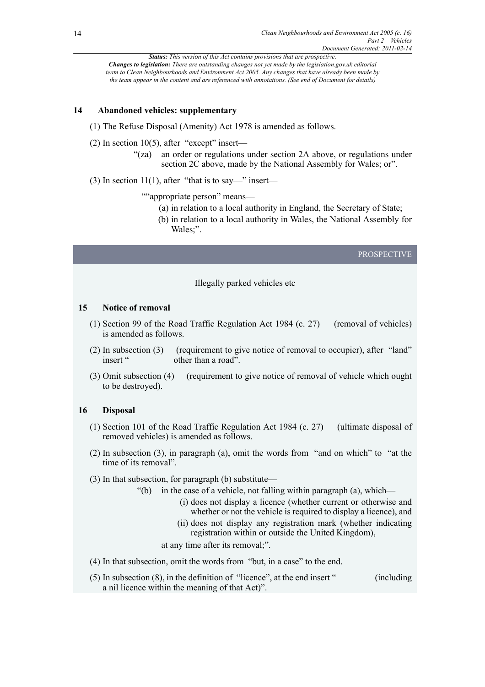# **14 Abandoned vehicles: supplementary**

- (1) The Refuse Disposal (Amenity) Act 1978 is amended as follows.
- (2) In section 10(5), after "except" insert—
	- "(za) an order or regulations under section 2A above, or regulations under section 2C above, made by the National Assembly for Wales; or".
- (3) In section 11(1), after "that is to say—" insert—
	- ""appropriate person" means—
		- (a) in relation to a local authority in England, the Secretary of State;
		- (b) in relation to a local authority in Wales, the National Assembly for Wales;".

PROSPECTIVE

Illegally parked vehicles etc

# **15 Notice of removal**

- (1) Section 99 of the Road Traffic Regulation Act 1984 (c. 27) (removal of vehicles) is amended as follows.
- (2) In subsection (3) (requirement to give notice of removal to occupier), after "land" insert " other than a road".
- (3) Omit subsection (4) (requirement to give notice of removal of vehicle which ought to be destroyed).

# **16 Disposal**

- (1) Section 101 of the Road Traffic Regulation Act 1984 (c. 27) (ultimate disposal of removed vehicles) is amended as follows.
- (2) In subsection (3), in paragraph (a), omit the words from "and on which" to "at the time of its removal".
- (3) In that subsection, for paragraph (b) substitute—
	- "(b) in the case of a vehicle, not falling within paragraph (a), which—
		- (i) does not display a licence (whether current or otherwise and whether or not the vehicle is required to display a licence), and
		- (ii) does not display any registration mark (whether indicating registration within or outside the United Kingdom),

at any time after its removal;".

- (4) In that subsection, omit the words from "but, in a case" to the end.
- (5) In subsection (8), in the definition of "licence", at the end insert " (including a nil licence within the meaning of that Act)".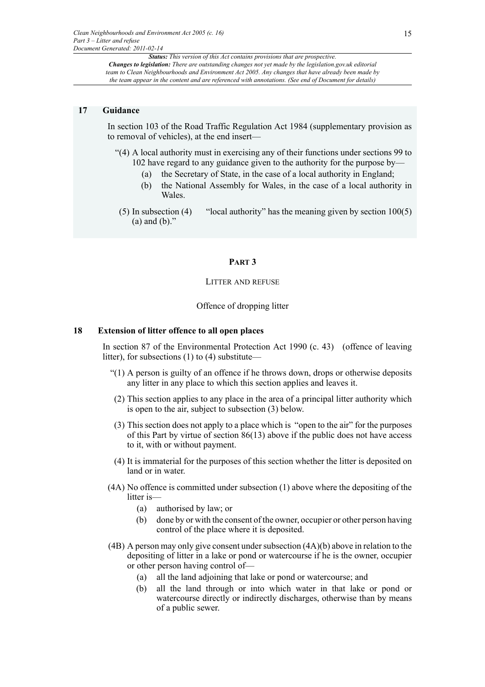#### **17 Guidance**

In section 103 of the Road Traffic Regulation Act 1984 (supplementary provision as to removal of vehicles), at the end insert—

- "(4) A local authority must in exercising any of their functions under sections 99 to 102 have regard to any guidance given to the authority for the purpose by—
	- (a) the Secretary of State, in the case of a local authority in England;
	- (b) the National Assembly for Wales, in the case of a local authority in Wales.
- (5) In subsection (4) "local authority" has the meaning given by section  $100(5)$ (a) and (b)."

#### **PART 3**

## LITTER AND REFUSE

#### Offence of dropping litter

#### **18 Extension of litter offence to all open places**

In section 87 of the Environmental Protection Act 1990 (c. 43) (offence of leaving litter), for subsections (1) to (4) substitute—

- "(1) A person is guilty of an offence if he throws down, drops or otherwise deposits any litter in any place to which this section applies and leaves it.
- (2) This section applies to any place in the area of a principal litter authority which is open to the air, subject to subsection (3) below.
- (3) This section does not apply to a place which is "open to the air" for the purposes of this Part by virtue of section 86(13) above if the public does not have access to it, with or without payment.
- (4) It is immaterial for the purposes of this section whether the litter is deposited on land or in water.
- (4A) No offence is committed under subsection (1) above where the depositing of the litter is—
	- (a) authorised by law; or
	- (b) done by or with the consent of the owner, occupier or other person having control of the place where it is deposited.
- (4B) A person may only give consent under subsection (4A)(b) above in relation to the depositing of litter in a lake or pond or watercourse if he is the owner, occupier or other person having control of—
	- (a) all the land adjoining that lake or pond or watercourse; and
	- (b) all the land through or into which water in that lake or pond or watercourse directly or indirectly discharges, otherwise than by means of a public sewer.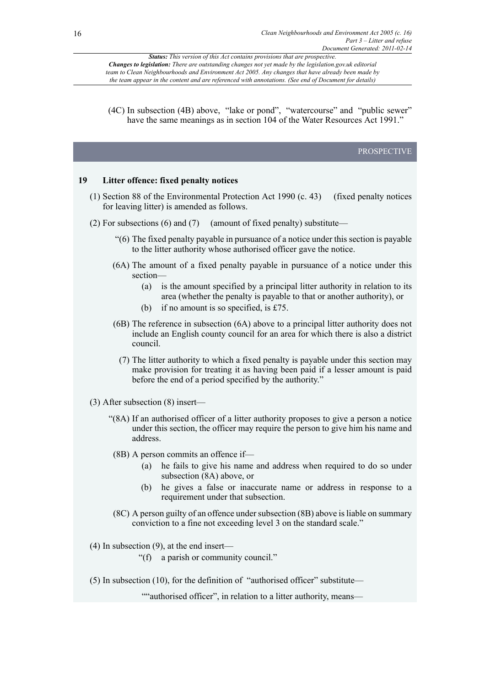(4C) In subsection (4B) above, "lake or pond", "watercourse" and "public sewer" have the same meanings as in section 104 of the Water Resources Act 1991."

#### **PROSPECTIVE**

#### **19 Litter offence: fixed penalty notices**

- (1) Section 88 of the Environmental Protection Act 1990 (c. 43) (fixed penalty notices for leaving litter) is amended as follows.
- (2) For subsections (6) and (7) (amount of fixed penalty) substitute—
	- "(6) The fixed penalty payable in pursuance of a notice under this section is payable to the litter authority whose authorised officer gave the notice.
	- (6A) The amount of a fixed penalty payable in pursuance of a notice under this section—
		- (a) is the amount specified by a principal litter authority in relation to its area (whether the penalty is payable to that or another authority), or
		- (b) if no amount is so specified, is £75.
	- (6B) The reference in subsection (6A) above to a principal litter authority does not include an English county council for an area for which there is also a district council.
		- (7) The litter authority to which a fixed penalty is payable under this section may make provision for treating it as having been paid if a lesser amount is paid before the end of a period specified by the authority."
- (3) After subsection (8) insert—
	- "(8A) If an authorised officer of a litter authority proposes to give a person a notice under this section, the officer may require the person to give him his name and address.
	- (8B) A person commits an offence if—
		- (a) he fails to give his name and address when required to do so under subsection (8A) above, or
		- (b) he gives a false or inaccurate name or address in response to a requirement under that subsection.
	- (8C) A person guilty of an offence under subsection (8B) above is liable on summary conviction to a fine not exceeding level 3 on the standard scale."
- (4) In subsection (9), at the end insert—
	- "(f) a parish or community council."
- (5) In subsection (10), for the definition of "authorised officer" substitute—

""authorised officer", in relation to a litter authority, means—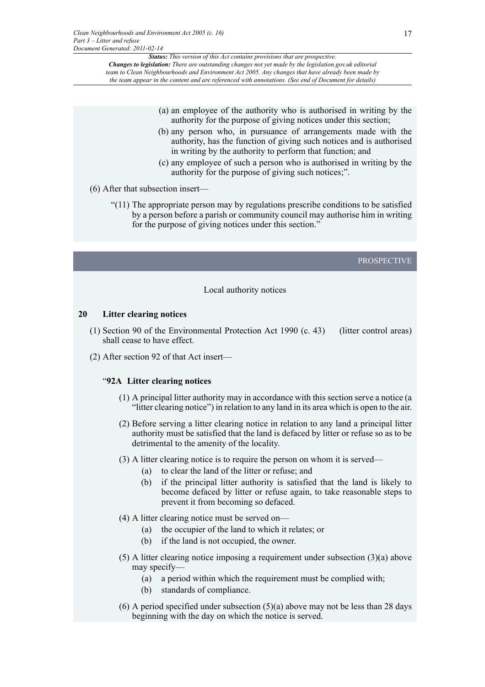*Status: This version of this Act contains provisions that are prospective.*

*Changes to legislation: There are outstanding changes not yet made by the legislation.gov.uk editorial team to Clean Neighbourhoods and Environment Act 2005. Any changes that have already been made by the team appear in the content and are referenced with annotations. (See end of Document for details)*

- (a) an employee of the authority who is authorised in writing by the authority for the purpose of giving notices under this section;
- (b) any person who, in pursuance of arrangements made with the authority, has the function of giving such notices and is authorised in writing by the authority to perform that function; and
- (c) any employee of such a person who is authorised in writing by the authority for the purpose of giving such notices;".

## (6) After that subsection insert—

"(11) The appropriate person may by regulations prescribe conditions to be satisfied by a person before a parish or community council may authorise him in writing for the purpose of giving notices under this section."

#### PROSPECTIVE

## Local authority notices

#### **20 Litter clearing notices**

- (1) Section 90 of the Environmental Protection Act 1990 (c. 43) (litter control areas) shall cease to have effect.
- (2) After section 92 of that Act insert—

## "**92A Litter clearing notices**

- (1) A principal litter authority may in accordance with this section serve a notice (a "litter clearing notice") in relation to any land in its area which is open to the air.
- (2) Before serving a litter clearing notice in relation to any land a principal litter authority must be satisfied that the land is defaced by litter or refuse so as to be detrimental to the amenity of the locality.
- (3) A litter clearing notice is to require the person on whom it is served—
	- (a) to clear the land of the litter or refuse; and
	- (b) if the principal litter authority is satisfied that the land is likely to become defaced by litter or refuse again, to take reasonable steps to prevent it from becoming so defaced.
- (4) A litter clearing notice must be served on—
	- (a) the occupier of the land to which it relates; or
	- (b) if the land is not occupied, the owner.
- (5) A litter clearing notice imposing a requirement under subsection (3)(a) above may specify—
	- (a) a period within which the requirement must be complied with;
	- (b) standards of compliance.
- (6) A period specified under subsection  $(5)(a)$  above may not be less than 28 days beginning with the day on which the notice is served.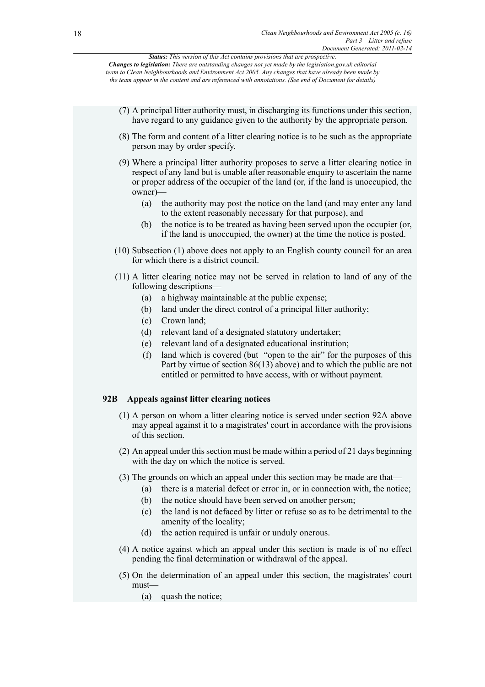

- (4) A notice against which an appeal under this section is made is of no effect pending the final determination or withdrawal of the appeal.
- (5) On the determination of an appeal under this section, the magistrates' court must—
	- (a) quash the notice;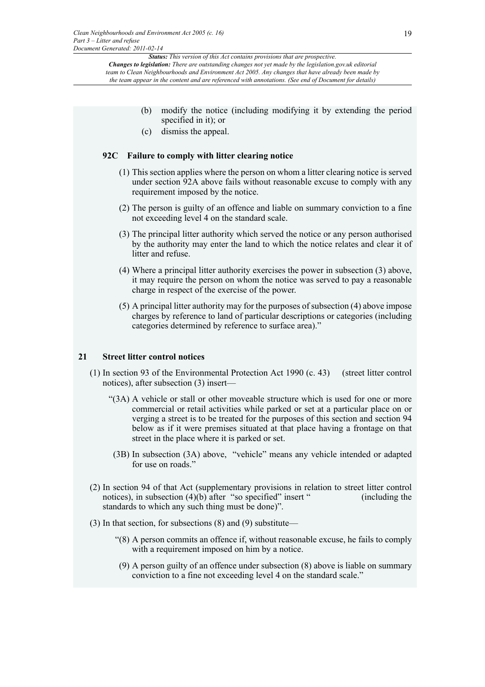- (b) modify the notice (including modifying it by extending the period specified in it); or
- (c) dismiss the appeal.

## **92C Failure to comply with litter clearing notice**

- (1) This section applies where the person on whom a litter clearing notice is served under section 92A above fails without reasonable excuse to comply with any requirement imposed by the notice.
- (2) The person is guilty of an offence and liable on summary conviction to a fine not exceeding level 4 on the standard scale.
- (3) The principal litter authority which served the notice or any person authorised by the authority may enter the land to which the notice relates and clear it of litter and refuse.
- (4) Where a principal litter authority exercises the power in subsection (3) above, it may require the person on whom the notice was served to pay a reasonable charge in respect of the exercise of the power.
- (5) A principal litter authority may for the purposes of subsection (4) above impose charges by reference to land of particular descriptions or categories (including categories determined by reference to surface area)."

#### **21 Street litter control notices**

- (1) In section 93 of the Environmental Protection Act 1990 (c. 43) (street litter control notices), after subsection (3) insert—
	- "(3A) A vehicle or stall or other moveable structure which is used for one or more commercial or retail activities while parked or set at a particular place on or verging a street is to be treated for the purposes of this section and section 94 below as if it were premises situated at that place having a frontage on that street in the place where it is parked or set.
	- (3B) In subsection (3A) above, "vehicle" means any vehicle intended or adapted for use on roads."
- (2) In section 94 of that Act (supplementary provisions in relation to street litter control notices), in subsection (4)(b) after "so specified" insert " (including the standards to which any such thing must be done)".
- (3) In that section, for subsections (8) and (9) substitute—
	- "(8) A person commits an offence if, without reasonable excuse, he fails to comply with a requirement imposed on him by a notice.
	- (9) A person guilty of an offence under subsection (8) above is liable on summary conviction to a fine not exceeding level 4 on the standard scale."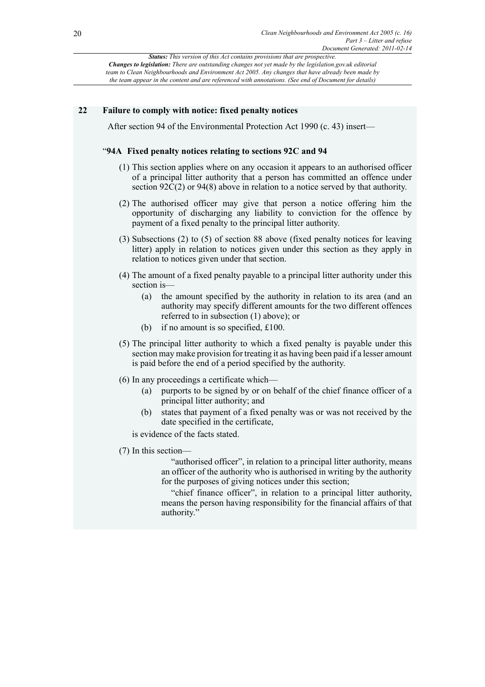## **22 Failure to comply with notice: fixed penalty notices**

After section 94 of the Environmental Protection Act 1990 (c. 43) insert—

## "**94A Fixed penalty notices relating to sections 92C and 94**

- (1) This section applies where on any occasion it appears to an authorised officer of a principal litter authority that a person has committed an offence under section 92C(2) or 94(8) above in relation to a notice served by that authority.
- (2) The authorised officer may give that person a notice offering him the opportunity of discharging any liability to conviction for the offence by payment of a fixed penalty to the principal litter authority.
- (3) Subsections (2) to (5) of section 88 above (fixed penalty notices for leaving litter) apply in relation to notices given under this section as they apply in relation to notices given under that section.
- (4) The amount of a fixed penalty payable to a principal litter authority under this section is—
	- (a) the amount specified by the authority in relation to its area (and an authority may specify different amounts for the two different offences referred to in subsection (1) above); or
	- (b) if no amount is so specified, £100.
- (5) The principal litter authority to which a fixed penalty is payable under this section may make provision for treating it as having been paid if a lesser amount is paid before the end of a period specified by the authority.
- (6) In any proceedings a certificate which—
	- (a) purports to be signed by or on behalf of the chief finance officer of a principal litter authority; and
	- (b) states that payment of a fixed penalty was or was not received by the date specified in the certificate,

is evidence of the facts stated.

(7) In this section—

"authorised officer", in relation to a principal litter authority, means an officer of the authority who is authorised in writing by the authority for the purposes of giving notices under this section;

"chief finance officer", in relation to a principal litter authority, means the person having responsibility for the financial affairs of that authority."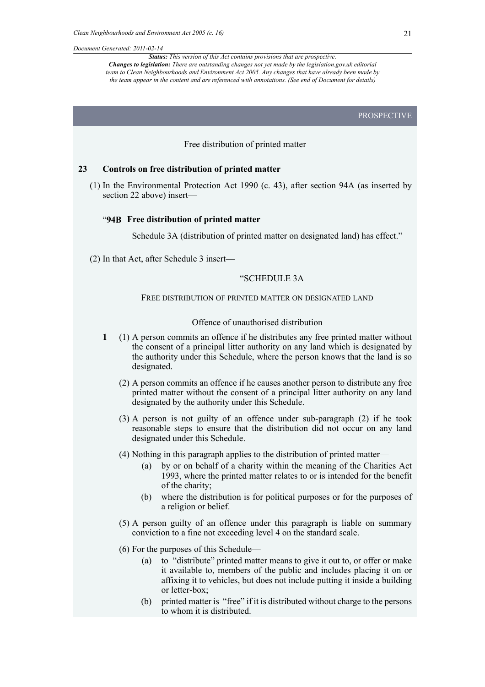*Document Generated: 2011-02-14*

*Status: This version of this Act contains provisions that are prospective. Changes to legislation: There are outstanding changes not yet made by the legislation.gov.uk editorial team to Clean Neighbourhoods and Environment Act 2005. Any changes that have already been made by the team appear in the content and are referenced with annotations. (See end of Document for details)*

PROSPECTIVE

Free distribution of printed matter

#### **23 Controls on free distribution of printed matter**

(1) In the Environmental Protection Act 1990 (c. 43), after section 94A (as inserted by section 22 above) insert—

#### "**94B Free distribution of printed matter**

Schedule 3A (distribution of printed matter on designated land) has effect."

(2) In that Act, after Schedule 3 insert—

#### "SCHEDULE 3A

## FREE DISTRIBUTION OF PRINTED MATTER ON DESIGNATED LAND

#### Offence of unauthorised distribution

- **1** (1) A person commits an offence if he distributes any free printed matter without the consent of a principal litter authority on any land which is designated by the authority under this Schedule, where the person knows that the land is so designated.
	- (2) A person commits an offence if he causes another person to distribute any free printed matter without the consent of a principal litter authority on any land designated by the authority under this Schedule.
	- (3) A person is not guilty of an offence under sub-paragraph (2) if he took reasonable steps to ensure that the distribution did not occur on any land designated under this Schedule.
	- (4) Nothing in this paragraph applies to the distribution of printed matter—
		- (a) by or on behalf of a charity within the meaning of the Charities Act 1993, where the printed matter relates to or is intended for the benefit of the charity;
		- (b) where the distribution is for political purposes or for the purposes of a religion or belief.
	- (5) A person guilty of an offence under this paragraph is liable on summary conviction to a fine not exceeding level 4 on the standard scale.
	- (6) For the purposes of this Schedule—
		- (a) to "distribute" printed matter means to give it out to, or offer or make it available to, members of the public and includes placing it on or affixing it to vehicles, but does not include putting it inside a building or letter-box;
		- (b) printed matter is "free" if it is distributed without charge to the persons to whom it is distributed.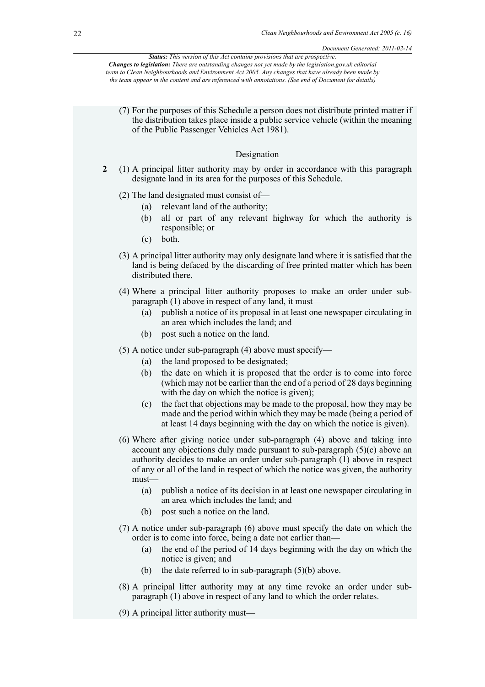(7) For the purposes of this Schedule a person does not distribute printed matter if the distribution takes place inside a public service vehicle (within the meaning of the Public Passenger Vehicles Act 1981).

#### Designation

- **2** (1) A principal litter authority may by order in accordance with this paragraph designate land in its area for the purposes of this Schedule.
	- (2) The land designated must consist of—
		- (a) relevant land of the authority;
		- (b) all or part of any relevant highway for which the authority is responsible; or
		- (c) both.
	- (3) A principal litter authority may only designate land where it is satisfied that the land is being defaced by the discarding of free printed matter which has been distributed there
	- (4) Where a principal litter authority proposes to make an order under subparagraph (1) above in respect of any land, it must—
		- (a) publish a notice of its proposal in at least one newspaper circulating in an area which includes the land; and
		- (b) post such a notice on the land.
	- (5) A notice under sub-paragraph (4) above must specify—
		- (a) the land proposed to be designated;
		- (b) the date on which it is proposed that the order is to come into force (which may not be earlier than the end of a period of 28 days beginning with the day on which the notice is given);
		- (c) the fact that objections may be made to the proposal, how they may be made and the period within which they may be made (being a period of at least 14 days beginning with the day on which the notice is given).
	- (6) Where after giving notice under sub-paragraph (4) above and taking into account any objections duly made pursuant to sub-paragraph (5)(c) above an authority decides to make an order under sub-paragraph (1) above in respect of any or all of the land in respect of which the notice was given, the authority must—
		- (a) publish a notice of its decision in at least one newspaper circulating in an area which includes the land; and
		- (b) post such a notice on the land.
	- (7) A notice under sub-paragraph (6) above must specify the date on which the order is to come into force, being a date not earlier than—
		- (a) the end of the period of 14 days beginning with the day on which the notice is given; and
		- (b) the date referred to in sub-paragraph (5)(b) above.
	- (8) A principal litter authority may at any time revoke an order under subparagraph (1) above in respect of any land to which the order relates.
	- (9) A principal litter authority must—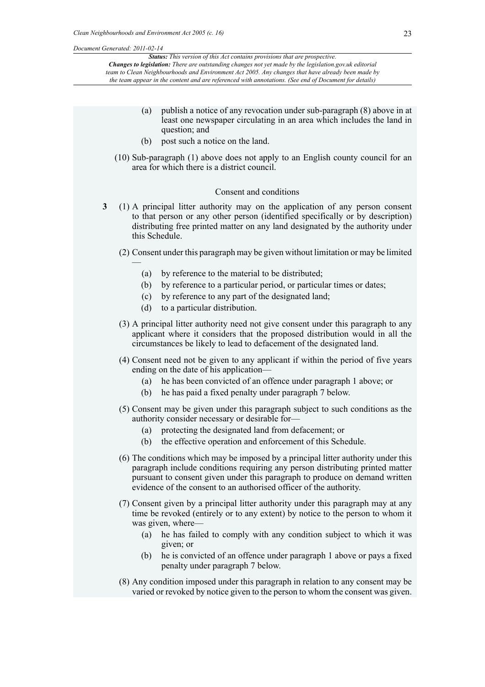—

*Document Generated: 2011-02-14*

*Status: This version of this Act contains provisions that are prospective.*

*Changes to legislation: There are outstanding changes not yet made by the legislation.gov.uk editorial team to Clean Neighbourhoods and Environment Act 2005. Any changes that have already been made by the team appear in the content and are referenced with annotations. (See end of Document for details)*

- (a) publish a notice of any revocation under sub-paragraph (8) above in at least one newspaper circulating in an area which includes the land in question; and
- (b) post such a notice on the land.
- (10) Sub-paragraph (1) above does not apply to an English county council for an area for which there is a district council.

# Consent and conditions

- **3** (1) A principal litter authority may on the application of any person consent to that person or any other person (identified specifically or by description) distributing free printed matter on any land designated by the authority under this Schedule.
	- (2) Consent under this paragraph may be given without limitation or may be limited
		- (a) by reference to the material to be distributed;
		- (b) by reference to a particular period, or particular times or dates;
		- (c) by reference to any part of the designated land;
		- (d) to a particular distribution.
	- (3) A principal litter authority need not give consent under this paragraph to any applicant where it considers that the proposed distribution would in all the circumstances be likely to lead to defacement of the designated land.
	- (4) Consent need not be given to any applicant if within the period of five years ending on the date of his application—
		- (a) he has been convicted of an offence under paragraph 1 above; or
		- (b) he has paid a fixed penalty under paragraph 7 below.
	- (5) Consent may be given under this paragraph subject to such conditions as the authority consider necessary or desirable for—
		- (a) protecting the designated land from defacement; or
		- (b) the effective operation and enforcement of this Schedule.
	- (6) The conditions which may be imposed by a principal litter authority under this paragraph include conditions requiring any person distributing printed matter pursuant to consent given under this paragraph to produce on demand written evidence of the consent to an authorised officer of the authority.
	- (7) Consent given by a principal litter authority under this paragraph may at any time be revoked (entirely or to any extent) by notice to the person to whom it was given, where—
		- (a) he has failed to comply with any condition subject to which it was given; or
		- (b) he is convicted of an offence under paragraph 1 above or pays a fixed penalty under paragraph 7 below.
	- (8) Any condition imposed under this paragraph in relation to any consent may be varied or revoked by notice given to the person to whom the consent was given.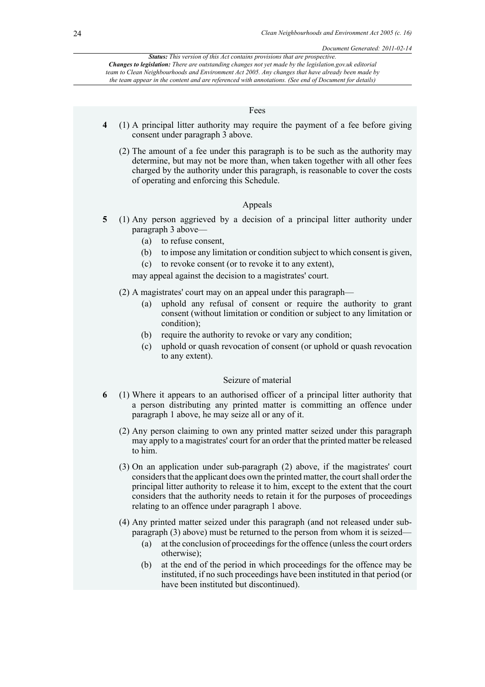#### Fees

- **4** (1) A principal litter authority may require the payment of a fee before giving consent under paragraph 3 above.
	- (2) The amount of a fee under this paragraph is to be such as the authority may determine, but may not be more than, when taken together with all other fees charged by the authority under this paragraph, is reasonable to cover the costs of operating and enforcing this Schedule.

#### Appeals

- **5** (1) Any person aggrieved by a decision of a principal litter authority under paragraph 3 above—
	- (a) to refuse consent,
	- (b) to impose any limitation or condition subject to which consent is given,
	- (c) to revoke consent (or to revoke it to any extent),

may appeal against the decision to a magistrates' court.

- (2) A magistrates' court may on an appeal under this paragraph—
	- (a) uphold any refusal of consent or require the authority to grant consent (without limitation or condition or subject to any limitation or condition);
	- (b) require the authority to revoke or vary any condition;
	- (c) uphold or quash revocation of consent (or uphold or quash revocation to any extent).

# Seizure of material

- **6** (1) Where it appears to an authorised officer of a principal litter authority that a person distributing any printed matter is committing an offence under paragraph 1 above, he may seize all or any of it.
	- (2) Any person claiming to own any printed matter seized under this paragraph may apply to a magistrates' court for an order that the printed matter be released to him.
	- (3) On an application under sub-paragraph (2) above, if the magistrates' court considers that the applicant does own the printed matter, the court shall order the principal litter authority to release it to him, except to the extent that the court considers that the authority needs to retain it for the purposes of proceedings relating to an offence under paragraph 1 above.
	- (4) Any printed matter seized under this paragraph (and not released under subparagraph (3) above) must be returned to the person from whom it is seized—
		- (a) at the conclusion of proceedings for the offence (unless the court orders otherwise);
		- (b) at the end of the period in which proceedings for the offence may be instituted, if no such proceedings have been instituted in that period (or have been instituted but discontinued).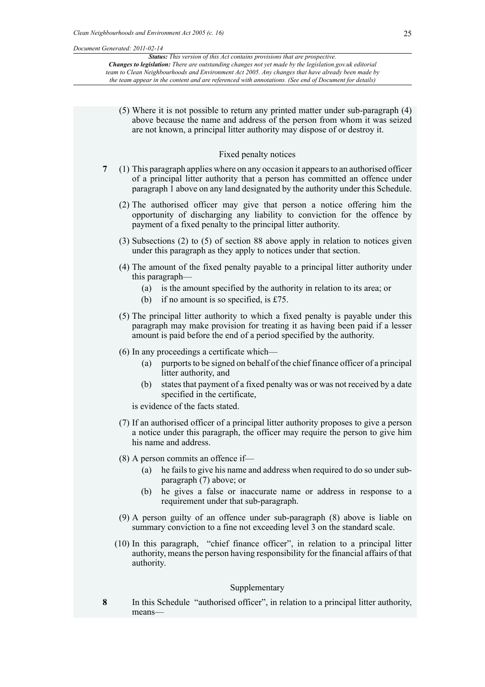*Document Generated: 2011-02-14*

*Status: This version of this Act contains provisions that are prospective. Changes to legislation: There are outstanding changes not yet made by the legislation.gov.uk editorial team to Clean Neighbourhoods and Environment Act 2005. Any changes that have already been made by the team appear in the content and are referenced with annotations. (See end of Document for details)*

(5) Where it is not possible to return any printed matter under sub-paragraph (4) above because the name and address of the person from whom it was seized are not known, a principal litter authority may dispose of or destroy it.

#### Fixed penalty notices

- **7** (1) This paragraph applies where on any occasion it appears to an authorised officer of a principal litter authority that a person has committed an offence under paragraph 1 above on any land designated by the authority under this Schedule.
	- (2) The authorised officer may give that person a notice offering him the opportunity of discharging any liability to conviction for the offence by payment of a fixed penalty to the principal litter authority.
	- (3) Subsections (2) to (5) of section 88 above apply in relation to notices given under this paragraph as they apply to notices under that section.
	- (4) The amount of the fixed penalty payable to a principal litter authority under this paragraph—
		- (a) is the amount specified by the authority in relation to its area; or
		- (b) if no amount is so specified, is £75.
	- (5) The principal litter authority to which a fixed penalty is payable under this paragraph may make provision for treating it as having been paid if a lesser amount is paid before the end of a period specified by the authority.
	- (6) In any proceedings a certificate which—
		- (a) purports to be signed on behalf of the chief finance officer of a principal litter authority, and
		- (b) states that payment of a fixed penalty was or was not received by a date specified in the certificate,

is evidence of the facts stated.

- (7) If an authorised officer of a principal litter authority proposes to give a person a notice under this paragraph, the officer may require the person to give him his name and address.
- (8) A person commits an offence if—
	- (a) he fails to give his name and address when required to do so under subparagraph (7) above; or
	- (b) he gives a false or inaccurate name or address in response to a requirement under that sub-paragraph.
- (9) A person guilty of an offence under sub-paragraph (8) above is liable on summary conviction to a fine not exceeding level 3 on the standard scale.
- (10) In this paragraph, "chief finance officer", in relation to a principal litter authority, means the person having responsibility for the financial affairs of that authority.

#### Supplementary

**8** In this Schedule "authorised officer", in relation to a principal litter authority, means—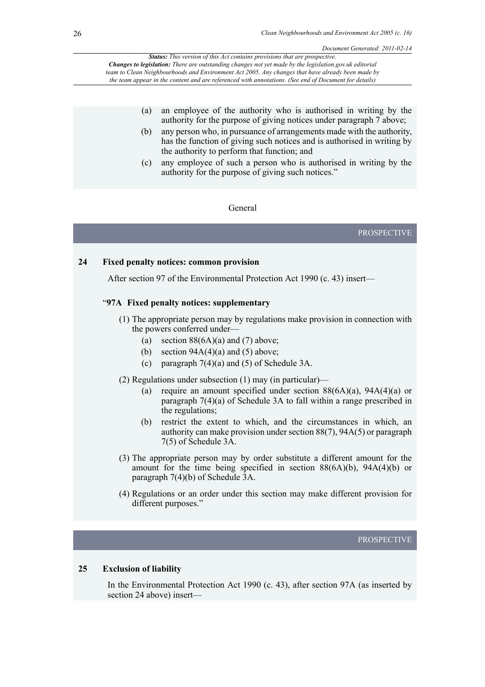*Status: This version of this Act contains provisions that are prospective. Changes to legislation: There are outstanding changes not yet made by the legislation.gov.uk editorial team to Clean Neighbourhoods and Environment Act 2005. Any changes that have already been made by*

*the team appear in the content and are referenced with annotations. (See end of Document for details)*

- (a) an employee of the authority who is authorised in writing by the authority for the purpose of giving notices under paragraph 7 above;
- (b) any person who, in pursuance of arrangements made with the authority, has the function of giving such notices and is authorised in writing by the authority to perform that function; and
- (c) any employee of such a person who is authorised in writing by the authority for the purpose of giving such notices."

#### General

PROSPECTIVE

#### **24 Fixed penalty notices: common provision**

After section 97 of the Environmental Protection Act 1990 (c. 43) insert—

## "**97A Fixed penalty notices: supplementary**

- (1) The appropriate person may by regulations make provision in connection with the powers conferred under—
	- (a) section  $88(6A)(a)$  and (7) above;
	- (b) section  $94A(4)(a)$  and (5) above;
	- (c) paragraph 7(4)(a) and (5) of Schedule 3A.

(2) Regulations under subsection (1) may (in particular)—

- (a) require an amount specified under section  $88(6A)(a)$ ,  $94A(4)(a)$  or paragraph 7(4)(a) of Schedule 3A to fall within a range prescribed in the regulations;
- (b) restrict the extent to which, and the circumstances in which, an authority can make provision under section 88(7), 94A(5) or paragraph 7(5) of Schedule 3A.
- (3) The appropriate person may by order substitute a different amount for the amount for the time being specified in section  $88(6A)(b)$ ,  $94A(4)(b)$  or paragraph 7(4)(b) of Schedule 3A.
- (4) Regulations or an order under this section may make different provision for different purposes."

# PROSPECTIVE

#### **25 Exclusion of liability**

In the Environmental Protection Act 1990 (c. 43), after section 97A (as inserted by section 24 above) insert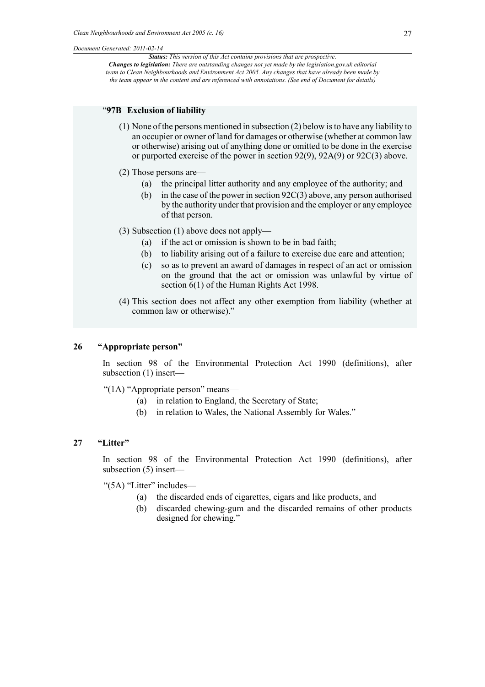*Document Generated: 2011-02-14*

*Status: This version of this Act contains provisions that are prospective. Changes to legislation: There are outstanding changes not yet made by the legislation.gov.uk editorial team to Clean Neighbourhoods and Environment Act 2005. Any changes that have already been made by the team appear in the content and are referenced with annotations. (See end of Document for details)*

#### "**97B Exclusion of liability**

- (1) None of the persons mentioned in subsection (2) below is to have any liability to an occupier or owner of land for damages or otherwise (whether at common law or otherwise) arising out of anything done or omitted to be done in the exercise or purported exercise of the power in section 92(9), 92A(9) or 92C(3) above.
- (2) Those persons are—
	- (a) the principal litter authority and any employee of the authority; and
	- (b) in the case of the power in section  $92C(3)$  above, any person authorised by the authority under that provision and the employer or any employee of that person.
- (3) Subsection (1) above does not apply—
	- (a) if the act or omission is shown to be in bad faith;
	- (b) to liability arising out of a failure to exercise due care and attention;
	- (c) so as to prevent an award of damages in respect of an act or omission on the ground that the act or omission was unlawful by virtue of section  $6(1)$  of the Human Rights Act 1998.
- (4) This section does not affect any other exemption from liability (whether at common law or otherwise)."

## **26 "Appropriate person"**

In section 98 of the Environmental Protection Act 1990 (definitions), after subsection (1) insert—

"(1A) "Appropriate person" means—

- (a) in relation to England, the Secretary of State;
- (b) in relation to Wales, the National Assembly for Wales."

## **27 "Litter"**

In section 98 of the Environmental Protection Act 1990 (definitions), after subsection (5) insert—

"(5A) "Litter" includes—

- (a) the discarded ends of cigarettes, cigars and like products, and
- (b) discarded chewing-gum and the discarded remains of other products designed for chewing."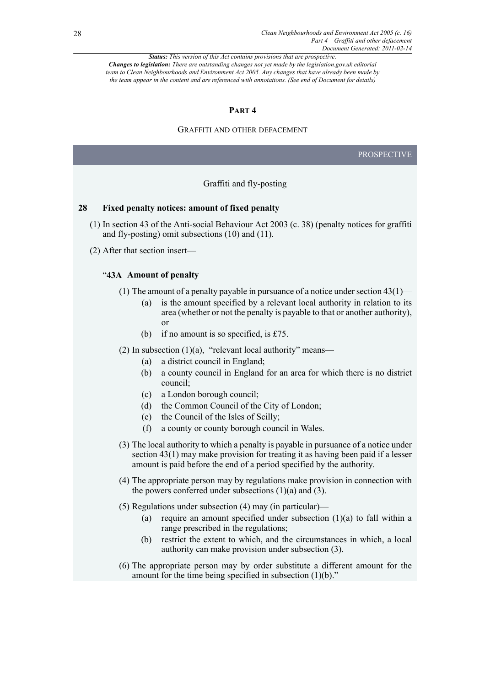## **PART 4**

#### GRAFFITI AND OTHER DEFACEMENT

PROSPECTIVE

# Graffiti and fly-posting

#### **28 Fixed penalty notices: amount of fixed penalty**

- (1) In section 43 of the Anti-social Behaviour Act 2003 (c. 38) (penalty notices for graffiti and fly-posting) omit subsections (10) and (11).
- (2) After that section insert—

## "**43A Amount of penalty**

- (1) The amount of a penalty payable in pursuance of a notice under section 43(1)—
	- (a) is the amount specified by a relevant local authority in relation to its area (whether or not the penalty is payable to that or another authority), or
	- (b) if no amount is so specified, is £75.

(2) In subsection  $(1)(a)$ , "relevant local authority" means—

- (a) a district council in England;
- (b) a county council in England for an area for which there is no district council;
- (c) a London borough council;
- (d) the Common Council of the City of London;
- (e) the Council of the Isles of Scilly;
- (f) a county or county borough council in Wales.
- (3) The local authority to which a penalty is payable in pursuance of a notice under section 43(1) may make provision for treating it as having been paid if a lesser amount is paid before the end of a period specified by the authority.
- (4) The appropriate person may by regulations make provision in connection with the powers conferred under subsections  $(1)(a)$  and  $(3)$ .
- (5) Regulations under subsection (4) may (in particular)—
	- (a) require an amount specified under subsection  $(1)(a)$  to fall within a range prescribed in the regulations;
	- (b) restrict the extent to which, and the circumstances in which, a local authority can make provision under subsection (3).
- (6) The appropriate person may by order substitute a different amount for the amount for the time being specified in subsection (1)(b)."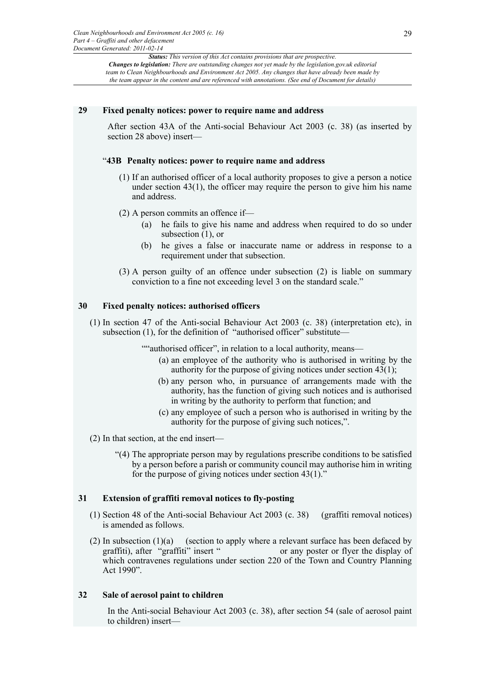#### **29 Fixed penalty notices: power to require name and address**

After section 43A of the Anti-social Behaviour Act 2003 (c. 38) (as inserted by section 28 above) insert—

#### "**43B Penalty notices: power to require name and address**

- (1) If an authorised officer of a local authority proposes to give a person a notice under section  $43(1)$ , the officer may require the person to give him his name and address.
- (2) A person commits an offence if—
	- (a) he fails to give his name and address when required to do so under subsection (1), or
	- (b) he gives a false or inaccurate name or address in response to a requirement under that subsection.
- (3) A person guilty of an offence under subsection (2) is liable on summary conviction to a fine not exceeding level 3 on the standard scale."

## **30 Fixed penalty notices: authorised officers**

(1) In section 47 of the Anti-social Behaviour Act 2003 (c. 38) (interpretation etc), in subsection (1), for the definition of "authorised officer" substitute—

""authorised officer", in relation to a local authority, means-

- (a) an employee of the authority who is authorised in writing by the authority for the purpose of giving notices under section  $43(1)$ ;
- (b) any person who, in pursuance of arrangements made with the authority, has the function of giving such notices and is authorised in writing by the authority to perform that function; and
- (c) any employee of such a person who is authorised in writing by the authority for the purpose of giving such notices,".
- (2) In that section, at the end insert—
	- "(4) The appropriate person may by regulations prescribe conditions to be satisfied by a person before a parish or community council may authorise him in writing for the purpose of giving notices under section 43(1)."

## **31 Extension of graffiti removal notices to fly-posting**

- (1) Section 48 of the Anti-social Behaviour Act 2003 (c. 38) (graffiti removal notices) is amended as follows.
- (2) In subsection  $(1)(a)$  (section to apply where a relevant surface has been defaced by graffiti), after "graffiti" insert " or any poster or flyer the display of which contravenes regulations under section 220 of the Town and Country Planning Act 1990".

#### **32 Sale of aerosol paint to children**

In the Anti-social Behaviour Act 2003 (c. 38), after section 54 (sale of aerosol paint to children) insert—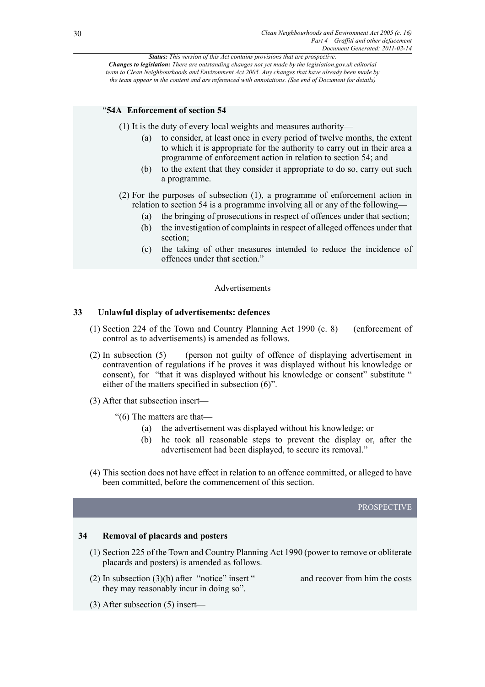## "**54A Enforcement of section 54**

(1) It is the duty of every local weights and measures authority—

- (a) to consider, at least once in every period of twelve months, the extent to which it is appropriate for the authority to carry out in their area a programme of enforcement action in relation to section 54; and
- (b) to the extent that they consider it appropriate to do so, carry out such a programme.

(2) For the purposes of subsection (1), a programme of enforcement action in relation to section 54 is a programme involving all or any of the following—

- (a) the bringing of prosecutions in respect of offences under that section;
- (b) the investigation of complaints in respect of alleged offences under that section;
- (c) the taking of other measures intended to reduce the incidence of offences under that section."

#### Advertisements

## **33 Unlawful display of advertisements: defences**

- (1) Section 224 of the Town and Country Planning Act 1990 (c. 8) (enforcement of control as to advertisements) is amended as follows.
- (2) In subsection (5) (person not guilty of offence of displaying advertisement in contravention of regulations if he proves it was displayed without his knowledge or consent), for "that it was displayed without his knowledge or consent" substitute " either of the matters specified in subsection (6)".
- (3) After that subsection insert—
	- "(6) The matters are that—
		- (a) the advertisement was displayed without his knowledge; or
		- (b) he took all reasonable steps to prevent the display or, after the advertisement had been displayed, to secure its removal."
- (4) This section does not have effect in relation to an offence committed, or alleged to have been committed, before the commencement of this section.

#### PROSPECTIVE

# **34 Removal of placards and posters**

- (1) Section 225 of the Town and Country Planning Act 1990 (power to remove or obliterate placards and posters) is amended as follows.
- $(2)$  In subsection  $(3)(b)$  after "notice" insert " and recover from him the costs they may reasonably incur in doing so".

(3) After subsection (5) insert—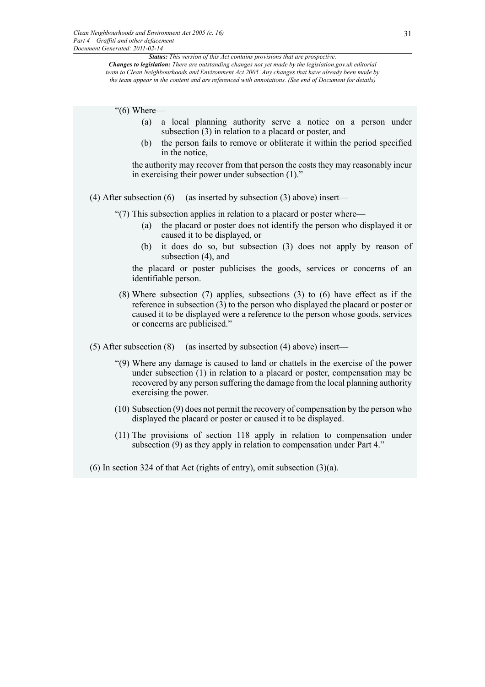*Status: This version of this Act contains provisions that are prospective.*

*Changes to legislation: There are outstanding changes not yet made by the legislation.gov.uk editorial team to Clean Neighbourhoods and Environment Act 2005. Any changes that have already been made by the team appear in the content and are referenced with annotations. (See end of Document for details)*

" $(6)$  Where—

- (a) a local planning authority serve a notice on a person under subsection (3) in relation to a placard or poster, and
- (b) the person fails to remove or obliterate it within the period specified in the notice,

the authority may recover from that person the costs they may reasonably incur in exercising their power under subsection (1)."

(4) After subsection (6) (as inserted by subsection (3) above) insert—

"(7) This subsection applies in relation to a placard or poster where—

- (a) the placard or poster does not identify the person who displayed it or caused it to be displayed, or
- (b) it does do so, but subsection (3) does not apply by reason of subsection (4), and

the placard or poster publicises the goods, services or concerns of an identifiable person.

(8) Where subsection (7) applies, subsections (3) to (6) have effect as if the reference in subsection (3) to the person who displayed the placard or poster or caused it to be displayed were a reference to the person whose goods, services or concerns are publicised."

(5) After subsection (8) (as inserted by subsection (4) above) insert—

- "(9) Where any damage is caused to land or chattels in the exercise of the power under subsection (1) in relation to a placard or poster, compensation may be recovered by any person suffering the damage from the local planning authority exercising the power.
- (10) Subsection (9) does not permit the recovery of compensation by the person who displayed the placard or poster or caused it to be displayed.
- (11) The provisions of section 118 apply in relation to compensation under subsection (9) as they apply in relation to compensation under Part 4."
- (6) In section 324 of that Act (rights of entry), omit subsection (3)(a).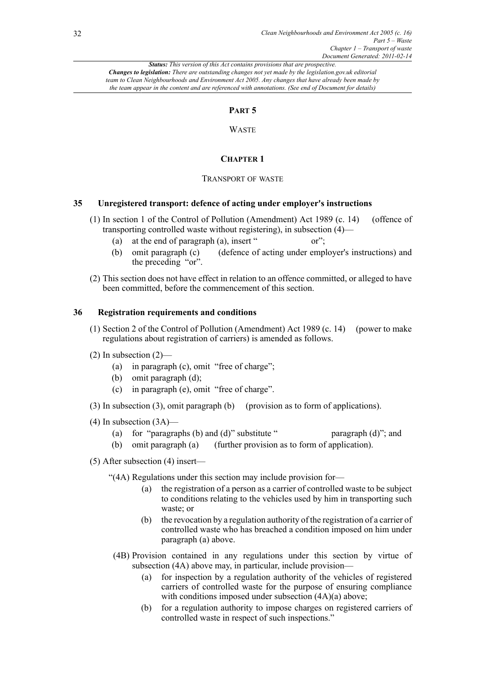## **PART 5**

**WASTE** 

# **CHAPTER 1**

## TRANSPORT OF WASTE

# **35 Unregistered transport: defence of acting under employer's instructions**

- (1) In section 1 of the Control of Pollution (Amendment) Act 1989 (c. 14) (offence of transporting controlled waste without registering), in subsection (4)—
	- (a) at the end of paragraph (a), insert " $or$ ";
	- (b) omit paragraph (c) (defence of acting under employer's instructions) and the preceding "or".
- (2) This section does not have effect in relation to an offence committed, or alleged to have been committed, before the commencement of this section.

# **36 Registration requirements and conditions**

- (1) Section 2 of the Control of Pollution (Amendment) Act 1989 (c. 14) (power to make regulations about registration of carriers) is amended as follows.
- (2) In subsection (2)—
	- (a) in paragraph (c), omit "free of charge";
	- (b) omit paragraph (d);
	- (c) in paragraph (e), omit "free of charge".
- (3) In subsection (3), omit paragraph (b) (provision as to form of applications).
- (4) In subsection (3A)—
	- (a) for "paragraphs (b) and (d)" substitute " paragraph (d)"; and
	- (b) omit paragraph (a) (further provision as to form of application).
- (5) After subsection (4) insert—

"(4A) Regulations under this section may include provision for—

- (a) the registration of a person as a carrier of controlled waste to be subject to conditions relating to the vehicles used by him in transporting such waste; or
- (b) the revocation by a regulation authority of the registration of a carrier of controlled waste who has breached a condition imposed on him under paragraph (a) above.
- (4B) Provision contained in any regulations under this section by virtue of subsection (4A) above may, in particular, include provision—
	- (a) for inspection by a regulation authority of the vehicles of registered carriers of controlled waste for the purpose of ensuring compliance with conditions imposed under subsection  $(4A)(a)$  above;
	- (b) for a regulation authority to impose charges on registered carriers of controlled waste in respect of such inspections."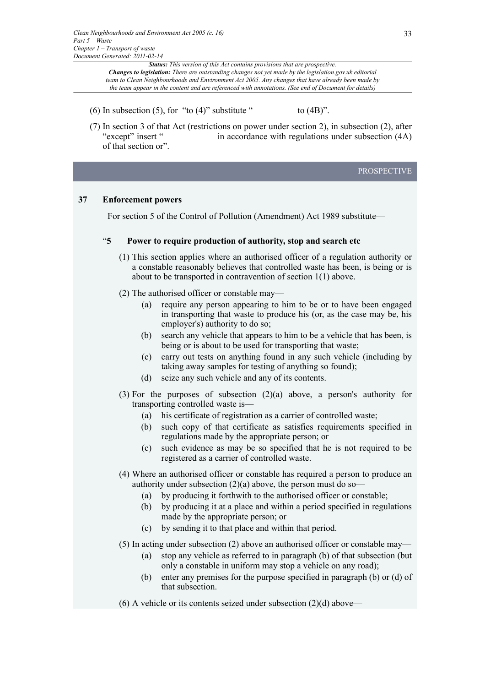- (6) In subsection (5), for "to (4)" substitute " to  $(4B)$ ".
- (7) In section 3 of that Act (restrictions on power under section 2), in subsection (2), after "except" insert " in accordance with regulations under subsection (4A) of that section or".

PROSPECTIVE

# **37 Enforcement powers**

For section 5 of the Control of Pollution (Amendment) Act 1989 substitute—

#### "**5 Power to require production of authority, stop and search etc**

- (1) This section applies where an authorised officer of a regulation authority or a constable reasonably believes that controlled waste has been, is being or is about to be transported in contravention of section 1(1) above.
- (2) The authorised officer or constable may—
	- (a) require any person appearing to him to be or to have been engaged in transporting that waste to produce his (or, as the case may be, his employer's) authority to do so;
	- (b) search any vehicle that appears to him to be a vehicle that has been, is being or is about to be used for transporting that waste;
	- (c) carry out tests on anything found in any such vehicle (including by taking away samples for testing of anything so found);
	- (d) seize any such vehicle and any of its contents.
- (3) For the purposes of subsection (2)(a) above, a person's authority for transporting controlled waste is—
	- (a) his certificate of registration as a carrier of controlled waste;
	- (b) such copy of that certificate as satisfies requirements specified in regulations made by the appropriate person; or
	- (c) such evidence as may be so specified that he is not required to be registered as a carrier of controlled waste.
- (4) Where an authorised officer or constable has required a person to produce an authority under subsection  $(2)(a)$  above, the person must do so-
	- (a) by producing it forthwith to the authorised officer or constable;
	- (b) by producing it at a place and within a period specified in regulations made by the appropriate person; or
	- (c) by sending it to that place and within that period.
- (5) In acting under subsection (2) above an authorised officer or constable may—
	- (a) stop any vehicle as referred to in paragraph (b) of that subsection (but only a constable in uniform may stop a vehicle on any road);
	- (b) enter any premises for the purpose specified in paragraph (b) or (d) of that subsection.
- (6) A vehicle or its contents seized under subsection  $(2)(d)$  above—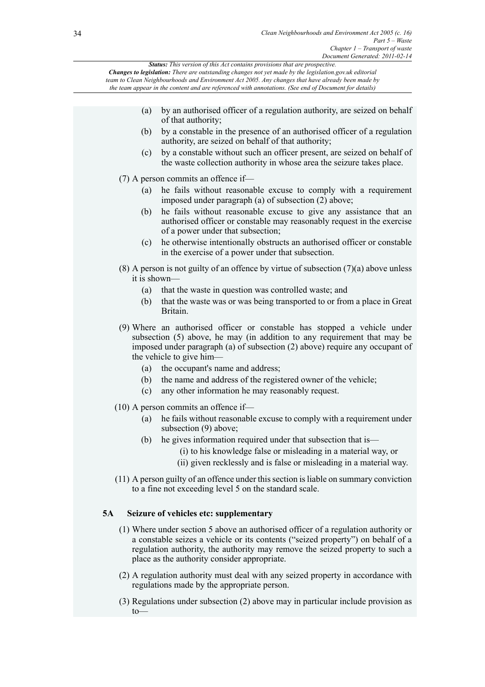- (a) by an authorised officer of a regulation authority, are seized on behalf of that authority;
- (b) by a constable in the presence of an authorised officer of a regulation authority, are seized on behalf of that authority;
- (c) by a constable without such an officer present, are seized on behalf of the waste collection authority in whose area the seizure takes place.
- (7) A person commits an offence if—
	- (a) he fails without reasonable excuse to comply with a requirement imposed under paragraph (a) of subsection (2) above;
	- (b) he fails without reasonable excuse to give any assistance that an authorised officer or constable may reasonably request in the exercise of a power under that subsection;
	- (c) he otherwise intentionally obstructs an authorised officer or constable in the exercise of a power under that subsection.
- (8) A person is not guilty of an offence by virtue of subsection (7)(a) above unless it is shown—
	- (a) that the waste in question was controlled waste; and
	- (b) that the waste was or was being transported to or from a place in Great Britain.
- (9) Where an authorised officer or constable has stopped a vehicle under subsection (5) above, he may (in addition to any requirement that may be imposed under paragraph (a) of subsection (2) above) require any occupant of the vehicle to give him—
	- (a) the occupant's name and address;
	- (b) the name and address of the registered owner of the vehicle;
	- (c) any other information he may reasonably request.
- (10) A person commits an offence if—
	- (a) he fails without reasonable excuse to comply with a requirement under subsection (9) above;
	- (b) he gives information required under that subsection that is—
		- (i) to his knowledge false or misleading in a material way, or
		- (ii) given recklessly and is false or misleading in a material way.
- (11) A person guilty of an offence under this section is liable on summary conviction to a fine not exceeding level 5 on the standard scale.

## **5A Seizure of vehicles etc: supplementary**

- (1) Where under section 5 above an authorised officer of a regulation authority or a constable seizes a vehicle or its contents ("seized property") on behalf of a regulation authority, the authority may remove the seized property to such a place as the authority consider appropriate.
- (2) A regulation authority must deal with any seized property in accordance with regulations made by the appropriate person.
- (3) Regulations under subsection (2) above may in particular include provision as to—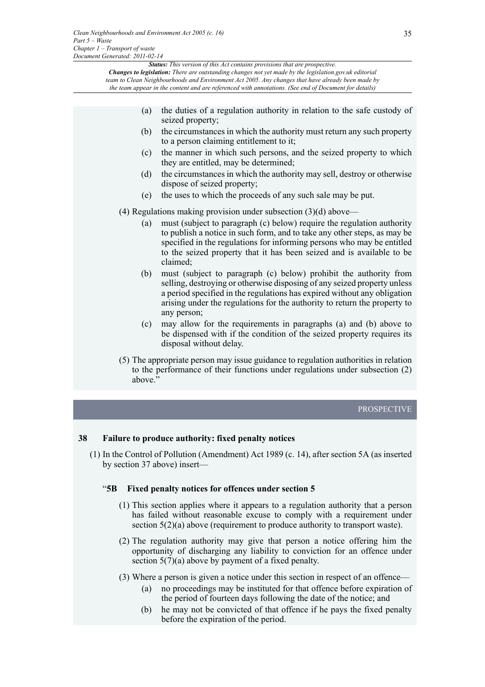- (a) the duties of a regulation authority in relation to the safe custody of seized property;
- (b) the circumstances in which the authority must return any such property to a person claiming entitlement to it;
- (c) the manner in which such persons, and the seized property to which they are entitled, may be determined;
- (d) the circumstances in which the authority may sell, destroy or otherwise dispose of seized property;
- (e) the uses to which the proceeds of any such sale may be put.
- (4) Regulations making provision under subsection (3)(d) above—
	- (a) must (subject to paragraph (c) below) require the regulation authority to publish a notice in such form, and to take any other steps, as may be specified in the regulations for informing persons who may be entitled to the seized property that it has been seized and is available to be claimed;
	- (b) must (subject to paragraph (c) below) prohibit the authority from selling, destroying or otherwise disposing of any seized property unless a period specified in the regulations has expired without any obligation arising under the regulations for the authority to return the property to any person;
	- (c) may allow for the requirements in paragraphs (a) and (b) above to be dispensed with if the condition of the seized property requires its disposal without delay.
- (5) The appropriate person may issue guidance to regulation authorities in relation to the performance of their functions under regulations under subsection (2) above.'

#### PROSPECTIVE

#### **38 Failure to produce authority: fixed penalty notices**

(1) In the Control of Pollution (Amendment) Act 1989 (c. 14), after section 5A (as inserted by section 37 above) insert—

#### "**5B Fixed penalty notices for offences under section 5**

- (1) This section applies where it appears to a regulation authority that a person has failed without reasonable excuse to comply with a requirement under section  $5(2)(a)$  above (requirement to produce authority to transport waste).
- (2) The regulation authority may give that person a notice offering him the opportunity of discharging any liability to conviction for an offence under section  $5(7)(a)$  above by payment of a fixed penalty.
- (3) Where a person is given a notice under this section in respect of an offence—
	- (a) no proceedings may be instituted for that offence before expiration of the period of fourteen days following the date of the notice; and
	- (b) he may not be convicted of that offence if he pays the fixed penalty before the expiration of the period.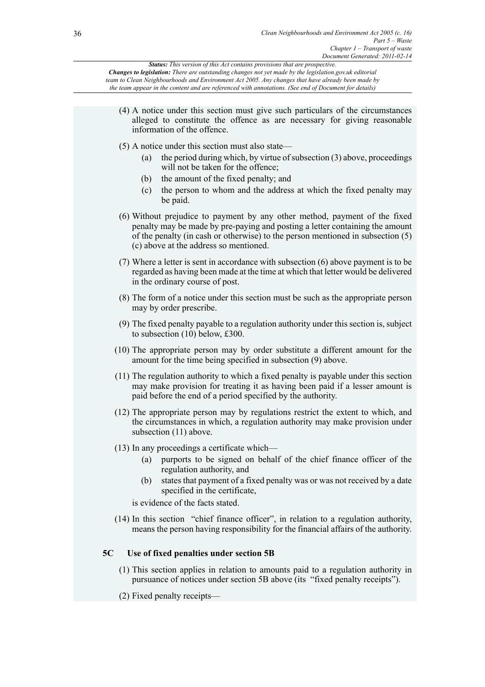- (4) A notice under this section must give such particulars of the circumstances alleged to constitute the offence as are necessary for giving reasonable information of the offence.
- (5) A notice under this section must also state—
	- (a) the period during which, by virtue of subsection (3) above, proceedings will not be taken for the offence:
	- (b) the amount of the fixed penalty; and
	- (c) the person to whom and the address at which the fixed penalty may be paid.
- (6) Without prejudice to payment by any other method, payment of the fixed penalty may be made by pre-paying and posting a letter containing the amount of the penalty (in cash or otherwise) to the person mentioned in subsection (5) (c) above at the address so mentioned.
- (7) Where a letter is sent in accordance with subsection (6) above payment is to be regarded as having been made at the time at which that letter would be delivered in the ordinary course of post.
- (8) The form of a notice under this section must be such as the appropriate person may by order prescribe.
- (9) The fixed penalty payable to a regulation authority under this section is, subject to subsection (10) below, £300.
- (10) The appropriate person may by order substitute a different amount for the amount for the time being specified in subsection (9) above.
- (11) The regulation authority to which a fixed penalty is payable under this section may make provision for treating it as having been paid if a lesser amount is paid before the end of a period specified by the authority.
- (12) The appropriate person may by regulations restrict the extent to which, and the circumstances in which, a regulation authority may make provision under subsection (11) above.
- (13) In any proceedings a certificate which—
	- (a) purports to be signed on behalf of the chief finance officer of the regulation authority, and
	- (b) states that payment of a fixed penalty was or was not received by a date specified in the certificate,

is evidence of the facts stated.

(14) In this section "chief finance officer", in relation to a regulation authority, means the person having responsibility for the financial affairs of the authority.

# **5C Use of fixed penalties under section 5B**

- (1) This section applies in relation to amounts paid to a regulation authority in pursuance of notices under section 5B above (its "fixed penalty receipts").
- (2) Fixed penalty receipts—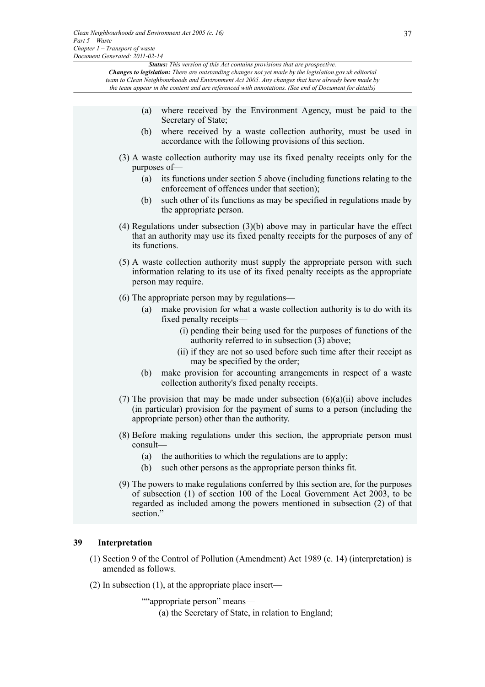- (a) where received by the Environment Agency, must be paid to the Secretary of State;
- (b) where received by a waste collection authority, must be used in accordance with the following provisions of this section.
- (3) A waste collection authority may use its fixed penalty receipts only for the purposes of—
	- (a) its functions under section 5 above (including functions relating to the enforcement of offences under that section);
	- (b) such other of its functions as may be specified in regulations made by the appropriate person.
- (4) Regulations under subsection (3)(b) above may in particular have the effect that an authority may use its fixed penalty receipts for the purposes of any of its functions.
- (5) A waste collection authority must supply the appropriate person with such information relating to its use of its fixed penalty receipts as the appropriate person may require.
- (6) The appropriate person may by regulations—
	- (a) make provision for what a waste collection authority is to do with its fixed penalty receipts—
		- (i) pending their being used for the purposes of functions of the authority referred to in subsection (3) above;
		- (ii) if they are not so used before such time after their receipt as may be specified by the order;
	- (b) make provision for accounting arrangements in respect of a waste collection authority's fixed penalty receipts.
- (7) The provision that may be made under subsection  $(6)(a)(ii)$  above includes (in particular) provision for the payment of sums to a person (including the appropriate person) other than the authority.
- (8) Before making regulations under this section, the appropriate person must consult—
	- (a) the authorities to which the regulations are to apply;
	- (b) such other persons as the appropriate person thinks fit.
- (9) The powers to make regulations conferred by this section are, for the purposes of subsection (1) of section 100 of the Local Government Act 2003, to be regarded as included among the powers mentioned in subsection (2) of that section."

## **39 Interpretation**

- (1) Section 9 of the Control of Pollution (Amendment) Act 1989 (c. 14) (interpretation) is amended as follows.
- (2) In subsection (1), at the appropriate place insert—

""appropriate person" means—

(a) the Secretary of State, in relation to England;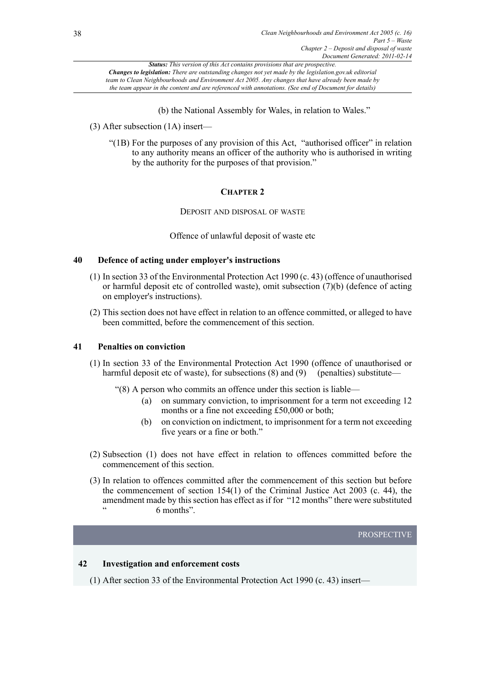(b) the National Assembly for Wales, in relation to Wales."

- (3) After subsection (1A) insert—
	- "(1B) For the purposes of any provision of this Act, "authorised officer" in relation to any authority means an officer of the authority who is authorised in writing by the authority for the purposes of that provision."

# **CHAPTER 2**

DEPOSIT AND DISPOSAL OF WASTE

Offence of unlawful deposit of waste etc

## **40 Defence of acting under employer's instructions**

- (1) In section 33 of the Environmental Protection Act 1990 (c. 43) (offence of unauthorised or harmful deposit etc of controlled waste), omit subsection (7)(b) (defence of acting on employer's instructions).
- (2) This section does not have effect in relation to an offence committed, or alleged to have been committed, before the commencement of this section.

# **41 Penalties on conviction**

- (1) In section 33 of the Environmental Protection Act 1990 (offence of unauthorised or harmful deposit etc of waste), for subsections  $(8)$  and  $(9)$  (penalties) substitute—
	- "(8) A person who commits an offence under this section is liable—
		- (a) on summary conviction, to imprisonment for a term not exceeding 12 months or a fine not exceeding £50,000 or both;
		- (b) on conviction on indictment, to imprisonment for a term not exceeding five years or a fine or both."
- (2) Subsection (1) does not have effect in relation to offences committed before the commencement of this section.
- (3) In relation to offences committed after the commencement of this section but before the commencement of section 154(1) of the Criminal Justice Act 2003 (c. 44), the amendment made by this section has effect as if for "12 months" there were substituted 6 months".

## PROSPECTIVE

## **42 Investigation and enforcement costs**

(1) After section 33 of the Environmental Protection Act 1990 (c. 43) insert—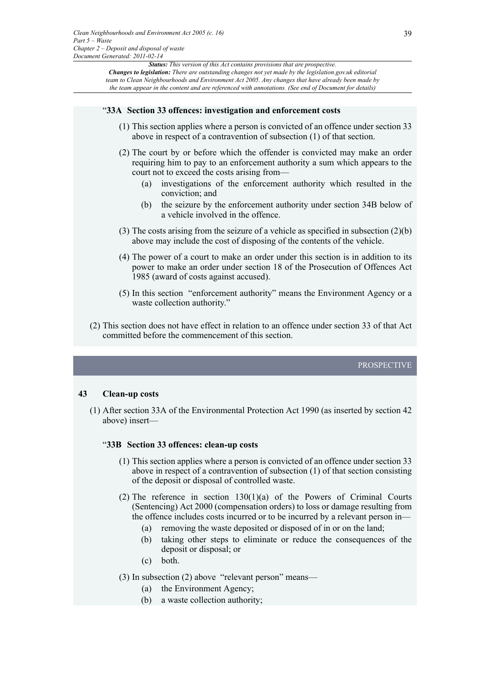### "**33A Section 33 offences: investigation and enforcement costs**

- (1) This section applies where a person is convicted of an offence under section 33 above in respect of a contravention of subsection (1) of that section.
- (2) The court by or before which the offender is convicted may make an order requiring him to pay to an enforcement authority a sum which appears to the court not to exceed the costs arising from—
	- (a) investigations of the enforcement authority which resulted in the conviction; and
	- (b) the seizure by the enforcement authority under section 34B below of a vehicle involved in the offence.
- (3) The costs arising from the seizure of a vehicle as specified in subsection (2)(b) above may include the cost of disposing of the contents of the vehicle.
- (4) The power of a court to make an order under this section is in addition to its power to make an order under section 18 of the Prosecution of Offences Act 1985 (award of costs against accused).
- (5) In this section "enforcement authority" means the Environment Agency or a waste collection authority."
- (2) This section does not have effect in relation to an offence under section 33 of that Act committed before the commencement of this section.

**PROSPECTIVE** 

## **43 Clean-up costs**

(1) After section 33A of the Environmental Protection Act 1990 (as inserted by section 42 above) insert—

## "**33B Section 33 offences: clean-up costs**

- (1) This section applies where a person is convicted of an offence under section 33 above in respect of a contravention of subsection (1) of that section consisting of the deposit or disposal of controlled waste.
- (2) The reference in section  $130(1)(a)$  of the Powers of Criminal Courts (Sentencing) Act 2000 (compensation orders) to loss or damage resulting from the offence includes costs incurred or to be incurred by a relevant person in—
	- (a) removing the waste deposited or disposed of in or on the land;
	- (b) taking other steps to eliminate or reduce the consequences of the deposit or disposal; or
	- (c) both.

(3) In subsection (2) above "relevant person" means—

- (a) the Environment Agency;
- (b) a waste collection authority;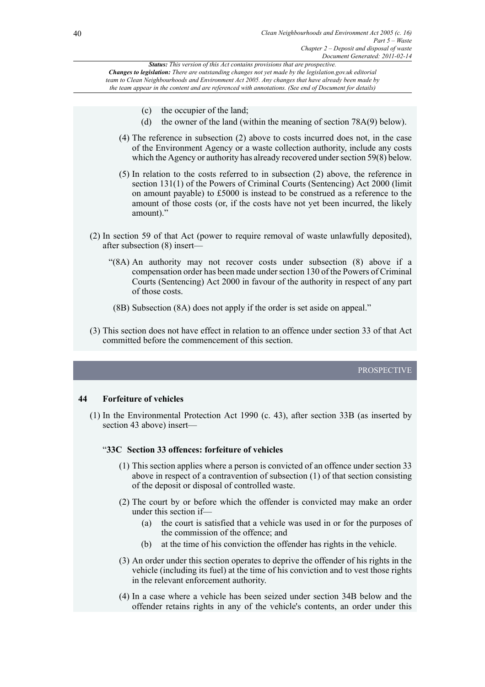- (c) the occupier of the land;
- (d) the owner of the land (within the meaning of section 78A(9) below).
- (4) The reference in subsection (2) above to costs incurred does not, in the case of the Environment Agency or a waste collection authority, include any costs which the Agency or authority has already recovered under section 59(8) below.
- (5) In relation to the costs referred to in subsection (2) above, the reference in section 131(1) of the Powers of Criminal Courts (Sentencing) Act 2000 (limit on amount payable) to £5000 is instead to be construed as a reference to the amount of those costs (or, if the costs have not yet been incurred, the likely amount)."
- (2) In section 59 of that Act (power to require removal of waste unlawfully deposited), after subsection (8) insert—
	- "(8A) An authority may not recover costs under subsection (8) above if a compensation order has been made under section 130 of the Powers of Criminal Courts (Sentencing) Act 2000 in favour of the authority in respect of any part of those costs.
	- (8B) Subsection (8A) does not apply if the order is set aside on appeal."
- (3) This section does not have effect in relation to an offence under section 33 of that Act committed before the commencement of this section.

PROSPECTIVE

### **44 Forfeiture of vehicles**

(1) In the Environmental Protection Act 1990 (c. 43), after section 33B (as inserted by section 43 above) insert—

## "**33C Section 33 offences: forfeiture of vehicles**

- (1) This section applies where a person is convicted of an offence under section 33 above in respect of a contravention of subsection (1) of that section consisting of the deposit or disposal of controlled waste.
- (2) The court by or before which the offender is convicted may make an order under this section if—
	- (a) the court is satisfied that a vehicle was used in or for the purposes of the commission of the offence; and
	- (b) at the time of his conviction the offender has rights in the vehicle.
- (3) An order under this section operates to deprive the offender of his rights in the vehicle (including its fuel) at the time of his conviction and to vest those rights in the relevant enforcement authority.
- (4) In a case where a vehicle has been seized under section 34B below and the offender retains rights in any of the vehicle's contents, an order under this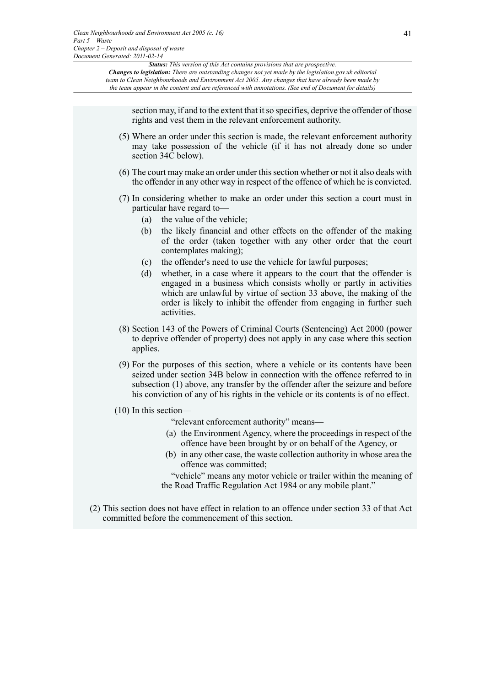section may, if and to the extent that it so specifies, deprive the offender of those rights and vest them in the relevant enforcement authority.

- (5) Where an order under this section is made, the relevant enforcement authority may take possession of the vehicle (if it has not already done so under section 34C below).
- (6) The court may make an order under this section whether or not it also deals with the offender in any other way in respect of the offence of which he is convicted.
- (7) In considering whether to make an order under this section a court must in particular have regard to—
	- (a) the value of the vehicle;
	- (b) the likely financial and other effects on the offender of the making of the order (taken together with any other order that the court contemplates making);
	- (c) the offender's need to use the vehicle for lawful purposes;
	- (d) whether, in a case where it appears to the court that the offender is engaged in a business which consists wholly or partly in activities which are unlawful by virtue of section 33 above, the making of the order is likely to inhibit the offender from engaging in further such activities.
- (8) Section 143 of the Powers of Criminal Courts (Sentencing) Act 2000 (power to deprive offender of property) does not apply in any case where this section applies.
- (9) For the purposes of this section, where a vehicle or its contents have been seized under section 34B below in connection with the offence referred to in subsection (1) above, any transfer by the offender after the seizure and before his conviction of any of his rights in the vehicle or its contents is of no effect.
- (10) In this section—

"relevant enforcement authority" means—

- (a) the Environment Agency, where the proceedings in respect of the offence have been brought by or on behalf of the Agency, or
- (b) in any other case, the waste collection authority in whose area the offence was committed;

"vehicle" means any motor vehicle or trailer within the meaning of the Road Traffic Regulation Act 1984 or any mobile plant."

(2) This section does not have effect in relation to an offence under section 33 of that Act committed before the commencement of this section.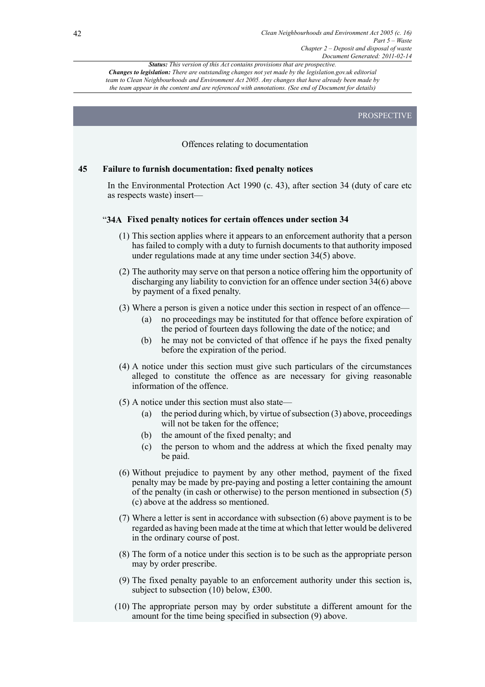PROSPECTIVE

Offences relating to documentation

## **45 Failure to furnish documentation: fixed penalty notices**

In the Environmental Protection Act 1990 (c. 43), after section 34 (duty of care etc as respects waste) insert—

### "**34A Fixed penalty notices for certain offences under section 34**

- (1) This section applies where it appears to an enforcement authority that a person has failed to comply with a duty to furnish documents to that authority imposed under regulations made at any time under section 34(5) above.
- (2) The authority may serve on that person a notice offering him the opportunity of discharging any liability to conviction for an offence under section 34(6) above by payment of a fixed penalty.
- (3) Where a person is given a notice under this section in respect of an offence—
	- (a) no proceedings may be instituted for that offence before expiration of the period of fourteen days following the date of the notice; and
	- (b) he may not be convicted of that offence if he pays the fixed penalty before the expiration of the period.
- (4) A notice under this section must give such particulars of the circumstances alleged to constitute the offence as are necessary for giving reasonable information of the offence.
- (5) A notice under this section must also state—
	- (a) the period during which, by virtue of subsection (3) above, proceedings will not be taken for the offence;
	- (b) the amount of the fixed penalty; and
	- (c) the person to whom and the address at which the fixed penalty may be paid.
- (6) Without prejudice to payment by any other method, payment of the fixed penalty may be made by pre-paying and posting a letter containing the amount of the penalty (in cash or otherwise) to the person mentioned in subsection (5) (c) above at the address so mentioned.
- (7) Where a letter is sent in accordance with subsection (6) above payment is to be regarded as having been made at the time at which that letter would be delivered in the ordinary course of post.
- (8) The form of a notice under this section is to be such as the appropriate person may by order prescribe.
- (9) The fixed penalty payable to an enforcement authority under this section is, subject to subsection (10) below, £300.
- (10) The appropriate person may by order substitute a different amount for the amount for the time being specified in subsection (9) above.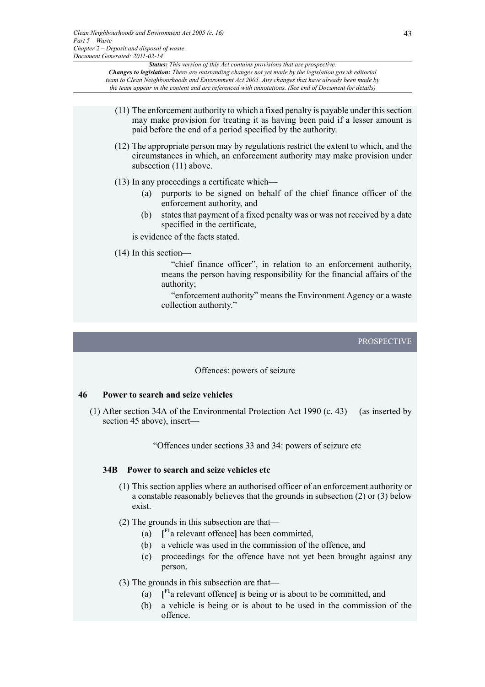- (11) The enforcement authority to which a fixed penalty is payable under this section may make provision for treating it as having been paid if a lesser amount is paid before the end of a period specified by the authority.
- (12) The appropriate person may by regulations restrict the extent to which, and the circumstances in which, an enforcement authority may make provision under subsection (11) above.
- (13) In any proceedings a certificate which—
	- (a) purports to be signed on behalf of the chief finance officer of the enforcement authority, and
	- (b) states that payment of a fixed penalty was or was not received by a date specified in the certificate,

is evidence of the facts stated.

(14) In this section—

"chief finance officer", in relation to an enforcement authority, means the person having responsibility for the financial affairs of the authority;

"enforcement authority" means the Environment Agency or a waste collection authority."

PROSPECTIVE

Offences: powers of seizure

## **46 Power to search and seize vehicles**

(1) After section 34A of the Environmental Protection Act 1990 (c. 43) (as inserted by section 45 above), insert—

"Offences under sections 33 and 34: powers of seizure etc

# **34B Power to search and seize vehicles etc**

(1) This section applies where an authorised officer of an enforcement authority or a constable reasonably believes that the grounds in subsection (2) or (3) below exist.

(2) The grounds in this subsection are that—

- <span id="page-42-0"></span>(a) **[ [F1](#page-44-0)**a relevant offence**]** has been committed,
- (b) a vehicle was used in the commission of the offence, and
- (c) proceedings for the offence have not yet been brought against any person.

(3) The grounds in this subsection are that—

- (a)  $\int_{0}^{F_1}$ a relevant offence] is being or is about to be committed, and
- (b) a vehicle is being or is about to be used in the commission of the offence.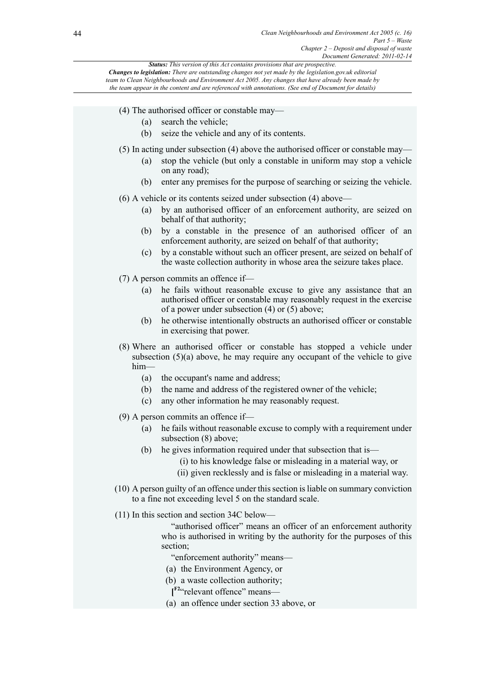(4) The authorised officer or constable may—

- (a) search the vehicle;
- (b) seize the vehicle and any of its contents.
- (5) In acting under subsection (4) above the authorised officer or constable may—
	- (a) stop the vehicle (but only a constable in uniform may stop a vehicle on any road);
	- (b) enter any premises for the purpose of searching or seizing the vehicle.
- (6) A vehicle or its contents seized under subsection (4) above—
	- (a) by an authorised officer of an enforcement authority, are seized on behalf of that authority;
	- (b) by a constable in the presence of an authorised officer of an enforcement authority, are seized on behalf of that authority;
	- (c) by a constable without such an officer present, are seized on behalf of the waste collection authority in whose area the seizure takes place.
- (7) A person commits an offence if—
	- (a) he fails without reasonable excuse to give any assistance that an authorised officer or constable may reasonably request in the exercise of a power under subsection (4) or (5) above;
	- (b) he otherwise intentionally obstructs an authorised officer or constable in exercising that power.
- (8) Where an authorised officer or constable has stopped a vehicle under subsection (5)(a) above, he may require any occupant of the vehicle to give him—
	- (a) the occupant's name and address;
	- (b) the name and address of the registered owner of the vehicle;
	- (c) any other information he may reasonably request.
- (9) A person commits an offence if—
	- (a) he fails without reasonable excuse to comply with a requirement under subsection (8) above;
	- (b) he gives information required under that subsection that is—
		- (i) to his knowledge false or misleading in a material way, or
		- (ii) given recklessly and is false or misleading in a material way.
- (10) A person guilty of an offence under this section is liable on summary conviction to a fine not exceeding level 5 on the standard scale.
- (11) In this section and section 34C below—

"authorised officer" means an officer of an enforcement authority who is authorised in writing by the authority for the purposes of this section;

- "enforcement authority" means—
- (a) the Environment Agency, or
- (b) a waste collection authority;
- <span id="page-43-0"></span>**[ [F2](#page-44-1)**"relevant offence" means—
- (a) an offence under section 33 above, or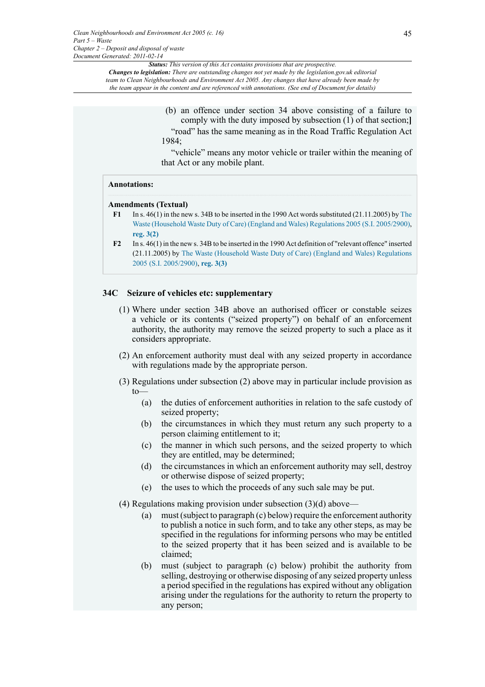> (b) an offence under section 34 above consisting of a failure to comply with the duty imposed by subsection (1) of that section;**]** "road" has the same meaning as in the Road Traffic Regulation Act 1984;

> "vehicle" means any motor vehicle or trailer within the meaning of that Act or any mobile plant.

### **Annotations:**

### <span id="page-44-0"></span>**Amendments (Textual)**

- **[F1](#page-42-0)** In s. 46(1) in the new s. 34B to be inserted in the 1990 Act words substituted (21.11.2005) by [The](http://www.legislation.gov.uk/id/uksi/2005/2900) [Waste \(Household Waste Duty of Care\) \(England and Wales\) Regulations 2005 \(S.I. 2005/2900\)](http://www.legislation.gov.uk/id/uksi/2005/2900), **[reg. 3\(2\)](http://www.legislation.gov.uk/id/uksi/2005/2900/regulation/3/2)**
- <span id="page-44-1"></span>**[F2](#page-43-0)** In s. 46(1) in the new s. 34B to be inserted in the 1990 Act definition of "relevant offence" inserted (21.11.2005) by [The Waste \(Household Waste Duty of Care\) \(England and Wales\) Regulations](http://www.legislation.gov.uk/id/uksi/2005/2900) [2005 \(S.I. 2005/2900\)](http://www.legislation.gov.uk/id/uksi/2005/2900), **[reg. 3\(3\)](http://www.legislation.gov.uk/id/uksi/2005/2900/regulation/3/3)**

## **34C Seizure of vehicles etc: supplementary**

- (1) Where under section 34B above an authorised officer or constable seizes a vehicle or its contents ("seized property") on behalf of an enforcement authority, the authority may remove the seized property to such a place as it considers appropriate.
- (2) An enforcement authority must deal with any seized property in accordance with regulations made by the appropriate person.
- (3) Regulations under subsection (2) above may in particular include provision as to—
	- (a) the duties of enforcement authorities in relation to the safe custody of seized property;
	- (b) the circumstances in which they must return any such property to a person claiming entitlement to it;
	- (c) the manner in which such persons, and the seized property to which they are entitled, may be determined;
	- (d) the circumstances in which an enforcement authority may sell, destroy or otherwise dispose of seized property;
	- (e) the uses to which the proceeds of any such sale may be put.

(4) Regulations making provision under subsection  $(3)(d)$  above—

- (a) must (subject to paragraph (c) below) require the enforcement authority to publish a notice in such form, and to take any other steps, as may be specified in the regulations for informing persons who may be entitled to the seized property that it has been seized and is available to be claimed;
- (b) must (subject to paragraph (c) below) prohibit the authority from selling, destroying or otherwise disposing of any seized property unless a period specified in the regulations has expired without any obligation arising under the regulations for the authority to return the property to any person;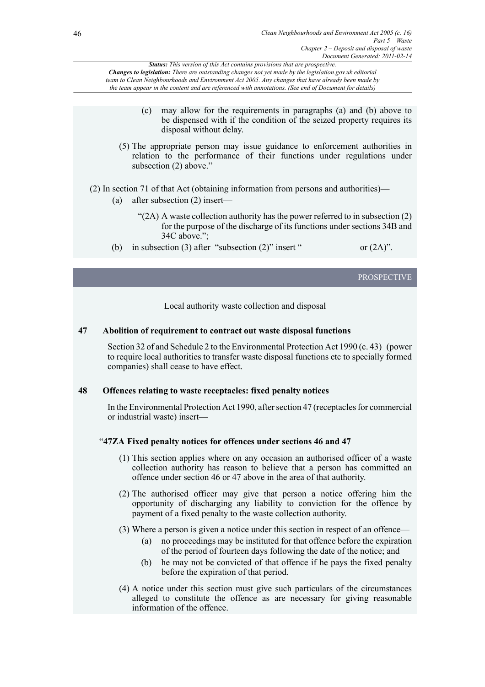- (c) may allow for the requirements in paragraphs (a) and (b) above to be dispensed with if the condition of the seized property requires its disposal without delay.
- (5) The appropriate person may issue guidance to enforcement authorities in relation to the performance of their functions under regulations under subsection (2) above."

(2) In section 71 of that Act (obtaining information from persons and authorities)—

- (a) after subsection (2) insert—
	- " $(2A)$  A waste collection authority has the power referred to in subsection  $(2)$ for the purpose of the discharge of its functions under sections 34B and 34C above.";
- (b) in subsection (3) after "subsection (2)" insert " $\qquad \qquad$  or (2A)".

## PROSPECTIVE

Local authority waste collection and disposal

## **47 Abolition of requirement to contract out waste disposal functions**

Section 32 of and Schedule 2 to the Environmental Protection Act 1990 (c. 43) (power to require local authorities to transfer waste disposal functions etc to specially formed companies) shall cease to have effect.

# **48 Offences relating to waste receptacles: fixed penalty notices**

In the Environmental Protection Act 1990, after section 47 (receptacles for commercial or industrial waste) insert—

## "**47ZA Fixed penalty notices for offences under sections 46 and 47**

- (1) This section applies where on any occasion an authorised officer of a waste collection authority has reason to believe that a person has committed an offence under section 46 or 47 above in the area of that authority.
- (2) The authorised officer may give that person a notice offering him the opportunity of discharging any liability to conviction for the offence by payment of a fixed penalty to the waste collection authority.
- (3) Where a person is given a notice under this section in respect of an offence—
	- (a) no proceedings may be instituted for that offence before the expiration of the period of fourteen days following the date of the notice; and
	- (b) he may not be convicted of that offence if he pays the fixed penalty before the expiration of that period.
- (4) A notice under this section must give such particulars of the circumstances alleged to constitute the offence as are necessary for giving reasonable information of the offence.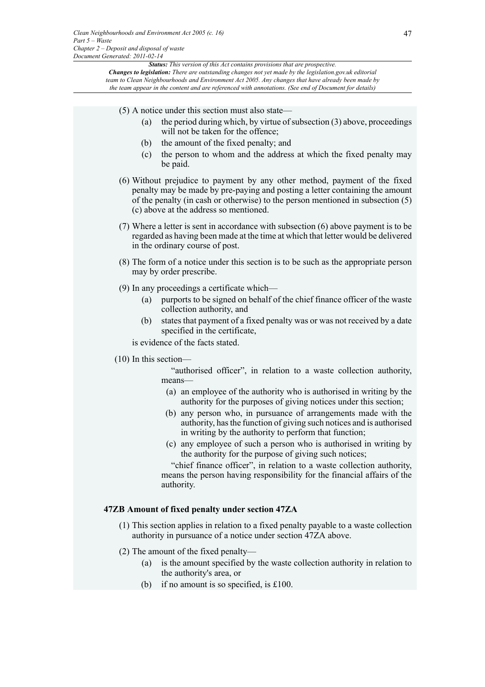*Status: This version of this Act contains provisions that are prospective. Changes to legislation: There are outstanding changes not yet made by the legislation.gov.uk editorial*

*team to Clean Neighbourhoods and Environment Act 2005. Any changes that have already been made by the team appear in the content and are referenced with annotations. (See end of Document for details)*

(5) A notice under this section must also state—

- (a) the period during which, by virtue of subsection  $(3)$  above, proceedings will not be taken for the offence;
- (b) the amount of the fixed penalty; and
- (c) the person to whom and the address at which the fixed penalty may be paid.
- (6) Without prejudice to payment by any other method, payment of the fixed penalty may be made by pre-paying and posting a letter containing the amount of the penalty (in cash or otherwise) to the person mentioned in subsection (5) (c) above at the address so mentioned.
- (7) Where a letter is sent in accordance with subsection (6) above payment is to be regarded as having been made at the time at which that letter would be delivered in the ordinary course of post.
- (8) The form of a notice under this section is to be such as the appropriate person may by order prescribe.
- (9) In any proceedings a certificate which—
	- (a) purports to be signed on behalf of the chief finance officer of the waste collection authority, and
	- (b) states that payment of a fixed penalty was or was not received by a date specified in the certificate,
	- is evidence of the facts stated.

## (10) In this section—

"authorised officer", in relation to a waste collection authority, means—

- (a) an employee of the authority who is authorised in writing by the authority for the purposes of giving notices under this section;
- (b) any person who, in pursuance of arrangements made with the authority, has the function of giving such notices and is authorised in writing by the authority to perform that function;
- (c) any employee of such a person who is authorised in writing by the authority for the purpose of giving such notices;

"chief finance officer", in relation to a waste collection authority, means the person having responsibility for the financial affairs of the authority.

## **47ZB Amount of fixed penalty under section 47ZA**

- (1) This section applies in relation to a fixed penalty payable to a waste collection authority in pursuance of a notice under section 47ZA above.
- (2) The amount of the fixed penalty—
	- (a) is the amount specified by the waste collection authority in relation to the authority's area, or
	- (b) if no amount is so specified, is £100.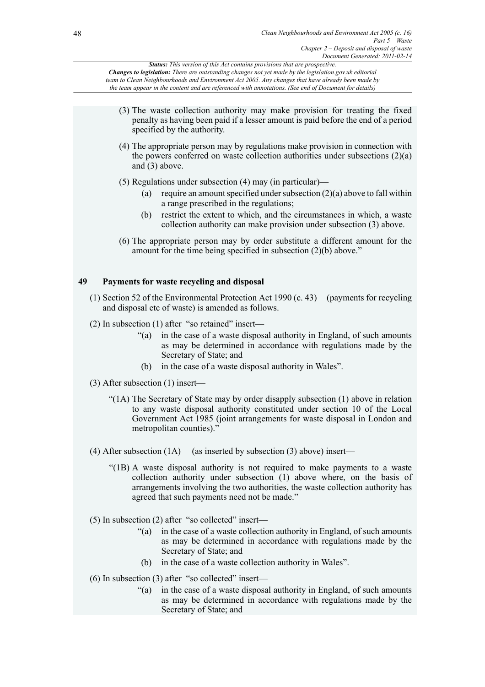- (3) The waste collection authority may make provision for treating the fixed penalty as having been paid if a lesser amount is paid before the end of a period specified by the authority.
- (4) The appropriate person may by regulations make provision in connection with the powers conferred on waste collection authorities under subsections (2)(a) and (3) above.
- (5) Regulations under subsection (4) may (in particular)—
	- (a) require an amount specified under subsection (2)(a) above to fall within a range prescribed in the regulations;
	- (b) restrict the extent to which, and the circumstances in which, a waste collection authority can make provision under subsection (3) above.
- (6) The appropriate person may by order substitute a different amount for the amount for the time being specified in subsection (2)(b) above."

# **49 Payments for waste recycling and disposal**

- (1) Section 52 of the Environmental Protection Act 1990 (c. 43) (payments for recycling and disposal etc of waste) is amended as follows.
- (2) In subsection (1) after "so retained" insert—
	- "(a) in the case of a waste disposal authority in England, of such amounts as may be determined in accordance with regulations made by the Secretary of State; and
	- (b) in the case of a waste disposal authority in Wales".
- (3) After subsection (1) insert—
	- "(1A) The Secretary of State may by order disapply subsection (1) above in relation to any waste disposal authority constituted under section 10 of the Local Government Act 1985 (joint arrangements for waste disposal in London and metropolitan counties)."
- (4) After subsection (1A) (as inserted by subsection (3) above) insert—
	- "(1B) A waste disposal authority is not required to make payments to a waste collection authority under subsection (1) above where, on the basis of arrangements involving the two authorities, the waste collection authority has agreed that such payments need not be made."
- (5) In subsection (2) after "so collected" insert—
	- "(a) in the case of a waste collection authority in England, of such amounts as may be determined in accordance with regulations made by the Secretary of State; and
	- (b) in the case of a waste collection authority in Wales".
- (6) In subsection (3) after "so collected" insert—
	- "(a) in the case of a waste disposal authority in England, of such amounts as may be determined in accordance with regulations made by the Secretary of State; and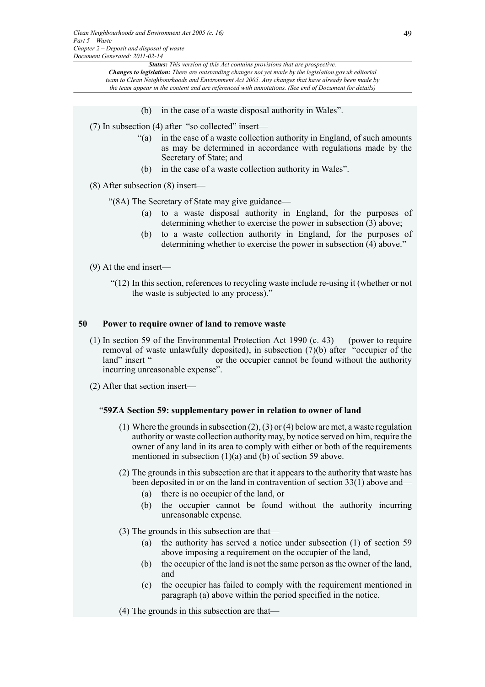- (b) in the case of a waste disposal authority in Wales".
- (7) In subsection (4) after "so collected" insert—
	- "(a) in the case of a waste collection authority in England, of such amounts as may be determined in accordance with regulations made by the Secretary of State; and
	- (b) in the case of a waste collection authority in Wales".

(8) After subsection (8) insert—

"(8A) The Secretary of State may give guidance—

- (a) to a waste disposal authority in England, for the purposes of determining whether to exercise the power in subsection (3) above;
- (b) to a waste collection authority in England, for the purposes of determining whether to exercise the power in subsection (4) above."

## (9) At the end insert—

"(12) In this section, references to recycling waste include re-using it (whether or not the waste is subjected to any process)."

## **50 Power to require owner of land to remove waste**

- (1) In section 59 of the Environmental Protection Act 1990 (c. 43) (power to require removal of waste unlawfully deposited), in subsection (7)(b) after "occupier of the land" insert "or the occupier cannot be found without the authority or the occupier cannot be found without the authority incurring unreasonable expense".
- (2) After that section insert—

## "**59ZA Section 59: supplementary power in relation to owner of land**

- (1) Where the grounds in subsection (2), (3) or (4) below are met, a waste regulation authority or waste collection authority may, by notice served on him, require the owner of any land in its area to comply with either or both of the requirements mentioned in subsection (1)(a) and (b) of section 59 above.
- (2) The grounds in this subsection are that it appears to the authority that waste has been deposited in or on the land in contravention of section 33(1) above and—
	- (a) there is no occupier of the land, or
	- (b) the occupier cannot be found without the authority incurring unreasonable expense.
- (3) The grounds in this subsection are that—
	- (a) the authority has served a notice under subsection (1) of section 59 above imposing a requirement on the occupier of the land,
	- (b) the occupier of the land is not the same person as the owner of the land, and
	- (c) the occupier has failed to comply with the requirement mentioned in paragraph (a) above within the period specified in the notice.

(4) The grounds in this subsection are that—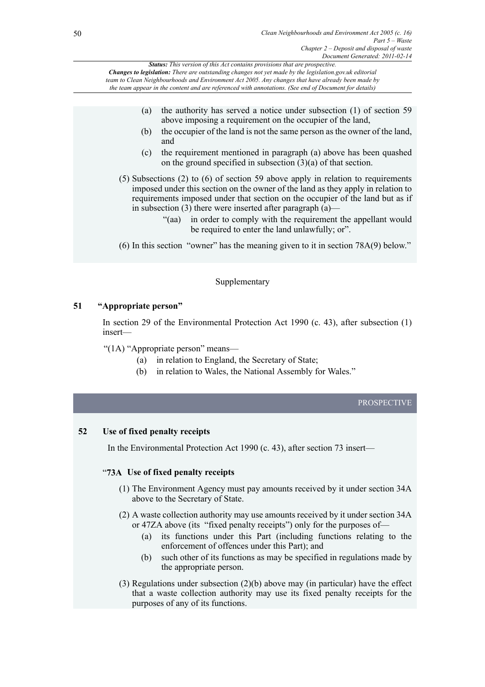- (a) the authority has served a notice under subsection (1) of section 59 above imposing a requirement on the occupier of the land,
- (b) the occupier of the land is not the same person as the owner of the land, and
- (c) the requirement mentioned in paragraph (a) above has been quashed on the ground specified in subsection (3)(a) of that section.
- (5) Subsections (2) to (6) of section 59 above apply in relation to requirements imposed under this section on the owner of the land as they apply in relation to requirements imposed under that section on the occupier of the land but as if in subsection (3) there were inserted after paragraph (a)—
	- "(aa) in order to comply with the requirement the appellant would be required to enter the land unlawfully; or".
- (6) In this section "owner" has the meaning given to it in section 78A(9) below."

## Supplementary

## **51 "Appropriate person"**

In section 29 of the Environmental Protection Act 1990 (c. 43), after subsection (1) insert—

"(1A) "Appropriate person" means—

- (a) in relation to England, the Secretary of State;
- (b) in relation to Wales, the National Assembly for Wales."

## PROSPECTIVE

## **52 Use of fixed penalty receipts**

In the Environmental Protection Act 1990 (c. 43), after section 73 insert—

## "**73A Use of fixed penalty receipts**

- (1) The Environment Agency must pay amounts received by it under section 34A above to the Secretary of State.
- (2) A waste collection authority may use amounts received by it under section 34A or 47ZA above (its "fixed penalty receipts") only for the purposes of—
	- (a) its functions under this Part (including functions relating to the enforcement of offences under this Part); and
	- (b) such other of its functions as may be specified in regulations made by the appropriate person.
- (3) Regulations under subsection  $(2)(b)$  above may (in particular) have the effect that a waste collection authority may use its fixed penalty receipts for the purposes of any of its functions.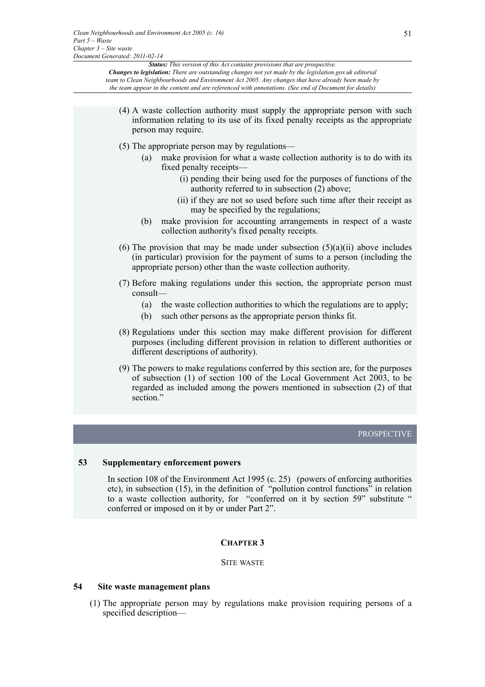- (4) A waste collection authority must supply the appropriate person with such information relating to its use of its fixed penalty receipts as the appropriate person may require.
- (5) The appropriate person may by regulations—
	- (a) make provision for what a waste collection authority is to do with its fixed penalty receipts—
		- (i) pending their being used for the purposes of functions of the authority referred to in subsection (2) above;
		- (ii) if they are not so used before such time after their receipt as may be specified by the regulations;
	- (b) make provision for accounting arrangements in respect of a waste collection authority's fixed penalty receipts.
- (6) The provision that may be made under subsection  $(5)(a)(ii)$  above includes (in particular) provision for the payment of sums to a person (including the appropriate person) other than the waste collection authority.
- (7) Before making regulations under this section, the appropriate person must consult—
	- (a) the waste collection authorities to which the regulations are to apply;
	- (b) such other persons as the appropriate person thinks fit.
- (8) Regulations under this section may make different provision for different purposes (including different provision in relation to different authorities or different descriptions of authority).
- (9) The powers to make regulations conferred by this section are, for the purposes of subsection (1) of section 100 of the Local Government Act 2003, to be regarded as included among the powers mentioned in subsection (2) of that section."

## PROSPECTIVE

### **53 Supplementary enforcement powers**

In section 108 of the Environment Act 1995 (c. 25) (powers of enforcing authorities etc), in subsection (15), in the definition of "pollution control functions" in relation to a waste collection authority, for "conferred on it by section 59" substitute " conferred or imposed on it by or under Part 2".

## **CHAPTER 3**

### SITE WASTE

# **54 Site waste management plans**

(1) The appropriate person may by regulations make provision requiring persons of a specified description—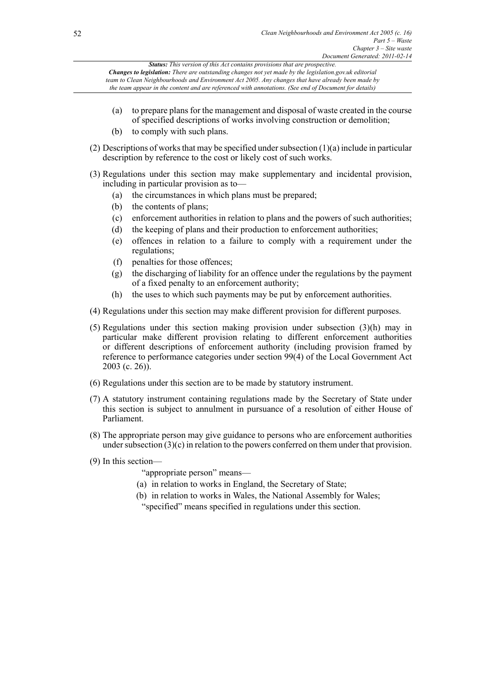- (a) to prepare plans for the management and disposal of waste created in the course of specified descriptions of works involving construction or demolition;
- (b) to comply with such plans.
- (2) Descriptions of works that may be specified under subsection (1)(a) include in particular description by reference to the cost or likely cost of such works.
- (3) Regulations under this section may make supplementary and incidental provision, including in particular provision as to—
	- (a) the circumstances in which plans must be prepared;
	- (b) the contents of plans;
	- (c) enforcement authorities in relation to plans and the powers of such authorities;
	- (d) the keeping of plans and their production to enforcement authorities;
	- (e) offences in relation to a failure to comply with a requirement under the regulations;
	- (f) penalties for those offences;
	- (g) the discharging of liability for an offence under the regulations by the payment of a fixed penalty to an enforcement authority;
	- (h) the uses to which such payments may be put by enforcement authorities.
- (4) Regulations under this section may make different provision for different purposes.
- (5) Regulations under this section making provision under subsection (3)(h) may in particular make different provision relating to different enforcement authorities or different descriptions of enforcement authority (including provision framed by reference to performance categories under section 99(4) of the Local Government Act 2003 (c. 26)).
- (6) Regulations under this section are to be made by statutory instrument.
- (7) A statutory instrument containing regulations made by the Secretary of State under this section is subject to annulment in pursuance of a resolution of either House of Parliament.
- (8) The appropriate person may give guidance to persons who are enforcement authorities under subsection  $(3)(c)$  in relation to the powers conferred on them under that provision.
- (9) In this section—

"appropriate person" means—

- (a) in relation to works in England, the Secretary of State;
- (b) in relation to works in Wales, the National Assembly for Wales;
- "specified" means specified in regulations under this section.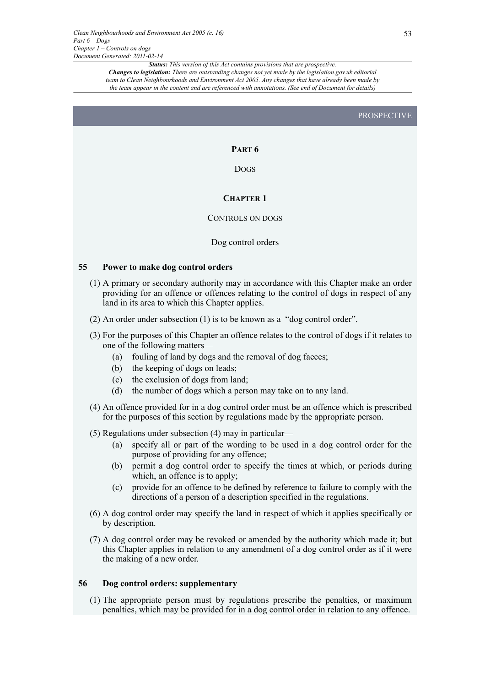**PROSPECTIVE** 

# **PART 6**

#### DOGS

### **CHAPTER 1**

### CONTROLS ON DOGS

#### Dog control orders

### **55 Power to make dog control orders**

- (1) A primary or secondary authority may in accordance with this Chapter make an order providing for an offence or offences relating to the control of dogs in respect of any land in its area to which this Chapter applies.
- (2) An order under subsection (1) is to be known as a "dog control order".
- (3) For the purposes of this Chapter an offence relates to the control of dogs if it relates to one of the following matters—
	- (a) fouling of land by dogs and the removal of dog faeces;
	- (b) the keeping of dogs on leads;
	- (c) the exclusion of dogs from land;
	- (d) the number of dogs which a person may take on to any land.
- (4) An offence provided for in a dog control order must be an offence which is prescribed for the purposes of this section by regulations made by the appropriate person.
- (5) Regulations under subsection (4) may in particular—
	- (a) specify all or part of the wording to be used in a dog control order for the purpose of providing for any offence;
	- (b) permit a dog control order to specify the times at which, or periods during which, an offence is to apply;
	- (c) provide for an offence to be defined by reference to failure to comply with the directions of a person of a description specified in the regulations.
- (6) A dog control order may specify the land in respect of which it applies specifically or by description.
- (7) A dog control order may be revoked or amended by the authority which made it; but this Chapter applies in relation to any amendment of a dog control order as if it were the making of a new order.

### **56 Dog control orders: supplementary**

(1) The appropriate person must by regulations prescribe the penalties, or maximum penalties, which may be provided for in a dog control order in relation to any offence.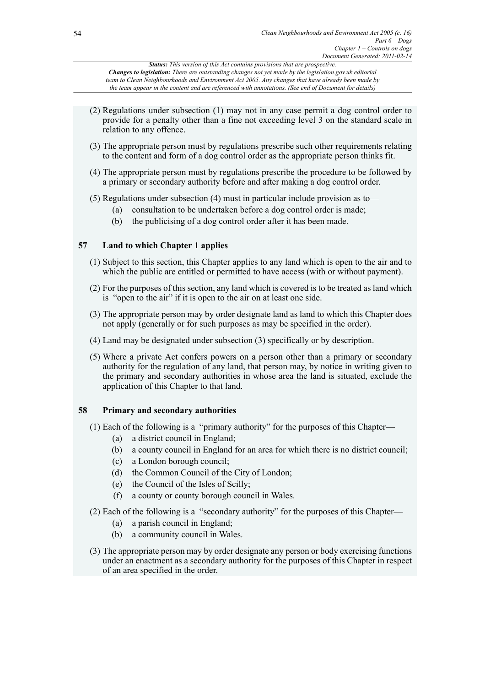- (2) Regulations under subsection (1) may not in any case permit a dog control order to provide for a penalty other than a fine not exceeding level 3 on the standard scale in relation to any offence.
- (3) The appropriate person must by regulations prescribe such other requirements relating to the content and form of a dog control order as the appropriate person thinks fit.
- (4) The appropriate person must by regulations prescribe the procedure to be followed by a primary or secondary authority before and after making a dog control order.
- (5) Regulations under subsection (4) must in particular include provision as to—
	- (a) consultation to be undertaken before a dog control order is made;
	- (b) the publicising of a dog control order after it has been made.

# **57 Land to which Chapter 1 applies**

- (1) Subject to this section, this Chapter applies to any land which is open to the air and to which the public are entitled or permitted to have access (with or without payment).
- (2) For the purposes of this section, any land which is covered is to be treated as land which is "open to the air" if it is open to the air on at least one side.
- (3) The appropriate person may by order designate land as land to which this Chapter does not apply (generally or for such purposes as may be specified in the order).
- (4) Land may be designated under subsection (3) specifically or by description.
- (5) Where a private Act confers powers on a person other than a primary or secondary authority for the regulation of any land, that person may, by notice in writing given to the primary and secondary authorities in whose area the land is situated, exclude the application of this Chapter to that land.

# **58 Primary and secondary authorities**

- (1) Each of the following is a "primary authority" for the purposes of this Chapter—
	- (a) a district council in England;
	- (b) a county council in England for an area for which there is no district council;
	- (c) a London borough council;
	- (d) the Common Council of the City of London;
	- (e) the Council of the Isles of Scilly;
	- (f) a county or county borough council in Wales.
- (2) Each of the following is a "secondary authority" for the purposes of this Chapter—
	- (a) a parish council in England;
	- (b) a community council in Wales.
- (3) The appropriate person may by order designate any person or body exercising functions under an enactment as a secondary authority for the purposes of this Chapter in respect of an area specified in the order.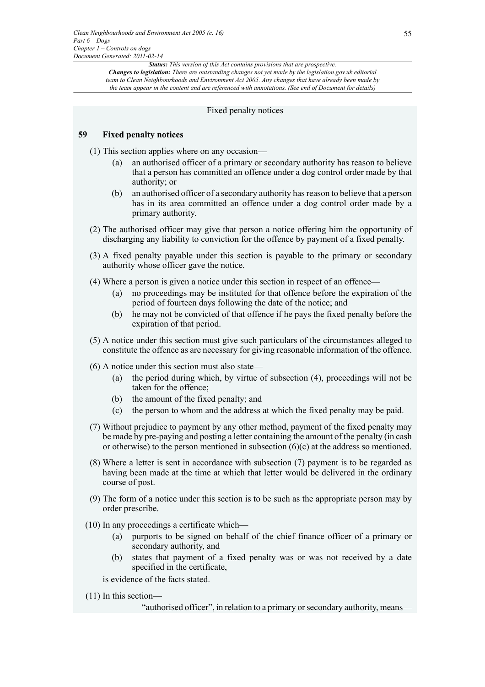### Fixed penalty notices

# **59 Fixed penalty notices**

(1) This section applies where on any occasion—

- (a) an authorised officer of a primary or secondary authority has reason to believe that a person has committed an offence under a dog control order made by that authority; or
- (b) an authorised officer of a secondary authority has reason to believe that a person has in its area committed an offence under a dog control order made by a primary authority.
- (2) The authorised officer may give that person a notice offering him the opportunity of discharging any liability to conviction for the offence by payment of a fixed penalty.
- (3) A fixed penalty payable under this section is payable to the primary or secondary authority whose officer gave the notice.
- (4) Where a person is given a notice under this section in respect of an offence—
	- (a) no proceedings may be instituted for that offence before the expiration of the period of fourteen days following the date of the notice; and
	- (b) he may not be convicted of that offence if he pays the fixed penalty before the expiration of that period.
- (5) A notice under this section must give such particulars of the circumstances alleged to constitute the offence as are necessary for giving reasonable information of the offence.
- (6) A notice under this section must also state—
	- (a) the period during which, by virtue of subsection (4), proceedings will not be taken for the offence;
	- (b) the amount of the fixed penalty; and
	- (c) the person to whom and the address at which the fixed penalty may be paid.
- (7) Without prejudice to payment by any other method, payment of the fixed penalty may be made by pre-paying and posting a letter containing the amount of the penalty (in cash or otherwise) to the person mentioned in subsection  $(6)(c)$  at the address so mentioned.
- (8) Where a letter is sent in accordance with subsection (7) payment is to be regarded as having been made at the time at which that letter would be delivered in the ordinary course of post.
- (9) The form of a notice under this section is to be such as the appropriate person may by order prescribe.
- (10) In any proceedings a certificate which—
	- (a) purports to be signed on behalf of the chief finance officer of a primary or secondary authority, and
	- (b) states that payment of a fixed penalty was or was not received by a date specified in the certificate,

is evidence of the facts stated.

(11) In this section—

"authorised officer", in relation to a primary or secondary authority, means—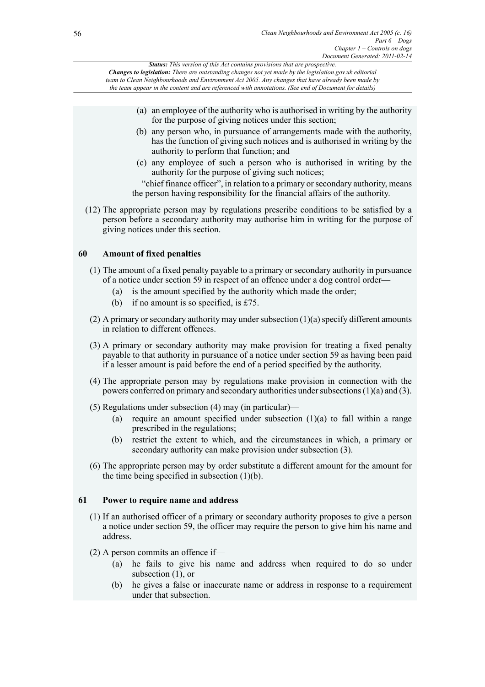- (a) an employee of the authority who is authorised in writing by the authority for the purpose of giving notices under this section;
- (b) any person who, in pursuance of arrangements made with the authority, has the function of giving such notices and is authorised in writing by the authority to perform that function; and
- (c) any employee of such a person who is authorised in writing by the authority for the purpose of giving such notices;

"chief finance officer", in relation to a primary or secondary authority, means the person having responsibility for the financial affairs of the authority.

(12) The appropriate person may by regulations prescribe conditions to be satisfied by a person before a secondary authority may authorise him in writing for the purpose of giving notices under this section.

# **60 Amount of fixed penalties**

- (1) The amount of a fixed penalty payable to a primary or secondary authority in pursuance of a notice under section 59 in respect of an offence under a dog control order—
	- (a) is the amount specified by the authority which made the order;
	- (b) if no amount is so specified, is £75.
- (2) A primary or secondary authority may under subsection (1)(a) specify different amounts in relation to different offences.
- (3) A primary or secondary authority may make provision for treating a fixed penalty payable to that authority in pursuance of a notice under section 59 as having been paid if a lesser amount is paid before the end of a period specified by the authority.
- (4) The appropriate person may by regulations make provision in connection with the powers conferred on primary and secondary authorities under subsections (1)(a) and (3).
- (5) Regulations under subsection (4) may (in particular)—
	- (a) require an amount specified under subsection (1)(a) to fall within a range prescribed in the regulations;
	- (b) restrict the extent to which, and the circumstances in which, a primary or secondary authority can make provision under subsection (3).
- (6) The appropriate person may by order substitute a different amount for the amount for the time being specified in subsection  $(1)(b)$ .

## **61 Power to require name and address**

- (1) If an authorised officer of a primary or secondary authority proposes to give a person a notice under section 59, the officer may require the person to give him his name and address.
- (2) A person commits an offence if—
	- (a) he fails to give his name and address when required to do so under subsection (1), or
	- (b) he gives a false or inaccurate name or address in response to a requirement under that subsection.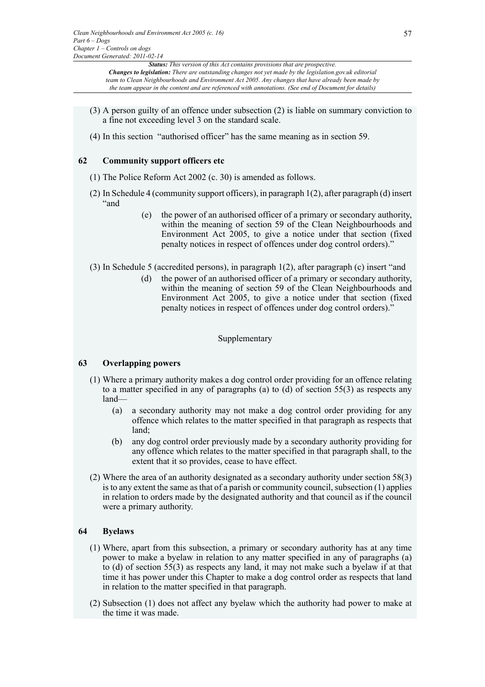- (3) A person guilty of an offence under subsection (2) is liable on summary conviction to a fine not exceeding level 3 on the standard scale.
- (4) In this section "authorised officer" has the same meaning as in section 59.

## **62 Community support officers etc**

- (1) The Police Reform Act 2002 (c. 30) is amended as follows.
- (2) In Schedule 4 (community support officers), in paragraph 1(2), after paragraph (d) insert "and
	- (e) the power of an authorised officer of a primary or secondary authority, within the meaning of section 59 of the Clean Neighbourhoods and Environment Act 2005, to give a notice under that section (fixed penalty notices in respect of offences under dog control orders)."
- (3) In Schedule 5 (accredited persons), in paragraph 1(2), after paragraph (c) insert "and
	- (d) the power of an authorised officer of a primary or secondary authority, within the meaning of section 59 of the Clean Neighbourhoods and Environment Act 2005, to give a notice under that section (fixed penalty notices in respect of offences under dog control orders)."

# **Supplementary**

# **63 Overlapping powers**

- (1) Where a primary authority makes a dog control order providing for an offence relating to a matter specified in any of paragraphs (a) to (d) of section 55(3) as respects any land—
	- (a) a secondary authority may not make a dog control order providing for any offence which relates to the matter specified in that paragraph as respects that land;
	- (b) any dog control order previously made by a secondary authority providing for any offence which relates to the matter specified in that paragraph shall, to the extent that it so provides, cease to have effect.
- (2) Where the area of an authority designated as a secondary authority under section 58(3) is to any extent the same as that of a parish or community council, subsection (1) applies in relation to orders made by the designated authority and that council as if the council were a primary authority.

## **64 Byelaws**

- (1) Where, apart from this subsection, a primary or secondary authority has at any time power to make a byelaw in relation to any matter specified in any of paragraphs (a) to (d) of section 55(3) as respects any land, it may not make such a byelaw if at that time it has power under this Chapter to make a dog control order as respects that land in relation to the matter specified in that paragraph.
- (2) Subsection (1) does not affect any byelaw which the authority had power to make at the time it was made.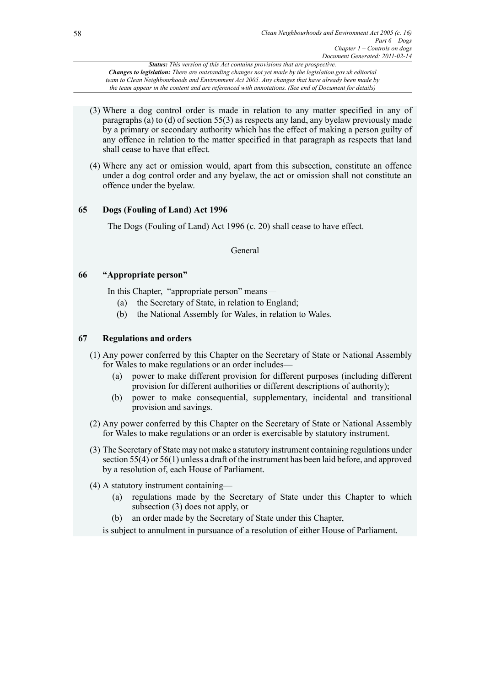- (3) Where a dog control order is made in relation to any matter specified in any of paragraphs (a) to (d) of section 55(3) as respects any land, any byelaw previously made by a primary or secondary authority which has the effect of making a person guilty of any offence in relation to the matter specified in that paragraph as respects that land shall cease to have that effect.
- (4) Where any act or omission would, apart from this subsection, constitute an offence under a dog control order and any byelaw, the act or omission shall not constitute an offence under the byelaw.

# **65 Dogs (Fouling of Land) Act 1996**

The Dogs (Fouling of Land) Act 1996 (c. 20) shall cease to have effect.

## General

## **66 "Appropriate person"**

In this Chapter, "appropriate person" means—

- (a) the Secretary of State, in relation to England;
- (b) the National Assembly for Wales, in relation to Wales.

# **67 Regulations and orders**

- (1) Any power conferred by this Chapter on the Secretary of State or National Assembly for Wales to make regulations or an order includes—
	- (a) power to make different provision for different purposes (including different provision for different authorities or different descriptions of authority);
	- (b) power to make consequential, supplementary, incidental and transitional provision and savings.
- (2) Any power conferred by this Chapter on the Secretary of State or National Assembly for Wales to make regulations or an order is exercisable by statutory instrument.
- (3) The Secretary of State may not make a statutory instrument containing regulations under section 55(4) or 56(1) unless a draft of the instrument has been laid before, and approved by a resolution of, each House of Parliament.
- (4) A statutory instrument containing—
	- (a) regulations made by the Secretary of State under this Chapter to which subsection (3) does not apply, or
	- (b) an order made by the Secretary of State under this Chapter,

is subject to annulment in pursuance of a resolution of either House of Parliament.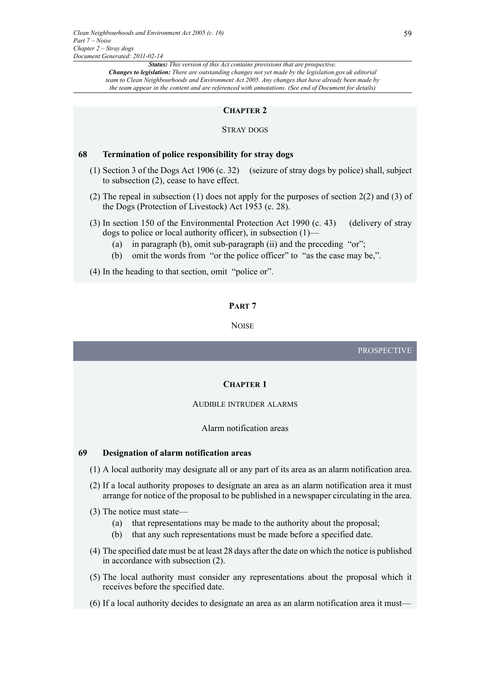## **CHAPTER 2**

#### STRAY DOGS

### **68 Termination of police responsibility for stray dogs**

- (1) Section 3 of the Dogs Act 1906 (c. 32) (seizure of stray dogs by police) shall, subject to subsection (2), cease to have effect.
- (2) The repeal in subsection (1) does not apply for the purposes of section 2(2) and (3) of the Dogs (Protection of Livestock) Act 1953 (c. 28).
- (3) In section 150 of the Environmental Protection Act 1990 (c. 43) (delivery of stray dogs to police or local authority officer), in subsection (1)—
	- (a) in paragraph (b), omit sub-paragraph (ii) and the preceding "or";
	- (b) omit the words from "or the police officer" to "as the case may be,".
- (4) In the heading to that section, omit "police or".

### **PART 7**

### **NOISE**

PROSPECTIVE

### **CHAPTER 1**

### AUDIBLE INTRUDER ALARMS

Alarm notification areas

## **69 Designation of alarm notification areas**

- (1) A local authority may designate all or any part of its area as an alarm notification area.
- (2) If a local authority proposes to designate an area as an alarm notification area it must arrange for notice of the proposal to be published in a newspaper circulating in the area.
- (3) The notice must state—
	- (a) that representations may be made to the authority about the proposal;
	- (b) that any such representations must be made before a specified date.
- (4) The specified date must be at least 28 days after the date on which the notice is published in accordance with subsection (2).
- (5) The local authority must consider any representations about the proposal which it receives before the specified date.
- (6) If a local authority decides to designate an area as an alarm notification area it must—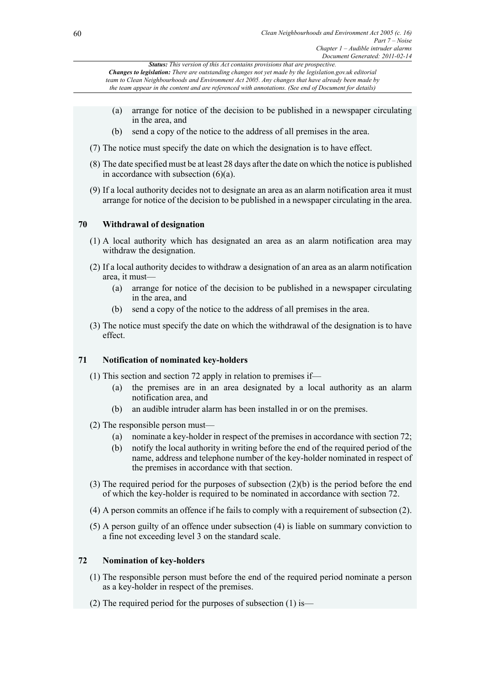- (a) arrange for notice of the decision to be published in a newspaper circulating in the area, and
- (b) send a copy of the notice to the address of all premises in the area.
- (7) The notice must specify the date on which the designation is to have effect.
- (8) The date specified must be at least 28 days after the date on which the notice is published in accordance with subsection  $(6)(a)$ .
- (9) If a local authority decides not to designate an area as an alarm notification area it must arrange for notice of the decision to be published in a newspaper circulating in the area.

# **70 Withdrawal of designation**

- (1) A local authority which has designated an area as an alarm notification area may withdraw the designation.
- (2) If a local authority decides to withdraw a designation of an area as an alarm notification area, it must—
	- (a) arrange for notice of the decision to be published in a newspaper circulating in the area, and
	- (b) send a copy of the notice to the address of all premises in the area.
- (3) The notice must specify the date on which the withdrawal of the designation is to have effect.

# **71 Notification of nominated key-holders**

- (1) This section and section 72 apply in relation to premises if—
	- (a) the premises are in an area designated by a local authority as an alarm notification area, and
	- (b) an audible intruder alarm has been installed in or on the premises.
- (2) The responsible person must—
	- (a) nominate a key-holder in respect of the premises in accordance with section 72;
	- (b) notify the local authority in writing before the end of the required period of the name, address and telephone number of the key-holder nominated in respect of the premises in accordance with that section.
- (3) The required period for the purposes of subsection (2)(b) is the period before the end of which the key-holder is required to be nominated in accordance with section 72.
- (4) A person commits an offence if he fails to comply with a requirement of subsection (2).
- (5) A person guilty of an offence under subsection (4) is liable on summary conviction to a fine not exceeding level 3 on the standard scale.

# **72 Nomination of key-holders**

- (1) The responsible person must before the end of the required period nominate a person as a key-holder in respect of the premises.
- (2) The required period for the purposes of subsection (1) is—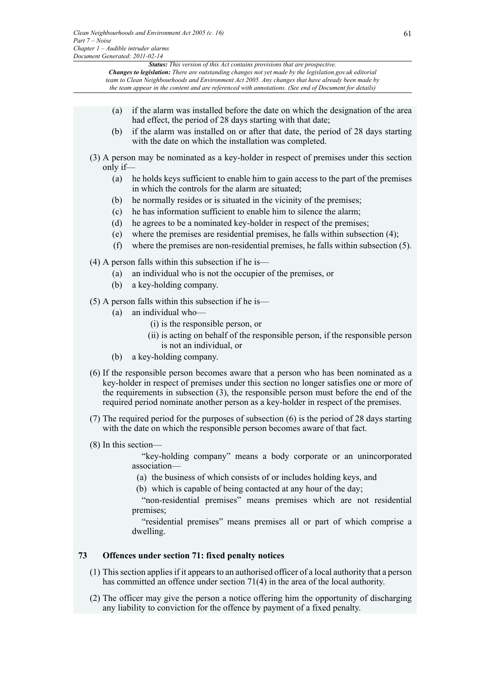- (a) if the alarm was installed before the date on which the designation of the area had effect, the period of 28 days starting with that date;
- (b) if the alarm was installed on or after that date, the period of 28 days starting with the date on which the installation was completed.
- (3) A person may be nominated as a key-holder in respect of premises under this section only if—
	- (a) he holds keys sufficient to enable him to gain access to the part of the premises in which the controls for the alarm are situated;
	- (b) he normally resides or is situated in the vicinity of the premises;
	- (c) he has information sufficient to enable him to silence the alarm;
	- (d) he agrees to be a nominated key-holder in respect of the premises;
	- (e) where the premises are residential premises, he falls within subsection (4);
	- (f) where the premises are non-residential premises, he falls within subsection (5).

(4) A person falls within this subsection if he is—

- (a) an individual who is not the occupier of the premises, or
- (b) a key-holding company.
- (5) A person falls within this subsection if he is—
	- (a) an individual who—
		- (i) is the responsible person, or
		- (ii) is acting on behalf of the responsible person, if the responsible person is not an individual, or
	- (b) a key-holding company.
- (6) If the responsible person becomes aware that a person who has been nominated as a key-holder in respect of premises under this section no longer satisfies one or more of the requirements in subsection (3), the responsible person must before the end of the required period nominate another person as a key-holder in respect of the premises.
- (7) The required period for the purposes of subsection (6) is the period of 28 days starting with the date on which the responsible person becomes aware of that fact.
- (8) In this section—

"key-holding company" means a body corporate or an unincorporated association—

- (a) the business of which consists of or includes holding keys, and
- (b) which is capable of being contacted at any hour of the day;

"non-residential premises" means premises which are not residential premises;

"residential premises" means premises all or part of which comprise a dwelling.

## **73 Offences under section 71: fixed penalty notices**

- (1) This section applies if it appears to an authorised officer of a local authority that a person has committed an offence under section 71(4) in the area of the local authority.
- (2) The officer may give the person a notice offering him the opportunity of discharging any liability to conviction for the offence by payment of a fixed penalty.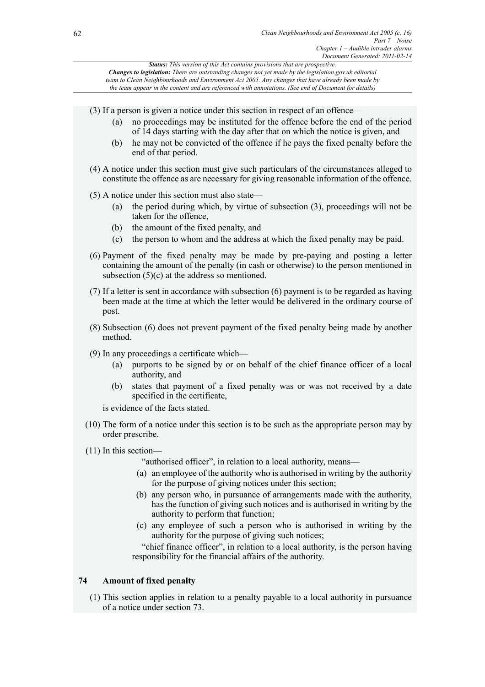(3) If a person is given a notice under this section in respect of an offence—

- (a) no proceedings may be instituted for the offence before the end of the period of 14 days starting with the day after that on which the notice is given, and
- (b) he may not be convicted of the offence if he pays the fixed penalty before the end of that period.
- (4) A notice under this section must give such particulars of the circumstances alleged to constitute the offence as are necessary for giving reasonable information of the offence.
- (5) A notice under this section must also state—
	- (a) the period during which, by virtue of subsection (3), proceedings will not be taken for the offence,
	- (b) the amount of the fixed penalty, and
	- (c) the person to whom and the address at which the fixed penalty may be paid.
- (6) Payment of the fixed penalty may be made by pre-paying and posting a letter containing the amount of the penalty (in cash or otherwise) to the person mentioned in subsection (5)(c) at the address so mentioned.
- (7) If a letter is sent in accordance with subsection (6) payment is to be regarded as having been made at the time at which the letter would be delivered in the ordinary course of post.
- (8) Subsection (6) does not prevent payment of the fixed penalty being made by another method.
- (9) In any proceedings a certificate which—
	- (a) purports to be signed by or on behalf of the chief finance officer of a local authority, and
	- (b) states that payment of a fixed penalty was or was not received by a date specified in the certificate,

is evidence of the facts stated.

- (10) The form of a notice under this section is to be such as the appropriate person may by order prescribe.
- (11) In this section—

"authorised officer", in relation to a local authority, means—

- (a) an employee of the authority who is authorised in writing by the authority for the purpose of giving notices under this section;
- (b) any person who, in pursuance of arrangements made with the authority, has the function of giving such notices and is authorised in writing by the authority to perform that function;
- (c) any employee of such a person who is authorised in writing by the authority for the purpose of giving such notices;

"chief finance officer", in relation to a local authority, is the person having responsibility for the financial affairs of the authority.

# **74 Amount of fixed penalty**

(1) This section applies in relation to a penalty payable to a local authority in pursuance of a notice under section 73.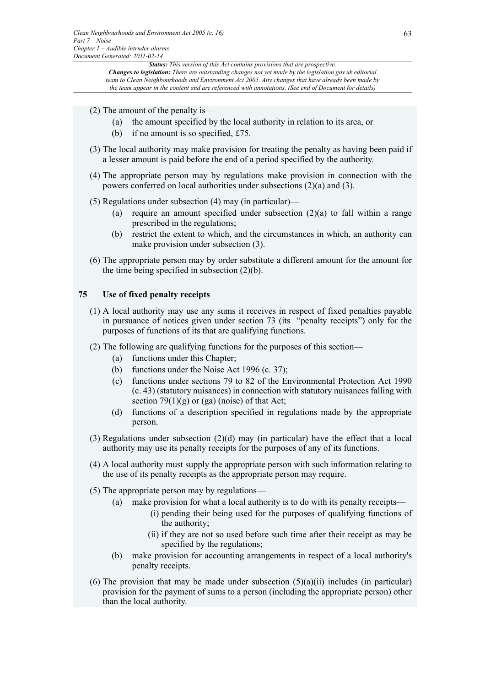- (2) The amount of the penalty is—
	- (a) the amount specified by the local authority in relation to its area, or
	- (b) if no amount is so specified, £75.
- (3) The local authority may make provision for treating the penalty as having been paid if a lesser amount is paid before the end of a period specified by the authority.
- (4) The appropriate person may by regulations make provision in connection with the powers conferred on local authorities under subsections (2)(a) and (3).
- (5) Regulations under subsection (4) may (in particular)—
	- (a) require an amount specified under subsection  $(2)(a)$  to fall within a range prescribed in the regulations;
	- (b) restrict the extent to which, and the circumstances in which, an authority can make provision under subsection (3).
- (6) The appropriate person may by order substitute a different amount for the amount for the time being specified in subsection (2)(b).

## **75 Use of fixed penalty receipts**

- (1) A local authority may use any sums it receives in respect of fixed penalties payable in pursuance of notices given under section 73 (its "penalty receipts") only for the purposes of functions of its that are qualifying functions.
- (2) The following are qualifying functions for the purposes of this section—
	- (a) functions under this Chapter;
	- (b) functions under the Noise Act 1996 (c. 37);
	- (c) functions under sections 79 to 82 of the Environmental Protection Act 1990 (c. 43) (statutory nuisances) in connection with statutory nuisances falling with section  $79(1)(g)$  or (ga) (noise) of that Act;
	- (d) functions of a description specified in regulations made by the appropriate person.
- (3) Regulations under subsection  $(2)(d)$  may (in particular) have the effect that a local authority may use its penalty receipts for the purposes of any of its functions.
- (4) A local authority must supply the appropriate person with such information relating to the use of its penalty receipts as the appropriate person may require.
- (5) The appropriate person may by regulations—
	- (a) make provision for what a local authority is to do with its penalty receipts—
		- (i) pending their being used for the purposes of qualifying functions of the authority;
		- (ii) if they are not so used before such time after their receipt as may be specified by the regulations;
	- (b) make provision for accounting arrangements in respect of a local authority's penalty receipts.
- (6) The provision that may be made under subsection  $(5)(a)(ii)$  includes (in particular) provision for the payment of sums to a person (including the appropriate person) other than the local authority.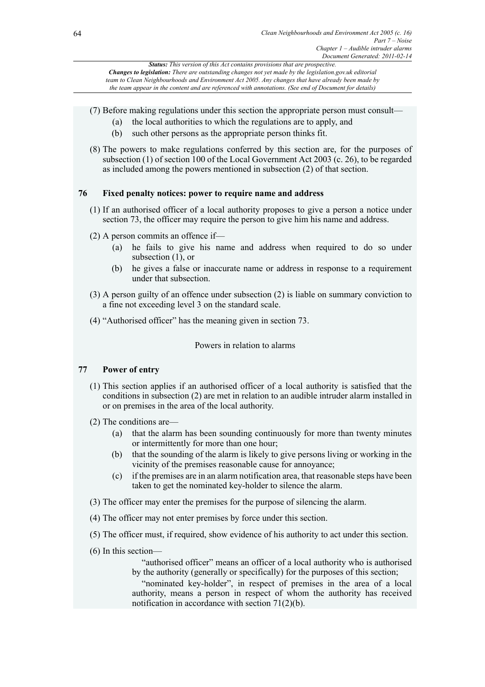- (7) Before making regulations under this section the appropriate person must consult—
	- (a) the local authorities to which the regulations are to apply, and
	- (b) such other persons as the appropriate person thinks fit.
- (8) The powers to make regulations conferred by this section are, for the purposes of subsection (1) of section 100 of the Local Government Act 2003 (c. 26), to be regarded as included among the powers mentioned in subsection (2) of that section.

# **76 Fixed penalty notices: power to require name and address**

- (1) If an authorised officer of a local authority proposes to give a person a notice under section 73, the officer may require the person to give him his name and address.
- (2) A person commits an offence if—
	- (a) he fails to give his name and address when required to do so under subsection (1), or
	- (b) he gives a false or inaccurate name or address in response to a requirement under that subsection.
- (3) A person guilty of an offence under subsection (2) is liable on summary conviction to a fine not exceeding level 3 on the standard scale.
- (4) "Authorised officer" has the meaning given in section 73.

## Powers in relation to alarms

# **77 Power of entry**

- (1) This section applies if an authorised officer of a local authority is satisfied that the conditions in subsection (2) are met in relation to an audible intruder alarm installed in or on premises in the area of the local authority.
- (2) The conditions are—
	- (a) that the alarm has been sounding continuously for more than twenty minutes or intermittently for more than one hour;
	- (b) that the sounding of the alarm is likely to give persons living or working in the vicinity of the premises reasonable cause for annoyance;
	- (c) if the premises are in an alarm notification area, that reasonable steps have been taken to get the nominated key-holder to silence the alarm.
- (3) The officer may enter the premises for the purpose of silencing the alarm.
- (4) The officer may not enter premises by force under this section.
- (5) The officer must, if required, show evidence of his authority to act under this section.
- (6) In this section—

"authorised officer" means an officer of a local authority who is authorised by the authority (generally or specifically) for the purposes of this section;

"nominated key-holder", in respect of premises in the area of a local authority, means a person in respect of whom the authority has received notification in accordance with section 71(2)(b).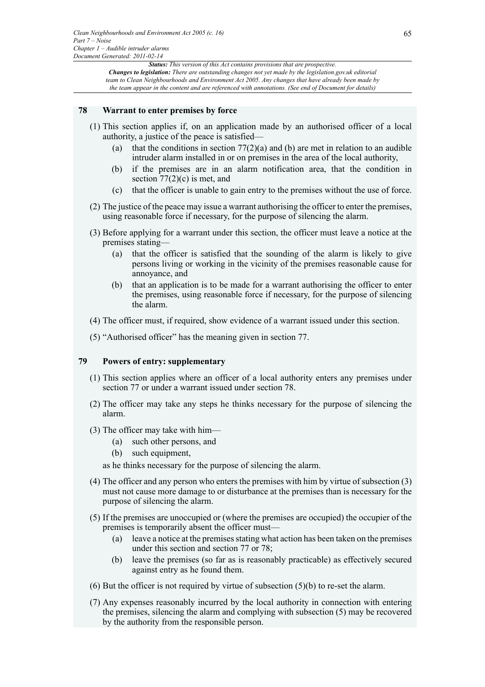## **78 Warrant to enter premises by force**

- (1) This section applies if, on an application made by an authorised officer of a local authority, a justice of the peace is satisfied—
	- (a) that the conditions in section  $77(2)(a)$  and (b) are met in relation to an audible intruder alarm installed in or on premises in the area of the local authority,
	- (b) if the premises are in an alarm notification area, that the condition in section  $77(2)(c)$  is met, and
	- (c) that the officer is unable to gain entry to the premises without the use of force.
- (2) The justice of the peace may issue a warrant authorising the officer to enter the premises, using reasonable force if necessary, for the purpose of silencing the alarm.
- (3) Before applying for a warrant under this section, the officer must leave a notice at the premises stating—
	- (a) that the officer is satisfied that the sounding of the alarm is likely to give persons living or working in the vicinity of the premises reasonable cause for annoyance, and
	- (b) that an application is to be made for a warrant authorising the officer to enter the premises, using reasonable force if necessary, for the purpose of silencing the alarm.
- (4) The officer must, if required, show evidence of a warrant issued under this section.
- (5) "Authorised officer" has the meaning given in section 77.

# **79 Powers of entry: supplementary**

- (1) This section applies where an officer of a local authority enters any premises under section 77 or under a warrant issued under section 78.
- (2) The officer may take any steps he thinks necessary for the purpose of silencing the alarm.
- (3) The officer may take with him—
	- (a) such other persons, and
	- (b) such equipment,

as he thinks necessary for the purpose of silencing the alarm.

- (4) The officer and any person who enters the premises with him by virtue of subsection (3) must not cause more damage to or disturbance at the premises than is necessary for the purpose of silencing the alarm.
- (5) If the premises are unoccupied or (where the premises are occupied) the occupier of the premises is temporarily absent the officer must—
	- (a) leave a notice at the premises stating what action has been taken on the premises under this section and section 77 or 78;
	- (b) leave the premises (so far as is reasonably practicable) as effectively secured against entry as he found them.
- (6) But the officer is not required by virtue of subsection  $(5)(b)$  to re-set the alarm.
- (7) Any expenses reasonably incurred by the local authority in connection with entering the premises, silencing the alarm and complying with subsection (5) may be recovered by the authority from the responsible person.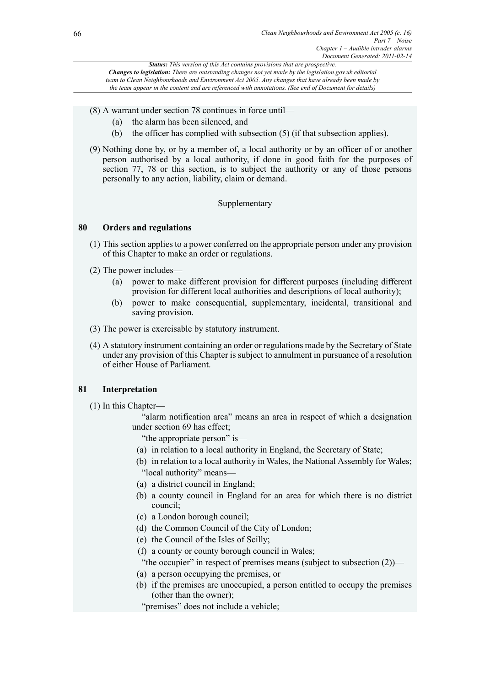- (8) A warrant under section 78 continues in force until—
	- (a) the alarm has been silenced, and
	- (b) the officer has complied with subsection (5) (if that subsection applies).
- (9) Nothing done by, or by a member of, a local authority or by an officer of or another person authorised by a local authority, if done in good faith for the purposes of section 77, 78 or this section, is to subject the authority or any of those persons personally to any action, liability, claim or demand.

## Supplementary

# **80 Orders and regulations**

- (1) This section applies to a power conferred on the appropriate person under any provision of this Chapter to make an order or regulations.
- (2) The power includes—
	- (a) power to make different provision for different purposes (including different provision for different local authorities and descriptions of local authority);
	- (b) power to make consequential, supplementary, incidental, transitional and saving provision.
- (3) The power is exercisable by statutory instrument.
- (4) A statutory instrument containing an order or regulations made by the Secretary of State under any provision of this Chapter is subject to annulment in pursuance of a resolution of either House of Parliament.

# **81 Interpretation**

(1) In this Chapter—

"alarm notification area" means an area in respect of which a designation under section 69 has effect;

"the appropriate person" is—

- (a) in relation to a local authority in England, the Secretary of State;
- (b) in relation to a local authority in Wales, the National Assembly for Wales; "local authority" means—
- (a) a district council in England;
- (b) a county council in England for an area for which there is no district council;
- (c) a London borough council;
- (d) the Common Council of the City of London;
- (e) the Council of the Isles of Scilly;
- (f) a county or county borough council in Wales;

"the occupier" in respect of premises means (subject to subsection (2))—

- (a) a person occupying the premises, or
- (b) if the premises are unoccupied, a person entitled to occupy the premises (other than the owner);

"premises" does not include a vehicle;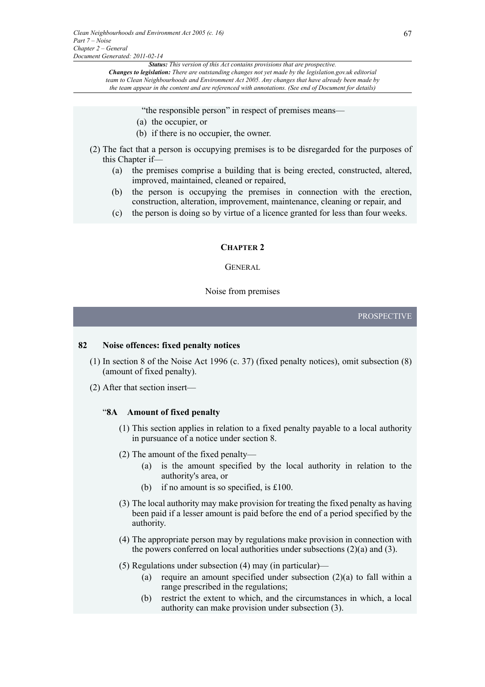"the responsible person" in respect of premises means—

- (a) the occupier, or
- (b) if there is no occupier, the owner.
- (2) The fact that a person is occupying premises is to be disregarded for the purposes of this Chapter if—
	- (a) the premises comprise a building that is being erected, constructed, altered, improved, maintained, cleaned or repaired,
	- (b) the person is occupying the premises in connection with the erection, construction, alteration, improvement, maintenance, cleaning or repair, and
	- (c) the person is doing so by virtue of a licence granted for less than four weeks.

## **CHAPTER 2**

## GENERAL

## Noise from premises

PROSPECTIVE

## **82 Noise offences: fixed penalty notices**

- (1) In section 8 of the Noise Act 1996 (c. 37) (fixed penalty notices), omit subsection (8) (amount of fixed penalty).
- (2) After that section insert—

### "**8A Amount of fixed penalty**

- (1) This section applies in relation to a fixed penalty payable to a local authority in pursuance of a notice under section 8.
- (2) The amount of the fixed penalty—
	- (a) is the amount specified by the local authority in relation to the authority's area, or
	- (b) if no amount is so specified, is £100.
- (3) The local authority may make provision for treating the fixed penalty as having been paid if a lesser amount is paid before the end of a period specified by the authority.
- (4) The appropriate person may by regulations make provision in connection with the powers conferred on local authorities under subsections (2)(a) and (3).
- (5) Regulations under subsection (4) may (in particular)—
	- (a) require an amount specified under subsection (2)(a) to fall within a range prescribed in the regulations;
	- (b) restrict the extent to which, and the circumstances in which, a local authority can make provision under subsection (3).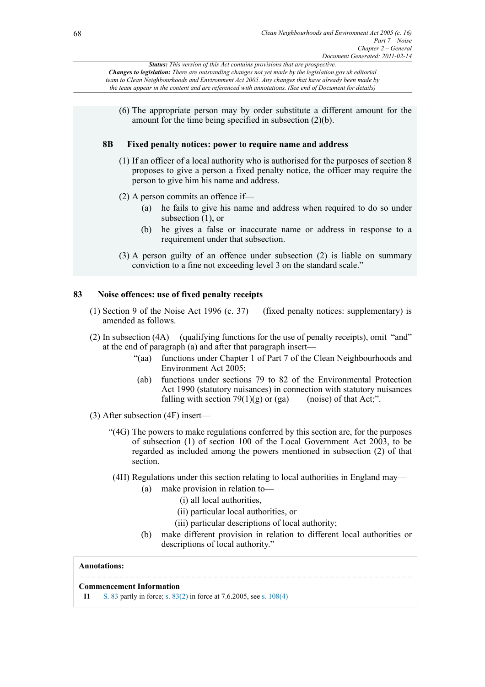(6) The appropriate person may by order substitute a different amount for the amount for the time being specified in subsection (2)(b).

## **8B Fixed penalty notices: power to require name and address**

- (1) If an officer of a local authority who is authorised for the purposes of section 8 proposes to give a person a fixed penalty notice, the officer may require the person to give him his name and address.
- (2) A person commits an offence if—
	- (a) he fails to give his name and address when required to do so under subsection (1), or
	- (b) he gives a false or inaccurate name or address in response to a requirement under that subsection.
- (3) A person guilty of an offence under subsection (2) is liable on summary conviction to a fine not exceeding level 3 on the standard scale."

# **83 Noise offences: use of fixed penalty receipts**

- (1) Section 9 of the Noise Act 1996 (c. 37) (fixed penalty notices: supplementary) is amended as follows.
- (2) In subsection (4A) (qualifying functions for the use of penalty receipts), omit "and" at the end of paragraph (a) and after that paragraph insert—
	- "(aa) functions under Chapter 1 of Part 7 of the Clean Neighbourhoods and Environment Act 2005;
	- (ab) functions under sections 79 to 82 of the Environmental Protection Act 1990 (statutory nuisances) in connection with statutory nuisances falling with section  $79(1)(g)$  or (ga) (noise) of that Act;".
- (3) After subsection (4F) insert—
	- "(4G) The powers to make regulations conferred by this section are, for the purposes of subsection (1) of section 100 of the Local Government Act 2003, to be regarded as included among the powers mentioned in subsection (2) of that section.
	- (4H) Regulations under this section relating to local authorities in England may—
		- (a) make provision in relation to—
			- (i) all local authorities,
			- (ii) particular local authorities, or
			- (iii) particular descriptions of local authority;
		- (b) make different provision in relation to different local authorities or descriptions of local authority."

# **Annotations:**

### **Commencement Information**

**I1** [S. 83](http://www.legislation.gov.uk/id/ukpga/2005/16/section/83) partly in force; [s. 83\(2\)](http://www.legislation.gov.uk/id/ukpga/2005/16/section/83/2) in force at 7.6.2005, see [s. 108\(4\)](http://www.legislation.gov.uk/id/ukpga/2005/16/section/108/4)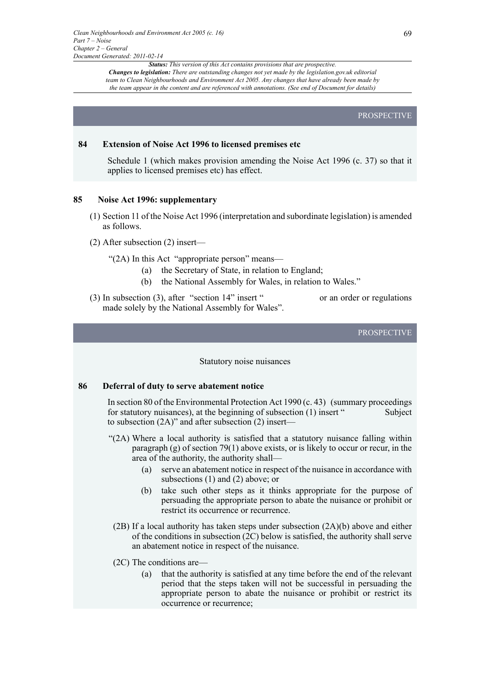### PROSPECTIVE

# **84 Extension of Noise Act 1996 to licensed premises etc**

Schedule 1 (which makes provision amending the Noise Act 1996 (c. 37) so that it applies to licensed premises etc) has effect.

## **85 Noise Act 1996: supplementary**

- (1) Section 11 of the Noise Act 1996 (interpretation and subordinate legislation) is amended as follows.
- (2) After subsection (2) insert—

"(2A) In this Act "appropriate person" means—

- (a) the Secretary of State, in relation to England;
- (b) the National Assembly for Wales, in relation to Wales."
- (3) In subsection (3), after "section 14" insert " or an order or regulations made solely by the National Assembly for Wales".

PROSPECTIVE

Statutory noise nuisances

### **86 Deferral of duty to serve abatement notice**

In section 80 of the Environmental Protection Act 1990 (c. 43) (summary proceedings for statutory nuisances), at the beginning of subsection (1) insert " Subject to subsection (2A)" and after subsection (2) insert—

- "(2A) Where a local authority is satisfied that a statutory nuisance falling within paragraph (g) of section 79(1) above exists, or is likely to occur or recur, in the area of the authority, the authority shall—
	- (a) serve an abatement notice in respect of the nuisance in accordance with subsections (1) and (2) above; or
	- (b) take such other steps as it thinks appropriate for the purpose of persuading the appropriate person to abate the nuisance or prohibit or restrict its occurrence or recurrence.
- (2B) If a local authority has taken steps under subsection  $(2A)(b)$  above and either of the conditions in subsection (2C) below is satisfied, the authority shall serve an abatement notice in respect of the nuisance.
- (2C) The conditions are—
	- (a) that the authority is satisfied at any time before the end of the relevant period that the steps taken will not be successful in persuading the appropriate person to abate the nuisance or prohibit or restrict its occurrence or recurrence;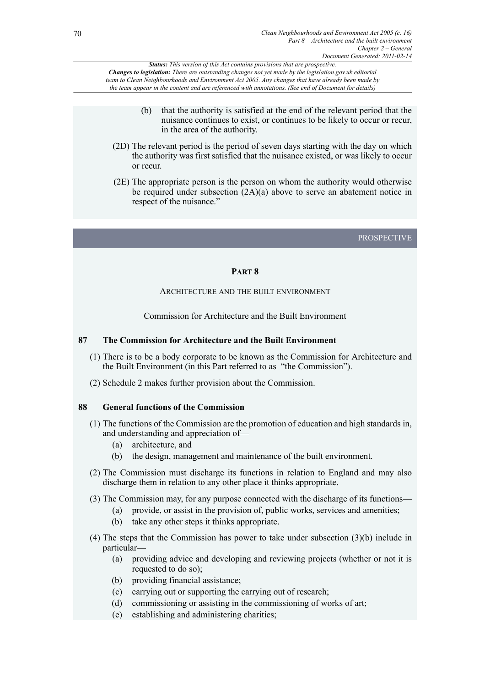- (b) that the authority is satisfied at the end of the relevant period that the nuisance continues to exist, or continues to be likely to occur or recur, in the area of the authority.
- (2D) The relevant period is the period of seven days starting with the day on which the authority was first satisfied that the nuisance existed, or was likely to occur or recur.
- (2E) The appropriate person is the person on whom the authority would otherwise be required under subsection (2A)(a) above to serve an abatement notice in respect of the nuisance."

**PROSPECTIVE** 

# **PART 8**

# ARCHITECTURE AND THE BUILT ENVIRONMENT

Commission for Architecture and the Built Environment

## **87 The Commission for Architecture and the Built Environment**

- (1) There is to be a body corporate to be known as the Commission for Architecture and the Built Environment (in this Part referred to as "the Commission").
- (2) Schedule 2 makes further provision about the Commission.

## **88 General functions of the Commission**

- (1) The functions of the Commission are the promotion of education and high standards in, and understanding and appreciation of—
	- (a) architecture, and
	- (b) the design, management and maintenance of the built environment.
- (2) The Commission must discharge its functions in relation to England and may also discharge them in relation to any other place it thinks appropriate.
- (3) The Commission may, for any purpose connected with the discharge of its functions—
	- (a) provide, or assist in the provision of, public works, services and amenities;
	- (b) take any other steps it thinks appropriate.
- (4) The steps that the Commission has power to take under subsection (3)(b) include in particular—
	- (a) providing advice and developing and reviewing projects (whether or not it is requested to do so);
	- (b) providing financial assistance;
	- (c) carrying out or supporting the carrying out of research;
	- (d) commissioning or assisting in the commissioning of works of art;
	- (e) establishing and administering charities;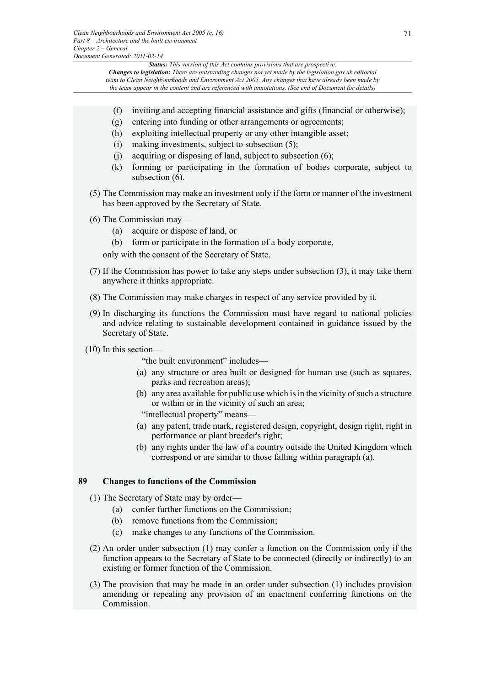*Status: This version of this Act contains provisions that are prospective. Changes to legislation: There are outstanding changes not yet made by the legislation.gov.uk editorial*

*team to Clean Neighbourhoods and Environment Act 2005. Any changes that have already been made by the team appear in the content and are referenced with annotations. (See end of Document for details)*

- (f) inviting and accepting financial assistance and gifts (financial or otherwise);
- (g) entering into funding or other arrangements or agreements;
- (h) exploiting intellectual property or any other intangible asset;
- (i) making investments, subject to subsection (5);
- (j) acquiring or disposing of land, subject to subsection (6);
- (k) forming or participating in the formation of bodies corporate, subject to subsection  $(6)$ .
- (5) The Commission may make an investment only if the form or manner of the investment has been approved by the Secretary of State.
- (6) The Commission may—
	- (a) acquire or dispose of land, or
	- (b) form or participate in the formation of a body corporate,
	- only with the consent of the Secretary of State.
- (7) If the Commission has power to take any steps under subsection (3), it may take them anywhere it thinks appropriate.
- (8) The Commission may make charges in respect of any service provided by it.
- (9) In discharging its functions the Commission must have regard to national policies and advice relating to sustainable development contained in guidance issued by the Secretary of State.
- (10) In this section—

"the built environment" includes—

- (a) any structure or area built or designed for human use (such as squares, parks and recreation areas);
- (b) any area available for public use which is in the vicinity of such a structure or within or in the vicinity of such an area;

"intellectual property" means—

- (a) any patent, trade mark, registered design, copyright, design right, right in performance or plant breeder's right;
- (b) any rights under the law of a country outside the United Kingdom which correspond or are similar to those falling within paragraph (a).

# **89 Changes to functions of the Commission**

(1) The Secretary of State may by order—

- (a) confer further functions on the Commission;
- (b) remove functions from the Commission;
- (c) make changes to any functions of the Commission.
- (2) An order under subsection (1) may confer a function on the Commission only if the function appears to the Secretary of State to be connected (directly or indirectly) to an existing or former function of the Commission.
- (3) The provision that may be made in an order under subsection (1) includes provision amending or repealing any provision of an enactment conferring functions on the Commission.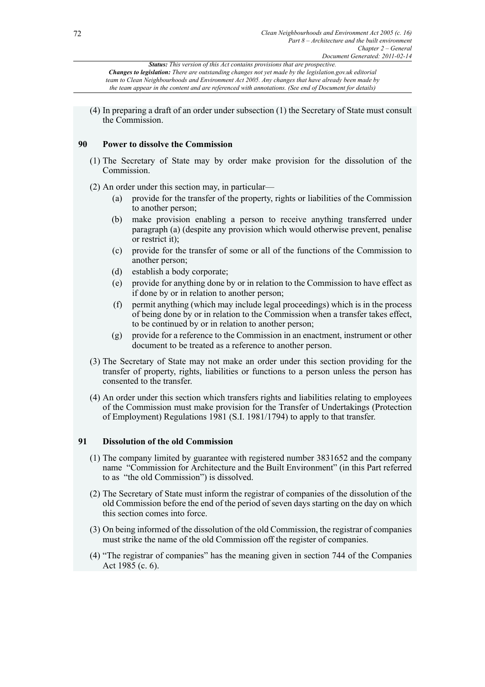(4) In preparing a draft of an order under subsection (1) the Secretary of State must consult the Commission.

# **90 Power to dissolve the Commission**

(1) The Secretary of State may by order make provision for the dissolution of the Commission.

(2) An order under this section may, in particular—

- (a) provide for the transfer of the property, rights or liabilities of the Commission to another person;
- (b) make provision enabling a person to receive anything transferred under paragraph (a) (despite any provision which would otherwise prevent, penalise or restrict it);
- (c) provide for the transfer of some or all of the functions of the Commission to another person;
- (d) establish a body corporate;
- (e) provide for anything done by or in relation to the Commission to have effect as if done by or in relation to another person;
- (f) permit anything (which may include legal proceedings) which is in the process of being done by or in relation to the Commission when a transfer takes effect, to be continued by or in relation to another person;
- (g) provide for a reference to the Commission in an enactment, instrument or other document to be treated as a reference to another person.
- (3) The Secretary of State may not make an order under this section providing for the transfer of property, rights, liabilities or functions to a person unless the person has consented to the transfer.
- (4) An order under this section which transfers rights and liabilities relating to employees of the Commission must make provision for the Transfer of Undertakings (Protection of Employment) Regulations 1981 (S.I. 1981/1794) to apply to that transfer.

## **91 Dissolution of the old Commission**

- (1) The company limited by guarantee with registered number 3831652 and the company name "Commission for Architecture and the Built Environment" (in this Part referred to as "the old Commission") is dissolved.
- (2) The Secretary of State must inform the registrar of companies of the dissolution of the old Commission before the end of the period of seven days starting on the day on which this section comes into force.
- (3) On being informed of the dissolution of the old Commission, the registrar of companies must strike the name of the old Commission off the register of companies.
- (4) "The registrar of companies" has the meaning given in section 744 of the Companies Act 1985 (c. 6).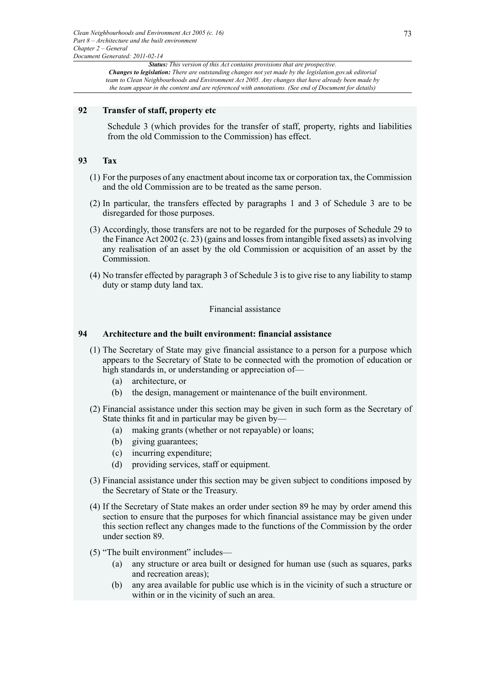#### **92 Transfer of staff, property etc**

Schedule 3 (which provides for the transfer of staff, property, rights and liabilities from the old Commission to the Commission) has effect.

#### **93 Tax**

- (1) For the purposes of any enactment about income tax or corporation tax, the Commission and the old Commission are to be treated as the same person.
- (2) In particular, the transfers effected by paragraphs 1 and 3 of Schedule 3 are to be disregarded for those purposes.
- (3) Accordingly, those transfers are not to be regarded for the purposes of Schedule 29 to the Finance Act 2002 (c. 23) (gains and losses from intangible fixed assets) as involving any realisation of an asset by the old Commission or acquisition of an asset by the Commission.
- (4) No transfer effected by paragraph 3 of Schedule 3 is to give rise to any liability to stamp duty or stamp duty land tax.

#### Financial assistance

#### **94 Architecture and the built environment: financial assistance**

- (1) The Secretary of State may give financial assistance to a person for a purpose which appears to the Secretary of State to be connected with the promotion of education or high standards in, or understanding or appreciation of—
	- (a) architecture, or
	- (b) the design, management or maintenance of the built environment.
- (2) Financial assistance under this section may be given in such form as the Secretary of State thinks fit and in particular may be given by—
	- (a) making grants (whether or not repayable) or loans;
	- (b) giving guarantees;
	- (c) incurring expenditure;
	- (d) providing services, staff or equipment.
- (3) Financial assistance under this section may be given subject to conditions imposed by the Secretary of State or the Treasury.
- (4) If the Secretary of State makes an order under section 89 he may by order amend this section to ensure that the purposes for which financial assistance may be given under this section reflect any changes made to the functions of the Commission by the order under section 89.
- (5) "The built environment" includes—
	- (a) any structure or area built or designed for human use (such as squares, parks and recreation areas);
	- (b) any area available for public use which is in the vicinity of such a structure or within or in the vicinity of such an area.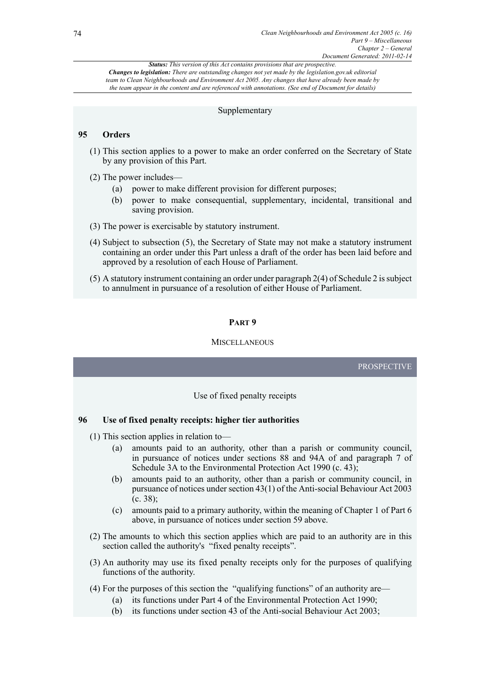#### Supplementary

### **95 Orders**

- (1) This section applies to a power to make an order conferred on the Secretary of State by any provision of this Part.
- (2) The power includes—
	- (a) power to make different provision for different purposes;
	- (b) power to make consequential, supplementary, incidental, transitional and saving provision.
- (3) The power is exercisable by statutory instrument.
- (4) Subject to subsection (5), the Secretary of State may not make a statutory instrument containing an order under this Part unless a draft of the order has been laid before and approved by a resolution of each House of Parliament.
- (5) A statutory instrument containing an order under paragraph 2(4) of Schedule 2 is subject to annulment in pursuance of a resolution of either House of Parliament.

### **PART 9**

#### **MISCELLANEOUS**

**PROSPECTIVE** 

#### Use of fixed penalty receipts

#### **96 Use of fixed penalty receipts: higher tier authorities**

- (1) This section applies in relation to—
	- (a) amounts paid to an authority, other than a parish or community council, in pursuance of notices under sections 88 and 94A of and paragraph 7 of Schedule 3A to the Environmental Protection Act 1990 (c. 43);
	- (b) amounts paid to an authority, other than a parish or community council, in pursuance of notices under section 43(1) of the Anti-social Behaviour Act 2003 (c. 38);
	- (c) amounts paid to a primary authority, within the meaning of Chapter 1 of Part 6 above, in pursuance of notices under section 59 above.
- (2) The amounts to which this section applies which are paid to an authority are in this section called the authority's "fixed penalty receipts".
- (3) An authority may use its fixed penalty receipts only for the purposes of qualifying functions of the authority.
- (4) For the purposes of this section the "qualifying functions" of an authority are—
	- (a) its functions under Part 4 of the Environmental Protection Act 1990;
	- (b) its functions under section 43 of the Anti-social Behaviour Act 2003;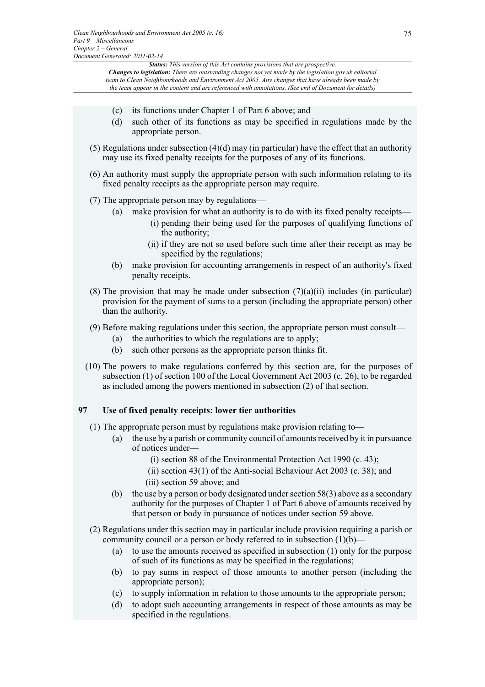- (c) its functions under Chapter 1 of Part 6 above; and
- (d) such other of its functions as may be specified in regulations made by the appropriate person.
- (5) Regulations under subsection (4)(d) may (in particular) have the effect that an authority may use its fixed penalty receipts for the purposes of any of its functions.
- (6) An authority must supply the appropriate person with such information relating to its fixed penalty receipts as the appropriate person may require.
- (7) The appropriate person may by regulations—
	- (a) make provision for what an authority is to do with its fixed penalty receipts—
		- (i) pending their being used for the purposes of qualifying functions of the authority;
		- (ii) if they are not so used before such time after their receipt as may be specified by the regulations;
	- (b) make provision for accounting arrangements in respect of an authority's fixed penalty receipts.
- (8) The provision that may be made under subsection  $(7)(a)(ii)$  includes (in particular) provision for the payment of sums to a person (including the appropriate person) other than the authority.
- (9) Before making regulations under this section, the appropriate person must consult—
	- (a) the authorities to which the regulations are to apply;
	- (b) such other persons as the appropriate person thinks fit.
- (10) The powers to make regulations conferred by this section are, for the purposes of subsection (1) of section 100 of the Local Government Act 2003 (c. 26), to be regarded as included among the powers mentioned in subsection (2) of that section.

# **97 Use of fixed penalty receipts: lower tier authorities**

- (1) The appropriate person must by regulations make provision relating to—
	- (a) the use by a parish or community council of amounts received by it in pursuance of notices under—
		- (i) section 88 of the Environmental Protection Act 1990 (c. 43);
		- (ii) section 43(1) of the Anti-social Behaviour Act 2003 (c. 38); and
		- (iii) section 59 above; and
	- (b) the use by a person or body designated under section 58(3) above as a secondary authority for the purposes of Chapter 1 of Part 6 above of amounts received by that person or body in pursuance of notices under section 59 above.
- (2) Regulations under this section may in particular include provision requiring a parish or community council or a person or body referred to in subsection  $(1)(b)$ —
	- (a) to use the amounts received as specified in subsection (1) only for the purpose of such of its functions as may be specified in the regulations;
	- (b) to pay sums in respect of those amounts to another person (including the appropriate person);
	- (c) to supply information in relation to those amounts to the appropriate person;
	- (d) to adopt such accounting arrangements in respect of those amounts as may be specified in the regulations.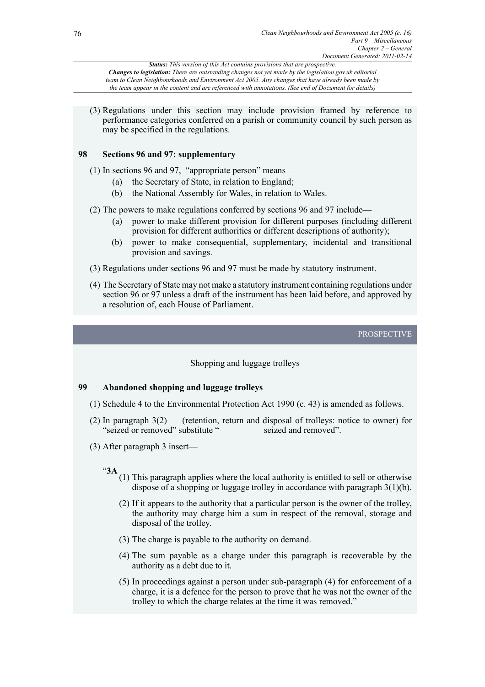(3) Regulations under this section may include provision framed by reference to performance categories conferred on a parish or community council by such person as may be specified in the regulations.

### **98 Sections 96 and 97: supplementary**

(1) In sections 96 and 97, "appropriate person" means—

- (a) the Secretary of State, in relation to England;
- (b) the National Assembly for Wales, in relation to Wales.
- (2) The powers to make regulations conferred by sections 96 and 97 include—
	- (a) power to make different provision for different purposes (including different provision for different authorities or different descriptions of authority);
	- (b) power to make consequential, supplementary, incidental and transitional provision and savings.
- (3) Regulations under sections 96 and 97 must be made by statutory instrument.
- (4) The Secretary of State may not make a statutory instrument containing regulations under section 96 or 97 unless a draft of the instrument has been laid before, and approved by a resolution of, each House of Parliament.

PROSPECTIVE

# Shopping and luggage trolleys

# **99 Abandoned shopping and luggage trolleys**

- (1) Schedule 4 to the Environmental Protection Act 1990 (c. 43) is amended as follows.
- (2) In paragraph 3(2) (retention, return and disposal of trolleys: notice to owner) for "seized or removed" substitute " seized and removed".
- (3) After paragraph 3 insert—
	- "**3A**
		- (1) This paragraph applies where the local authority is entitled to sell or otherwise dispose of a shopping or luggage trolley in accordance with paragraph  $3(1)(b)$ .
			- (2) If it appears to the authority that a particular person is the owner of the trolley, the authority may charge him a sum in respect of the removal, storage and disposal of the trolley.
			- (3) The charge is payable to the authority on demand.
			- (4) The sum payable as a charge under this paragraph is recoverable by the authority as a debt due to it.
			- (5) In proceedings against a person under sub-paragraph (4) for enforcement of a charge, it is a defence for the person to prove that he was not the owner of the trolley to which the charge relates at the time it was removed."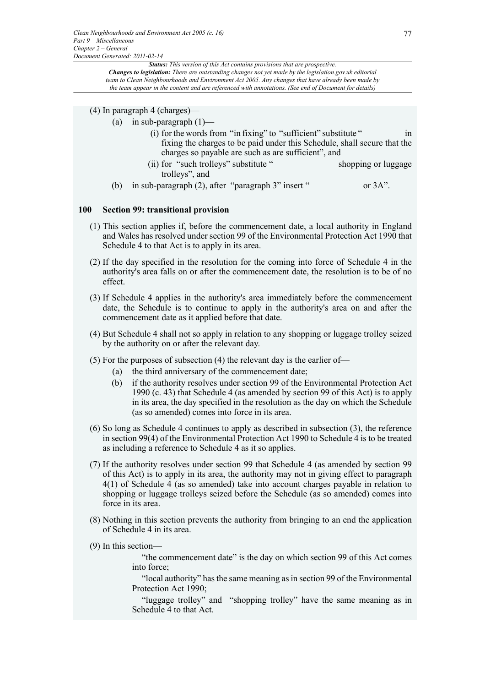#### (4) In paragraph 4 (charges)—

- (a) in sub-paragraph  $(1)$ 
	- (i) for the words from "in fixing" to "sufficient" substitute " in fixing the charges to be paid under this Schedule, shall secure that the charges so payable are such as are sufficient", and
	- (ii) for "such trolleys" substitute " shopping or luggage trolleys", and
- (b) in sub-paragraph (2), after "paragraph 3" insert " or 3A".

#### **100 Section 99: transitional provision**

- (1) This section applies if, before the commencement date, a local authority in England and Wales has resolved under section 99 of the Environmental Protection Act 1990 that Schedule 4 to that Act is to apply in its area.
- (2) If the day specified in the resolution for the coming into force of Schedule 4 in the authority's area falls on or after the commencement date, the resolution is to be of no effect.
- (3) If Schedule 4 applies in the authority's area immediately before the commencement date, the Schedule is to continue to apply in the authority's area on and after the commencement date as it applied before that date.
- (4) But Schedule 4 shall not so apply in relation to any shopping or luggage trolley seized by the authority on or after the relevant day.
- (5) For the purposes of subsection (4) the relevant day is the earlier of—
	- (a) the third anniversary of the commencement date;
	- (b) if the authority resolves under section 99 of the Environmental Protection Act 1990 (c. 43) that Schedule 4 (as amended by section 99 of this Act) is to apply in its area, the day specified in the resolution as the day on which the Schedule (as so amended) comes into force in its area.
- (6) So long as Schedule 4 continues to apply as described in subsection (3), the reference in section 99(4) of the Environmental Protection Act 1990 to Schedule 4 is to be treated as including a reference to Schedule 4 as it so applies.
- (7) If the authority resolves under section 99 that Schedule 4 (as amended by section 99 of this Act) is to apply in its area, the authority may not in giving effect to paragraph 4(1) of Schedule 4 (as so amended) take into account charges payable in relation to shopping or luggage trolleys seized before the Schedule (as so amended) comes into force in its area.
- (8) Nothing in this section prevents the authority from bringing to an end the application of Schedule 4 in its area.
- (9) In this section—

"the commencement date" is the day on which section 99 of this Act comes into force;

"local authority" has the same meaning as in section 99 of the Environmental Protection Act 1990;

"luggage trolley" and "shopping trolley" have the same meaning as in Schedule 4 to that Act.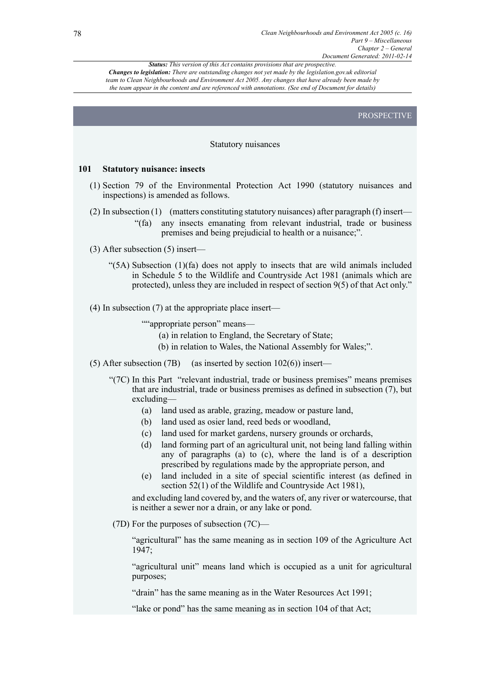**PROSPECTIVE** 

Statutory nuisances

#### **101 Statutory nuisance: insects**

- (1) Section 79 of the Environmental Protection Act 1990 (statutory nuisances and inspections) is amended as follows.
- (2) In subsection (1) (matters constituting statutory nuisances) after paragraph (f) insert—
	- "(fa) any insects emanating from relevant industrial, trade or business premises and being prejudicial to health or a nuisance;".

(3) After subsection (5) insert—

"(5A) Subsection (1)(fa) does not apply to insects that are wild animals included in Schedule 5 to the Wildlife and Countryside Act 1981 (animals which are protected), unless they are included in respect of section  $9(5)$  of that Act only."

(4) In subsection (7) at the appropriate place insert—

""appropriate person" means—

- (a) in relation to England, the Secretary of State;
- (b) in relation to Wales, the National Assembly for Wales;".
- (5) After subsection (7B) (as inserted by section  $102(6)$ ) insert—
	- "(7C) In this Part "relevant industrial, trade or business premises" means premises that are industrial, trade or business premises as defined in subsection (7), but excluding—
		- (a) land used as arable, grazing, meadow or pasture land,
		- (b) land used as osier land, reed beds or woodland,
		- (c) land used for market gardens, nursery grounds or orchards,
		- (d) land forming part of an agricultural unit, not being land falling within any of paragraphs (a) to (c), where the land is of a description prescribed by regulations made by the appropriate person, and
		- (e) land included in a site of special scientific interest (as defined in section 52(1) of the Wildlife and Countryside Act 1981),

and excluding land covered by, and the waters of, any river or watercourse, that is neither a sewer nor a drain, or any lake or pond.

(7D) For the purposes of subsection (7C)—

"agricultural" has the same meaning as in section 109 of the Agriculture Act 1947;

"agricultural unit" means land which is occupied as a unit for agricultural purposes;

"drain" has the same meaning as in the Water Resources Act 1991;

"lake or pond" has the same meaning as in section 104 of that Act;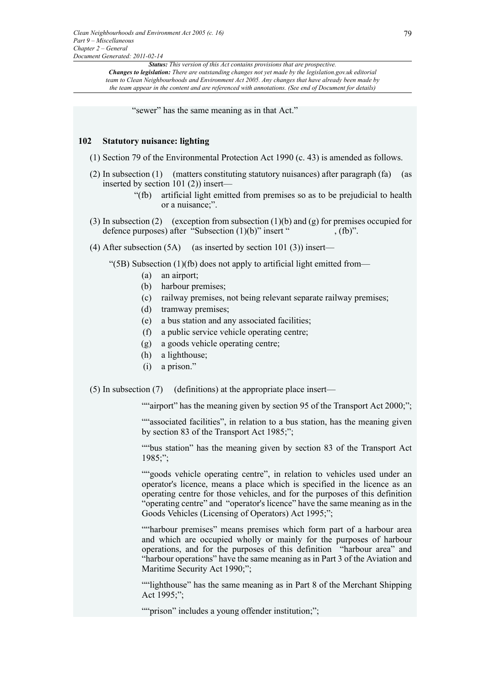"sewer" has the same meaning as in that Act."

#### **102 Statutory nuisance: lighting**

- (1) Section 79 of the Environmental Protection Act 1990 (c. 43) is amended as follows.
- (2) In subsection (1) (matters constituting statutory nuisances) after paragraph (fa) (as inserted by section 101 (2)) insert—
	- "(fb) artificial light emitted from premises so as to be prejudicial to health or a nuisance;".
- (3) In subsection (2) (exception from subsection (1)(b) and (g) for premises occupied for defence purposes) after "Subsection  $(1)(b)$ " insert "  $(fb)$ ".
- (4) After subsection  $(5A)$  (as inserted by section 101 (3)) insert—

"(5B) Subsection (1)(fb) does not apply to artificial light emitted from—

- (a) an airport;
- (b) harbour premises;
- (c) railway premises, not being relevant separate railway premises;
- (d) tramway premises;
- (e) a bus station and any associated facilities;
- (f) a public service vehicle operating centre;
- (g) a goods vehicle operating centre;
- (h) a lighthouse;
- (i) a prison."

(5) In subsection (7) (definitions) at the appropriate place insert—

""airport" has the meaning given by section 95 of the Transport Act 2000;";

""associated facilities", in relation to a bus station, has the meaning given by section 83 of the Transport Act 1985;";

""bus station" has the meaning given by section 83 of the Transport Act 1985;";

""goods vehicle operating centre", in relation to vehicles used under an operator's licence, means a place which is specified in the licence as an operating centre for those vehicles, and for the purposes of this definition "operating centre" and "operator's licence" have the same meaning as in the Goods Vehicles (Licensing of Operators) Act 1995;";

""harbour premises" means premises which form part of a harbour area and which are occupied wholly or mainly for the purposes of harbour operations, and for the purposes of this definition "harbour area" and "harbour operations" have the same meaning as in Part 3 of the Aviation and Maritime Security Act 1990;";

""lighthouse" has the same meaning as in Part 8 of the Merchant Shipping Act 1995;";

""prison" includes a young offender institution;";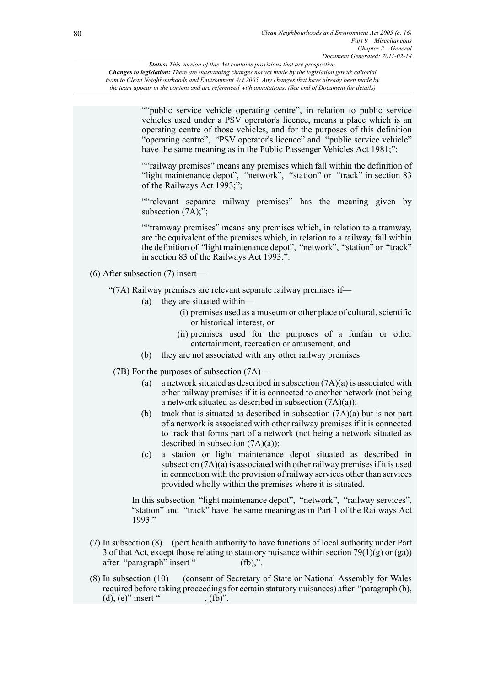> ""public service vehicle operating centre", in relation to public service vehicles used under a PSV operator's licence, means a place which is an operating centre of those vehicles, and for the purposes of this definition "operating centre", "PSV operator's licence" and "public service vehicle" have the same meaning as in the Public Passenger Vehicles Act 1981;";

> ""railway premises" means any premises which fall within the definition of "light maintenance depot", "network", "station" or "track" in section 83 of the Railways Act 1993;";

> ""relevant separate railway premises" has the meaning given by subsection  $(7\overline{A})$ ;":

> ""tramway premises" means any premises which, in relation to a tramway, are the equivalent of the premises which, in relation to a railway, fall within the definition of "light maintenance depot", "network", "station" or "track" in section 83 of the Railways Act 1993;".

(6) After subsection (7) insert—

"(7A) Railway premises are relevant separate railway premises if—

- (a) they are situated within—
	- (i) premises used as a museum or other place of cultural, scientific or historical interest, or
	- (ii) premises used for the purposes of a funfair or other entertainment, recreation or amusement, and
- (b) they are not associated with any other railway premises.

(7B) For the purposes of subsection (7A)—

- (a) a network situated as described in subsection  $(7A)(a)$  is associated with other railway premises if it is connected to another network (not being a network situated as described in subsection (7A)(a));
- (b) track that is situated as described in subsection (7A)(a) but is not part of a network is associated with other railway premises if it is connected to track that forms part of a network (not being a network situated as described in subsection (7A)(a));
- (c) a station or light maintenance depot situated as described in subsection (7A)(a) is associated with other railway premises if it is used in connection with the provision of railway services other than services provided wholly within the premises where it is situated.

In this subsection "light maintenance depot", "network", "railway services", "station" and "track" have the same meaning as in Part 1 of the Railways Act 1993."

- (7) In subsection (8) (port health authority to have functions of local authority under Part 3 of that Act, except those relating to statutory nuisance within section 79(1)(g) or (ga)) after "paragraph" insert " (fb),".
- (8) In subsection (10) (consent of Secretary of State or National Assembly for Wales required before taking proceedings for certain statutory nuisances) after "paragraph (b), (d), (e)" insert ",  $(fb)$ ".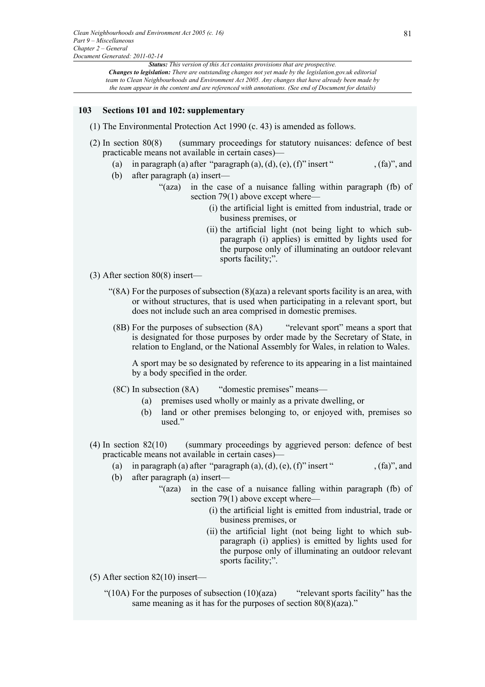#### **103 Sections 101 and 102: supplementary**

- (1) The Environmental Protection Act 1990 (c. 43) is amended as follows.
- $(2)$  In section 80 $(8)$  (summary proceedings for statutory nuisances: defence of best practicable means not available in certain cases)—
	- (a) in paragraph (a) after "paragraph (a), (d), (e), (f)" insert " , (fa)", and
	- (b) after paragraph (a) insert—
		- "(aza) in the case of a nuisance falling within paragraph (fb) of section 79(1) above except where—
			- (i) the artificial light is emitted from industrial, trade or business premises, or
			- (ii) the artificial light (not being light to which subparagraph (i) applies) is emitted by lights used for the purpose only of illuminating an outdoor relevant sports facility;".
- (3) After section 80(8) insert—
	- "(8A) For the purposes of subsection (8)(aza) a relevant sports facility is an area, with or without structures, that is used when participating in a relevant sport, but does not include such an area comprised in domestic premises.
		- (8B) For the purposes of subsection (8A) "relevant sport" means a sport that is designated for those purposes by order made by the Secretary of State, in relation to England, or the National Assembly for Wales, in relation to Wales.

A sport may be so designated by reference to its appearing in a list maintained by a body specified in the order.

- (8C) In subsection (8A) "domestic premises" means—
	- (a) premises used wholly or mainly as a private dwelling, or
	- (b) land or other premises belonging to, or enjoyed with, premises so used."
- (4) In section 82(10) (summary proceedings by aggrieved person: defence of best practicable means not available in certain cases)—
	- (a) in paragraph (a) after "paragraph (a), (d), (e), (f)" insert " , (fa)", and
	- (b) after paragraph (a) insert—
		- "(aza) in the case of a nuisance falling within paragraph (fb) of section 79(1) above except where—
			- (i) the artificial light is emitted from industrial, trade or business premises, or
			- (ii) the artificial light (not being light to which subparagraph (i) applies) is emitted by lights used for the purpose only of illuminating an outdoor relevant sports facility;".
- (5) After section 82(10) insert—
	- "(10A) For the purposes of subsection  $(10)(aza)$  "relevant sports facility" has the same meaning as it has for the purposes of section 80(8)(aza)."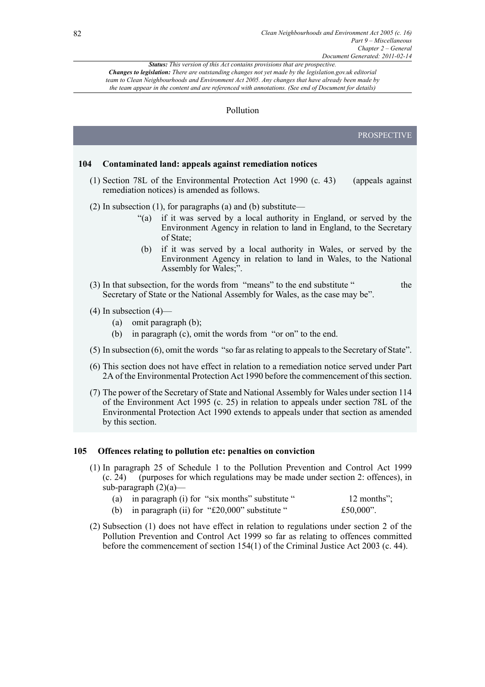### Pollution

PROSPECTIVE

#### **104 Contaminated land: appeals against remediation notices**

- (1) Section 78L of the Environmental Protection Act 1990 (c. 43) (appeals against remediation notices) is amended as follows.
- (2) In subsection (1), for paragraphs (a) and (b) substitute—
	- "(a) if it was served by a local authority in England, or served by the Environment Agency in relation to land in England, to the Secretary of State;
	- (b) if it was served by a local authority in Wales, or served by the Environment Agency in relation to land in Wales, to the National Assembly for Wales;".
- (3) In that subsection, for the words from "means" to the end substitute " the Secretary of State or the National Assembly for Wales, as the case may be".
- $(4)$  In subsection  $(4)$ 
	- (a) omit paragraph (b);
	- (b) in paragraph (c), omit the words from "or on" to the end.
- (5) In subsection (6), omit the words "so far as relating to appeals to the Secretary of State".
- (6) This section does not have effect in relation to a remediation notice served under Part 2A of the Environmental Protection Act 1990 before the commencement of this section.
- (7) The power of the Secretary of State and National Assembly for Wales under section 114 of the Environment Act 1995 (c. 25) in relation to appeals under section 78L of the Environmental Protection Act 1990 extends to appeals under that section as amended by this section.

#### **105 Offences relating to pollution etc: penalties on conviction**

- (1) In paragraph 25 of Schedule 1 to the Pollution Prevention and Control Act 1999 (c. 24) (purposes for which regulations may be made under section 2: offences), in sub-paragraph  $(2)(a)$ —
	- (a) in paragraph (i) for "six months" substitute " 12 months";
	- (b) in paragraph (ii) for " $\text{\pounds}20,000$ " substitute " $\text{\pounds}50,000$ ".
- (2) Subsection (1) does not have effect in relation to regulations under section 2 of the Pollution Prevention and Control Act 1999 so far as relating to offences committed before the commencement of section 154(1) of the Criminal Justice Act 2003 (c. 44).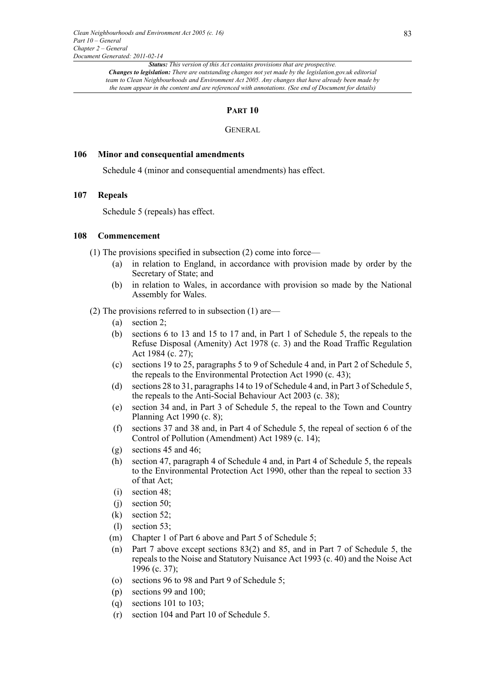#### **PART 10**

#### GENERAL

#### **106 Minor and consequential amendments**

Schedule 4 (minor and consequential amendments) has effect.

#### **107 Repeals**

Schedule 5 (repeals) has effect.

#### **108 Commencement**

(1) The provisions specified in subsection (2) come into force—

- (a) in relation to England, in accordance with provision made by order by the Secretary of State; and
- (b) in relation to Wales, in accordance with provision so made by the National Assembly for Wales.

(2) The provisions referred to in subsection (1) are—

- (a) section 2;
- (b) sections 6 to 13 and 15 to 17 and, in Part 1 of Schedule 5, the repeals to the Refuse Disposal (Amenity) Act 1978 (c. 3) and the Road Traffic Regulation Act 1984 (c. 27);
- (c) sections 19 to 25, paragraphs 5 to 9 of Schedule 4 and, in Part 2 of Schedule 5, the repeals to the Environmental Protection Act 1990 (c. 43);
- (d) sections 28 to 31, paragraphs 14 to 19 of Schedule 4 and, in Part 3 of Schedule 5, the repeals to the Anti-Social Behaviour Act 2003 (c. 38);
- (e) section 34 and, in Part 3 of Schedule 5, the repeal to the Town and Country Planning Act 1990 (c. 8);
- (f) sections 37 and 38 and, in Part 4 of Schedule 5, the repeal of section 6 of the Control of Pollution (Amendment) Act 1989 (c. 14);
- (g) sections 45 and 46;
- (h) section 47, paragraph 4 of Schedule 4 and, in Part 4 of Schedule 5, the repeals to the Environmental Protection Act 1990, other than the repeal to section 33 of that Act;
- (i) section 48;
- (j) section 50;
- (k) section 52;
- (l) section 53;
- (m) Chapter 1 of Part 6 above and Part 5 of Schedule 5;
- (n) Part 7 above except sections 83(2) and 85, and in Part 7 of Schedule 5, the repeals to the Noise and Statutory Nuisance Act 1993 (c. 40) and the Noise Act 1996 (c. 37);
- (o) sections 96 to 98 and Part 9 of Schedule 5;
- (p) sections 99 and 100;
- (q) sections 101 to 103;
- (r) section 104 and Part 10 of Schedule 5.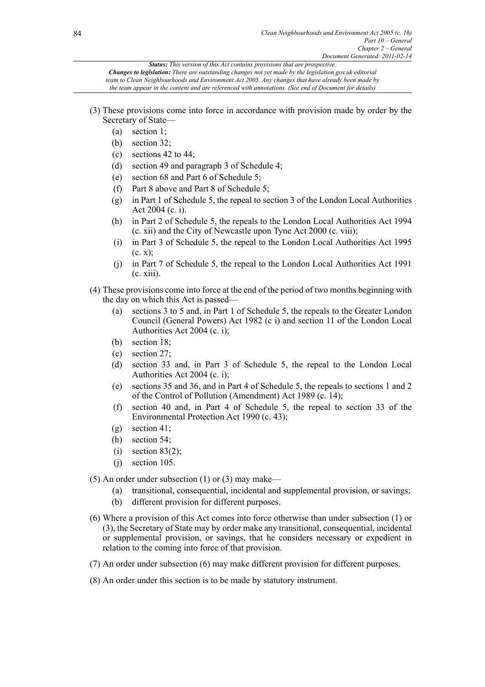- (3) These provisions come into force in accordance with provision made by order by the Secretary of State—
	- (a) section 1;
	- (b) section 32;
	- (c) sections 42 to 44;
	- (d) section 49 and paragraph 3 of Schedule 4;
	- (e) section 68 and Part 6 of Schedule 5;
	- (f) Part 8 above and Part 8 of Schedule 5;
	- (g) in Part 1 of Schedule 5, the repeal to section 3 of the London Local Authorities Act 2004 (c. i).
	- (h) in Part 2 of Schedule 5, the repeals to the London Local Authorities Act 1994 (c. xii) and the City of Newcastle upon Tyne Act 2000 (c. viii);
	- (i) in Part 3 of Schedule 5, the repeal to the London Local Authorities Act 1995  $(c. x);$
	- (j) in Part 7 of Schedule 5, the repeal to the London Local Authorities Act 1991 (c. xiii).
- (4) These provisions come into force at the end of the period of two months beginning with the day on which this Act is passed—
	- (a) sections 3 to 5 and, in Part 1 of Schedule 5, the repeals to the Greater London Council (General Powers) Act 1982 (c i) and section 11 of the London Local Authorities Act 2004 (c. i);
	- (b) section 18;
	- (c) section 27;
	- (d) section 33 and, in Part 3 of Schedule 5, the repeal to the London Local Authorities Act 2004 (c. i);
	- (e) sections 35 and 36, and in Part 4 of Schedule 5, the repeals to sections 1 and 2 of the Control of Pollution (Amendment) Act 1989 (c. 14);
	- (f) section 40 and, in Part 4 of Schedule 5, the repeal to section 33 of the Environmental Protection Act 1990 (c. 43);
	- (g) section 41;
	- (h) section 54;
	- $(i)$  section 83(2);
	- (j) section 105.
- (5) An order under subsection (1) or (3) may make—
	- (a) transitional, consequential, incidental and supplemental provision, or savings;
	- (b) different provision for different purposes.
- (6) Where a provision of this Act comes into force otherwise than under subsection (1) or (3), the Secretary of State may by order make any transitional, consequential, incidental or supplemental provision, or savings, that he considers necessary or expedient in relation to the coming into force of that provision.
- (7) An order under subsection (6) may make different provision for different purposes.
- (8) An order under this section is to be made by statutory instrument.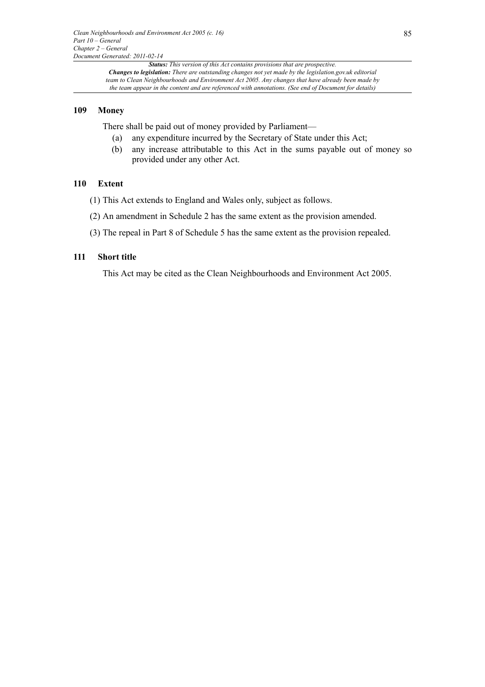#### **109 Money**

There shall be paid out of money provided by Parliament—

- (a) any expenditure incurred by the Secretary of State under this Act;
- (b) any increase attributable to this Act in the sums payable out of money so provided under any other Act.

### **110 Extent**

- (1) This Act extends to England and Wales only, subject as follows.
- (2) An amendment in Schedule 2 has the same extent as the provision amended.
- (3) The repeal in Part 8 of Schedule 5 has the same extent as the provision repealed.

## **111 Short title**

This Act may be cited as the Clean Neighbourhoods and Environment Act 2005.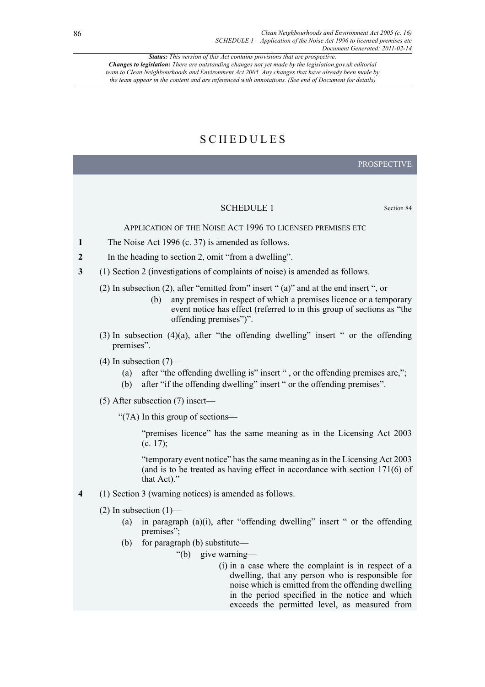# S C H E D U L E S

PROSPECTIVE

# SCHEDULE 1 Section 84

APPLICATION OF THE NOISE ACT 1996 TO LICENSED PREMISES ETC

- **1** The Noise Act 1996 (c. 37) is amended as follows.
- **2** In the heading to section 2, omit "from a dwelling".
- **3** (1) Section 2 (investigations of complaints of noise) is amended as follows.
	- (2) In subsection (2), after "emitted from" insert " (a)" and at the end insert ", or
		- (b) any premises in respect of which a premises licence or a temporary event notice has effect (referred to in this group of sections as "the offending premises")".
	- (3) In subsection (4)(a), after "the offending dwelling" insert " or the offending premises".
	- $(4)$  In subsection  $(7)$ 
		- (a) after "the offending dwelling is" insert " , or the offending premises are,";
		- (b) after "if the offending dwelling" insert " or the offending premises".
	- (5) After subsection (7) insert—
		- "(7A) In this group of sections—

"premises licence" has the same meaning as in the Licensing Act 2003 (c. 17);

"temporary event notice" has the same meaning as in the Licensing Act 2003 (and is to be treated as having effect in accordance with section 171(6) of that Act)."

- **4** (1) Section 3 (warning notices) is amended as follows.
	- $(2)$  In subsection  $(1)$ 
		- (a) in paragraph (a)(i), after "offending dwelling" insert " or the offending premises";
		- (b) for paragraph (b) substitute—
			- "(b) give warning—
				- (i) in a case where the complaint is in respect of a dwelling, that any person who is responsible for noise which is emitted from the offending dwelling in the period specified in the notice and which exceeds the permitted level, as measured from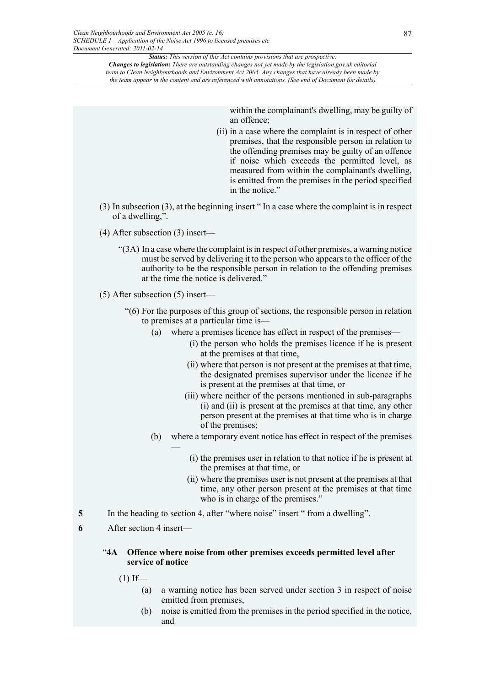> within the complainant's dwelling, may be guilty of an offence;

- (ii) in a case where the complaint is in respect of other premises, that the responsible person in relation to the offending premises may be guilty of an offence if noise which exceeds the permitted level, as measured from within the complainant's dwelling, is emitted from the premises in the period specified in the notice."
- (3) In subsection (3), at the beginning insert " In a case where the complaint is in respect of a dwelling,".
- (4) After subsection (3) insert—
	- "(3A) In a case where the complaint is in respect of other premises, a warning notice must be served by delivering it to the person who appears to the officer of the authority to be the responsible person in relation to the offending premises at the time the notice is delivered."
- (5) After subsection (5) insert—

—

- "(6) For the purposes of this group of sections, the responsible person in relation to premises at a particular time is—
	- (a) where a premises licence has effect in respect of the premises—
		- (i) the person who holds the premises licence if he is present at the premises at that time,
		- (ii) where that person is not present at the premises at that time, the designated premises supervisor under the licence if he is present at the premises at that time, or
		- (iii) where neither of the persons mentioned in sub-paragraphs (i) and (ii) is present at the premises at that time, any other person present at the premises at that time who is in charge of the premises;
	- (b) where a temporary event notice has effect in respect of the premises
		- (i) the premises user in relation to that notice if he is present at the premises at that time, or
		- (ii) where the premises user is not present at the premises at that time, any other person present at the premises at that time who is in charge of the premises."
- **5** In the heading to section 4, after "where noise" insert " from a dwelling".
- **6** After section 4 insert—

# "**4A Offence where noise from other premises exceeds permitted level after service of notice**

- $(1)$  If—
	- (a) a warning notice has been served under section 3 in respect of noise emitted from premises,
	- (b) noise is emitted from the premises in the period specified in the notice, and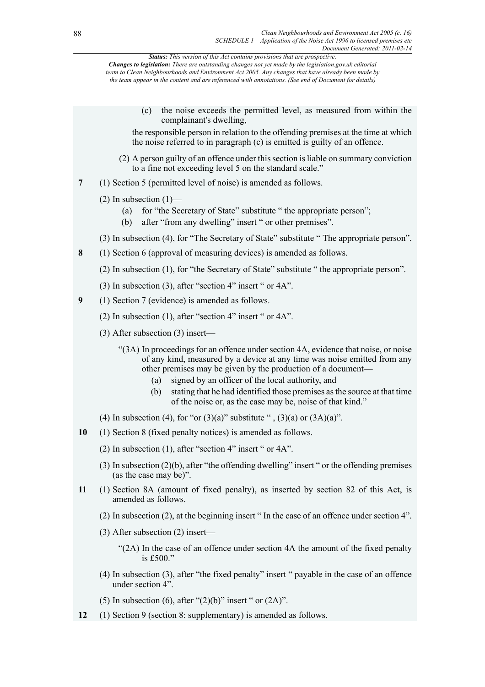|    | the noise exceeds the permitted level, as measured from within the<br>(c)<br>complainant's dwelling,                                                                                                                                                                                                                                                                                                                                       |
|----|--------------------------------------------------------------------------------------------------------------------------------------------------------------------------------------------------------------------------------------------------------------------------------------------------------------------------------------------------------------------------------------------------------------------------------------------|
|    | the responsible person in relation to the offending premises at the time at which<br>the noise referred to in paragraph (c) is emitted is guilty of an offence.                                                                                                                                                                                                                                                                            |
|    | (2) A person guilty of an offence under this section is liable on summary conviction<br>to a fine not exceeding level 5 on the standard scale."                                                                                                                                                                                                                                                                                            |
| 7  | (1) Section 5 (permitted level of noise) is amended as follows.                                                                                                                                                                                                                                                                                                                                                                            |
|    | $(2)$ In subsection $(1)$ —<br>for "the Secretary of State" substitute " the appropriate person";<br>(a)<br>after "from any dwelling" insert " or other premises".<br>(b)                                                                                                                                                                                                                                                                  |
|    | (3) In subsection (4), for "The Secretary of State" substitute "The appropriate person".                                                                                                                                                                                                                                                                                                                                                   |
| 8  | (1) Section 6 (approval of measuring devices) is amended as follows.                                                                                                                                                                                                                                                                                                                                                                       |
|    | (2) In subsection (1), for "the Secretary of State" substitute " the appropriate person".                                                                                                                                                                                                                                                                                                                                                  |
|    | (3) In subsection (3), after "section 4" insert " or 4A".                                                                                                                                                                                                                                                                                                                                                                                  |
| 9  | (1) Section 7 (evidence) is amended as follows.                                                                                                                                                                                                                                                                                                                                                                                            |
|    | (2) In subsection $(1)$ , after "section 4" insert " or 4A".                                                                                                                                                                                                                                                                                                                                                                               |
|    | $(3)$ After subsection $(3)$ insert—                                                                                                                                                                                                                                                                                                                                                                                                       |
|    | "(3A) In proceedings for an offence under section 4A, evidence that noise, or noise<br>of any kind, measured by a device at any time was noise emitted from any<br>other premises may be given by the production of a document—<br>signed by an officer of the local authority, and<br>(a)<br>stating that he had identified those premises as the source at that time<br>(b)<br>of the noise or, as the case may be, noise of that kind." |
|    | (4) In subsection (4), for "or $(3)(a)$ " substitute ", $(3)(a)$ or $(3A)(a)$ ".                                                                                                                                                                                                                                                                                                                                                           |
| 10 | (1) Section 8 (fixed penalty notices) is amended as follows.                                                                                                                                                                                                                                                                                                                                                                               |
|    | (2) In subsection $(1)$ , after "section 4" insert " or 4A".                                                                                                                                                                                                                                                                                                                                                                               |
|    | $(3)$ In subsection $(2)(b)$ , after "the offending dwelling" insert " or the offending premises<br>(as the case may be)".                                                                                                                                                                                                                                                                                                                 |
| 11 | (1) Section 8A (amount of fixed penalty), as inserted by section 82 of this Act, is<br>amended as follows.                                                                                                                                                                                                                                                                                                                                 |
|    | (2) In subsection (2), at the beginning insert "In the case of an offence under section $4$ ".                                                                                                                                                                                                                                                                                                                                             |
|    | $(3)$ After subsection $(2)$ insert—                                                                                                                                                                                                                                                                                                                                                                                                       |
|    | "(2A) In the case of an offence under section 4A the amount of the fixed penalty<br>is £500."                                                                                                                                                                                                                                                                                                                                              |
|    | (4) In subsection (3), after "the fixed penalty" insert " payable in the case of an offence<br>under section 4".                                                                                                                                                                                                                                                                                                                           |
|    | (5) In subsection (6), after " $(2)(b)$ " insert " or $(2A)$ ".                                                                                                                                                                                                                                                                                                                                                                            |
|    |                                                                                                                                                                                                                                                                                                                                                                                                                                            |

**12** (1) Section 9 (section 8: supplementary) is amended as follows.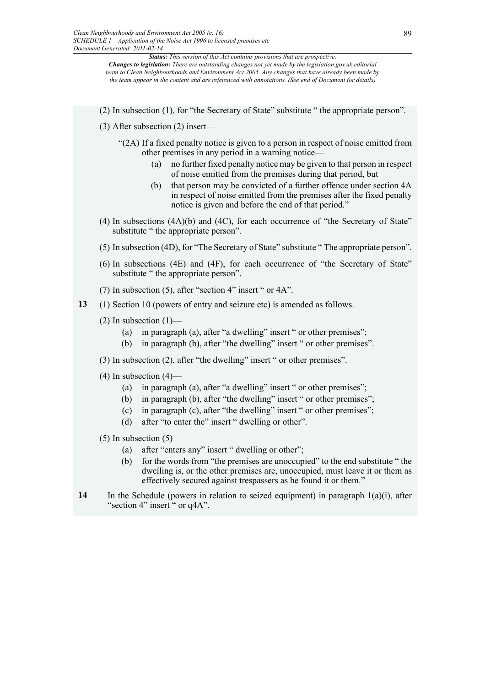- (2) In subsection (1), for "the Secretary of State" substitute " the appropriate person".
- (3) After subsection (2) insert—
	- "(2A) If a fixed penalty notice is given to a person in respect of noise emitted from other premises in any period in a warning notice—
		- (a) no further fixed penalty notice may be given to that person in respect of noise emitted from the premises during that period, but
		- (b) that person may be convicted of a further offence under section 4A in respect of noise emitted from the premises after the fixed penalty notice is given and before the end of that period."
- (4) In subsections (4A)(b) and (4C), for each occurrence of "the Secretary of State" substitute " the appropriate person".
- (5) In subsection (4D), for "The Secretary of State" substitute " The appropriate person".
- (6) In subsections (4E) and (4F), for each occurrence of "the Secretary of State" substitute " the appropriate person".
- (7) In subsection (5), after "section 4" insert " or 4A".
- **13** (1) Section 10 (powers of entry and seizure etc) is amended as follows.
	- (2) In subsection  $(1)$ 
		- (a) in paragraph (a), after "a dwelling" insert " or other premises";
		- (b) in paragraph (b), after "the dwelling" insert " or other premises".
	- (3) In subsection (2), after "the dwelling" insert " or other premises".
	- $(4)$  In subsection  $(4)$ 
		- (a) in paragraph (a), after "a dwelling" insert " or other premises";
		- (b) in paragraph (b), after "the dwelling" insert " or other premises";
		- (c) in paragraph (c), after "the dwelling" insert " or other premises";
		- (d) after "to enter the" insert " dwelling or other".
	- $(5)$  In subsection  $(5)$ 
		- (a) after "enters any" insert " dwelling or other";
		- (b) for the words from "the premises are unoccupied" to the end substitute " the dwelling is, or the other premises are, unoccupied, must leave it or them as effectively secured against trespassers as he found it or them."
- **14** In the Schedule (powers in relation to seized equipment) in paragraph 1(a)(i), after "section 4" insert " or q4A".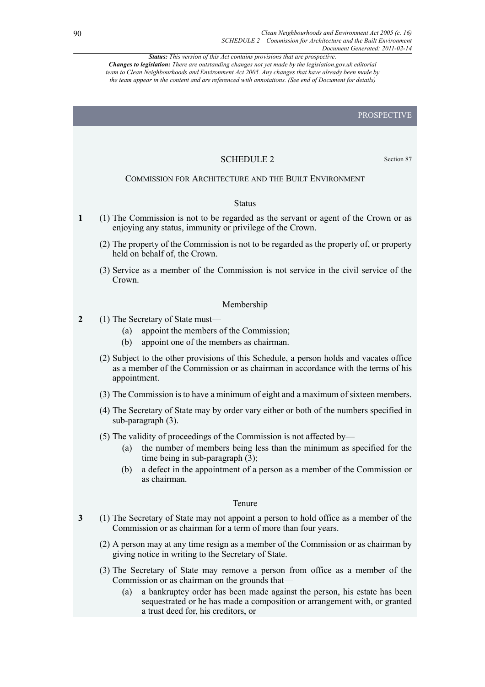#### PROSPECTIVE

### SCHEDULE 2 Section 87

#### COMMISSION FOR ARCHITECTURE AND THE BUILT ENVIRONMENT

#### Status

- **1** (1) The Commission is not to be regarded as the servant or agent of the Crown or as enjoying any status, immunity or privilege of the Crown.
	- (2) The property of the Commission is not to be regarded as the property of, or property held on behalf of, the Crown.
	- (3) Service as a member of the Commission is not service in the civil service of the Crown.

#### Membership

- **2** (1) The Secretary of State must—
	- (a) appoint the members of the Commission;
	- (b) appoint one of the members as chairman.
	- (2) Subject to the other provisions of this Schedule, a person holds and vacates office as a member of the Commission or as chairman in accordance with the terms of his appointment.
	- (3) The Commission is to have a minimum of eight and a maximum of sixteen members.
	- (4) The Secretary of State may by order vary either or both of the numbers specified in sub-paragraph (3).
	- (5) The validity of proceedings of the Commission is not affected by—
		- (a) the number of members being less than the minimum as specified for the time being in sub-paragraph (3);
		- (b) a defect in the appointment of a person as a member of the Commission or as chairman.

#### Tenure

- **3** (1) The Secretary of State may not appoint a person to hold office as a member of the Commission or as chairman for a term of more than four years.
	- (2) A person may at any time resign as a member of the Commission or as chairman by giving notice in writing to the Secretary of State.
	- (3) The Secretary of State may remove a person from office as a member of the Commission or as chairman on the grounds that—
		- (a) a bankruptcy order has been made against the person, his estate has been sequestrated or he has made a composition or arrangement with, or granted a trust deed for, his creditors, or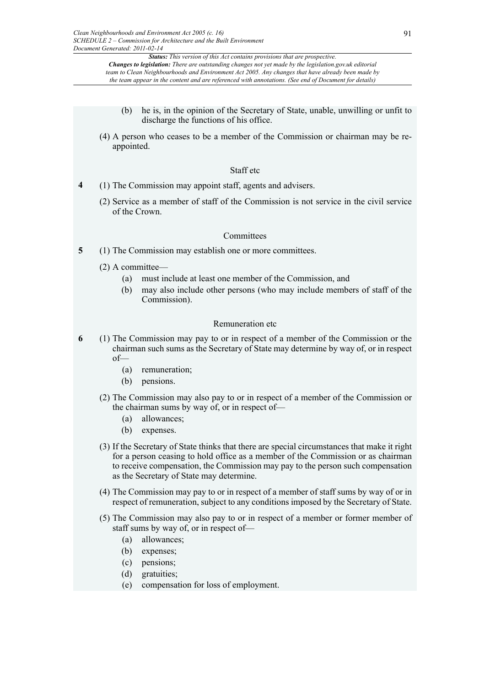*Status: This version of this Act contains provisions that are prospective.*

*Changes to legislation: There are outstanding changes not yet made by the legislation.gov.uk editorial team to Clean Neighbourhoods and Environment Act 2005. Any changes that have already been made by the team appear in the content and are referenced with annotations. (See end of Document for details)*

- (b) he is, in the opinion of the Secretary of State, unable, unwilling or unfit to discharge the functions of his office.
- (4) A person who ceases to be a member of the Commission or chairman may be reappointed.

#### Staff etc

- **4** (1) The Commission may appoint staff, agents and advisers.
	- (2) Service as a member of staff of the Commission is not service in the civil service of the Crown.

#### **Committees**

- **5** (1) The Commission may establish one or more committees.
	- (2) A committee—
		- (a) must include at least one member of the Commission, and
		- (b) may also include other persons (who may include members of staff of the Commission).

#### Remuneration etc

- **6** (1) The Commission may pay to or in respect of a member of the Commission or the chairman such sums as the Secretary of State may determine by way of, or in respect of—
	- (a) remuneration;
	- (b) pensions.
	- (2) The Commission may also pay to or in respect of a member of the Commission or the chairman sums by way of, or in respect of—
		- (a) allowances;
		- (b) expenses.
	- (3) If the Secretary of State thinks that there are special circumstances that make it right for a person ceasing to hold office as a member of the Commission or as chairman to receive compensation, the Commission may pay to the person such compensation as the Secretary of State may determine.
	- (4) The Commission may pay to or in respect of a member of staff sums by way of or in respect of remuneration, subject to any conditions imposed by the Secretary of State.
	- (5) The Commission may also pay to or in respect of a member or former member of staff sums by way of, or in respect of—
		- (a) allowances;
		- (b) expenses;
		- (c) pensions;
		- (d) gratuities;
		- (e) compensation for loss of employment.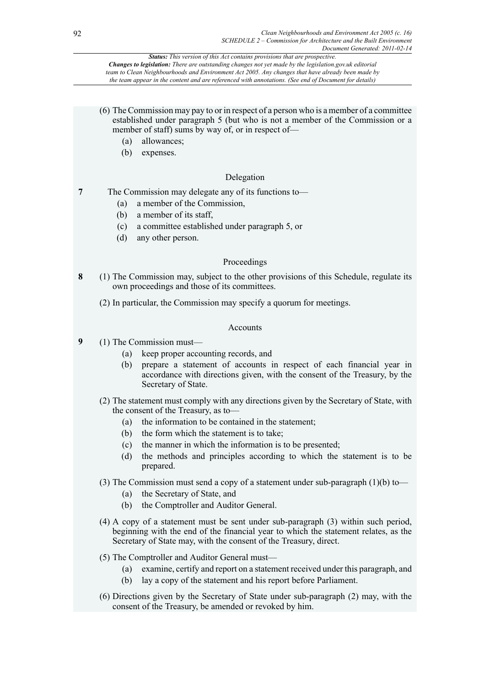- (6) The Commission may pay to or in respect of a person who is a member of a committee established under paragraph 5 (but who is not a member of the Commission or a member of staff) sums by way of, or in respect of—
	- (a) allowances;
	- (b) expenses.

# Delegation

**7** The Commission may delegate any of its functions to—

- (a) a member of the Commission,
- (b) a member of its staff,
- (c) a committee established under paragraph 5, or
- (d) any other person.

#### Proceedings

- **8** (1) The Commission may, subject to the other provisions of this Schedule, regulate its own proceedings and those of its committees.
	- (2) In particular, the Commission may specify a quorum for meetings.

#### Accounts

- **9** (1) The Commission must—
	- (a) keep proper accounting records, and
	- (b) prepare a statement of accounts in respect of each financial year in accordance with directions given, with the consent of the Treasury, by the Secretary of State.
	- (2) The statement must comply with any directions given by the Secretary of State, with the consent of the Treasury, as to—
		- (a) the information to be contained in the statement;
		- (b) the form which the statement is to take;
		- (c) the manner in which the information is to be presented;
		- (d) the methods and principles according to which the statement is to be prepared.
	- (3) The Commission must send a copy of a statement under sub-paragraph  $(1)(b)$  to—
		- (a) the Secretary of State, and
		- (b) the Comptroller and Auditor General.
	- (4) A copy of a statement must be sent under sub-paragraph (3) within such period, beginning with the end of the financial year to which the statement relates, as the Secretary of State may, with the consent of the Treasury, direct.
	- (5) The Comptroller and Auditor General must—
		- (a) examine, certify and report on a statement received under this paragraph, and
		- (b) lay a copy of the statement and his report before Parliament.
	- (6) Directions given by the Secretary of State under sub-paragraph (2) may, with the consent of the Treasury, be amended or revoked by him.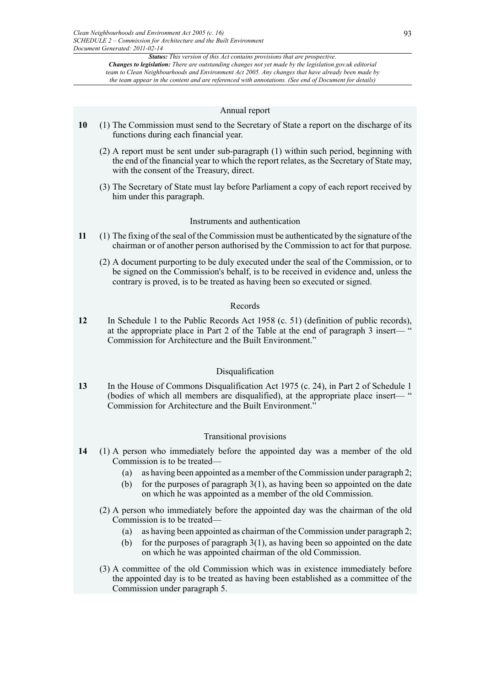#### Annual report

- **10** (1) The Commission must send to the Secretary of State a report on the discharge of its functions during each financial year.
	- (2) A report must be sent under sub-paragraph (1) within such period, beginning with the end of the financial year to which the report relates, as the Secretary of State may, with the consent of the Treasury, direct.
	- (3) The Secretary of State must lay before Parliament a copy of each report received by him under this paragraph.

#### Instruments and authentication

- **11** (1) The fixing of the seal of the Commission must be authenticated by the signature of the chairman or of another person authorised by the Commission to act for that purpose.
	- (2) A document purporting to be duly executed under the seal of the Commission, or to be signed on the Commission's behalf, is to be received in evidence and, unless the contrary is proved, is to be treated as having been so executed or signed.

#### Records

**12** In Schedule 1 to the Public Records Act 1958 (c. 51) (definition of public records), at the appropriate place in Part 2 of the Table at the end of paragraph 3 insert— " Commission for Architecture and the Built Environment."

# Disqualification

**13** In the House of Commons Disqualification Act 1975 (c. 24), in Part 2 of Schedule 1 (bodies of which all members are disqualified), at the appropriate place insert— " Commission for Architecture and the Built Environment."

#### Transitional provisions

- **14** (1) A person who immediately before the appointed day was a member of the old Commission is to be treated—
	- (a) as having been appointed as a member of the Commission under paragraph 2;
	- (b) for the purposes of paragraph  $3(1)$ , as having been so appointed on the date on which he was appointed as a member of the old Commission.
	- (2) A person who immediately before the appointed day was the chairman of the old Commission is to be treated—
		- (a) as having been appointed as chairman of the Commission under paragraph 2;
		- (b) for the purposes of paragraph  $3(1)$ , as having been so appointed on the date on which he was appointed chairman of the old Commission.
	- (3) A committee of the old Commission which was in existence immediately before the appointed day is to be treated as having been established as a committee of the Commission under paragraph 5.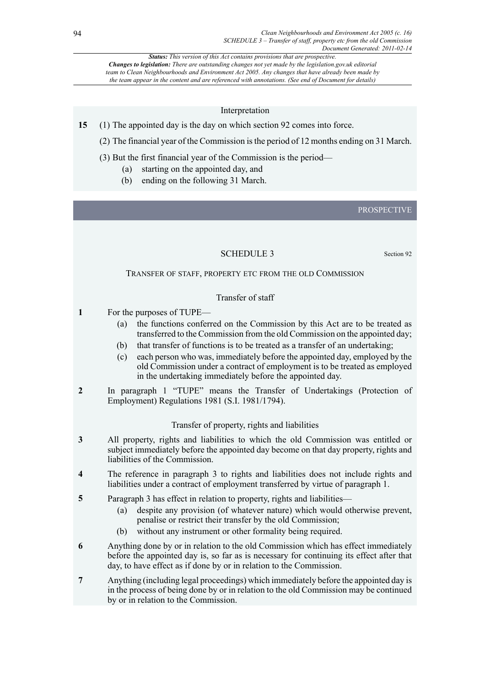*Status: This version of this Act contains provisions that are prospective. Changes to legislation: There are outstanding changes not yet made by the legislation.gov.uk editorial*

*team to Clean Neighbourhoods and Environment Act 2005. Any changes that have already been made by*

*the team appear in the content and are referenced with annotations. (See end of Document for details)*

# Interpretation

**15** (1) The appointed day is the day on which section 92 comes into force.

(2) The financial year of the Commission is the period of 12 months ending on 31 March.

(3) But the first financial year of the Commission is the period—

- (a) starting on the appointed day, and
- (b) ending on the following 31 March.

# **PROSPECTIVE**

### SCHEDULE 3 Section 92

### TRANSFER OF STAFF, PROPERTY ETC FROM THE OLD COMMISSION

## Transfer of staff

- **1** For the purposes of TUPE—
	- (a) the functions conferred on the Commission by this Act are to be treated as transferred to the Commission from the old Commission on the appointed day;
	- (b) that transfer of functions is to be treated as a transfer of an undertaking;
	- (c) each person who was, immediately before the appointed day, employed by the old Commission under a contract of employment is to be treated as employed in the undertaking immediately before the appointed day.
- **2** In paragraph 1 "TUPE" means the Transfer of Undertakings (Protection of Employment) Regulations 1981 (S.I. 1981/1794).

## Transfer of property, rights and liabilities

- **3** All property, rights and liabilities to which the old Commission was entitled or subject immediately before the appointed day become on that day property, rights and liabilities of the Commission.
- **4** The reference in paragraph 3 to rights and liabilities does not include rights and liabilities under a contract of employment transferred by virtue of paragraph 1.
- **5** Paragraph 3 has effect in relation to property, rights and liabilities—
	- (a) despite any provision (of whatever nature) which would otherwise prevent, penalise or restrict their transfer by the old Commission;
	- (b) without any instrument or other formality being required.
- **6** Anything done by or in relation to the old Commission which has effect immediately before the appointed day is, so far as is necessary for continuing its effect after that day, to have effect as if done by or in relation to the Commission.
- **7** Anything (including legal proceedings) which immediately before the appointed day is in the process of being done by or in relation to the old Commission may be continued by or in relation to the Commission.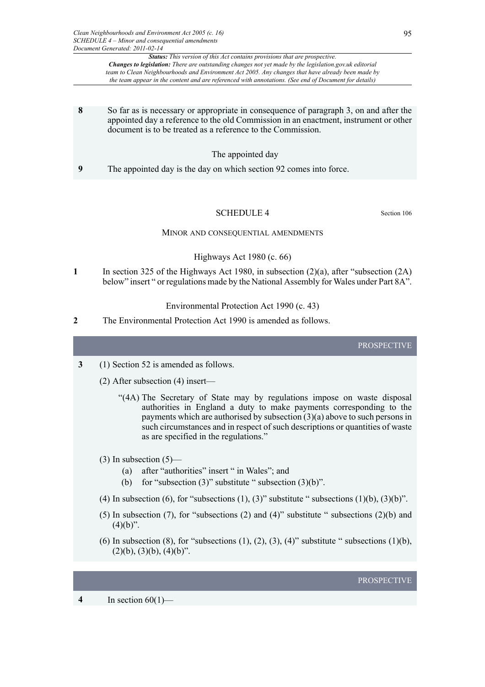**8** So far as is necessary or appropriate in consequence of paragraph 3, on and after the appointed day a reference to the old Commission in an enactment, instrument or other document is to be treated as a reference to the Commission.

# The appointed day

**9** The appointed day is the day on which section 92 comes into force.

#### SCHEDULE 4 Section 106

#### MINOR AND CONSEQUENTIAL AMENDMENTS

## Highways Act 1980 (c. 66)

1 In section 325 of the Highways Act 1980, in subsection (2)(a), after "subsection (2A) below" insert " or regulations made by the National Assembly for Wales under Part 8A".

Environmental Protection Act 1990 (c. 43)

**2** The Environmental Protection Act 1990 is amended as follows.

PROSPECTIVE

- **3** (1) Section 52 is amended as follows.
	- (2) After subsection (4) insert—
		- "(4A) The Secretary of State may by regulations impose on waste disposal authorities in England a duty to make payments corresponding to the payments which are authorised by subsection (3)(a) above to such persons in such circumstances and in respect of such descriptions or quantities of waste as are specified in the regulations."
	- $(3)$  In subsection  $(5)$ 
		- (a) after "authorities" insert " in Wales"; and
		- (b) for "subsection  $(3)$ " substitute " subsection  $(3)(b)$ ".
	- (4) In subsection (6), for "subsections  $(1)$ ,  $(3)$ " substitute " subsections  $(1)(b)$ ,  $(3)(b)$ ".
	- (5) In subsection (7), for "subsections (2) and (4)" substitute " subsections (2)(b) and  $(4)(b)$ ".
	- (6) In subsection (8), for "subsections  $(1)$ ,  $(2)$ ,  $(3)$ ,  $(4)$ " substitute " subsections  $(1)(b)$ ,  $(2)(b)$ ,  $(3)(b)$ ,  $(4)(b)$ ".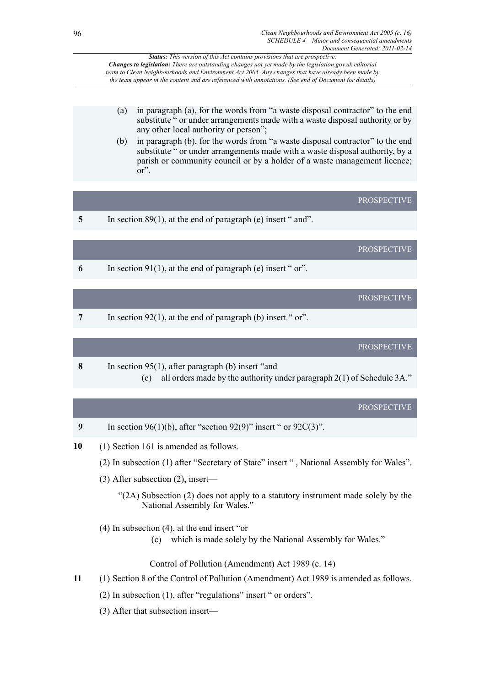*Status: This version of this Act contains provisions that are prospective. Changes to legislation: There are outstanding changes not yet made by the legislation.gov.uk editorial team to Clean Neighbourhoods and Environment Act 2005. Any changes that have already been made by the team appear in the content and are referenced with annotations. (See end of Document for details)* (a) in paragraph (a), for the words from "a waste disposal contractor" to the end substitute " or under arrangements made with a waste disposal authority or by any other local authority or person"; (b) in paragraph (b), for the words from "a waste disposal contractor" to the end substitute " or under arrangements made with a waste disposal authority, by a parish or community council or by a holder of a waste management licence; or". PROSPECTIVE **5** In section 89(1), at the end of paragraph (e) insert " and". PROSPECTIVE **6** In section 91(1), at the end of paragraph (e) insert " or". PROSPECTIVE **7** In section 92(1), at the end of paragraph (b) insert " or". PROSPECTIVE **8** In section 95(1), after paragraph (b) insert "and (c) all orders made by the authority under paragraph 2(1) of Schedule 3A." PROSPECTIVE **9** In section 96(1)(b), after "section 92(9)" insert " or 92C(3)". **10** (1) Section 161 is amended as follows. (2) In subsection (1) after "Secretary of State" insert " , National Assembly for Wales". (3) After subsection (2), insert— "(2A) Subsection (2) does not apply to a statutory instrument made solely by the National Assembly for Wales." (4) In subsection (4), at the end insert "or (c) which is made solely by the National Assembly for Wales." Control of Pollution (Amendment) Act 1989 (c. 14) **11** (1) Section 8 of the Control of Pollution (Amendment) Act 1989 is amended as follows. (2) In subsection (1), after "regulations" insert " or orders". (3) After that subsection insert—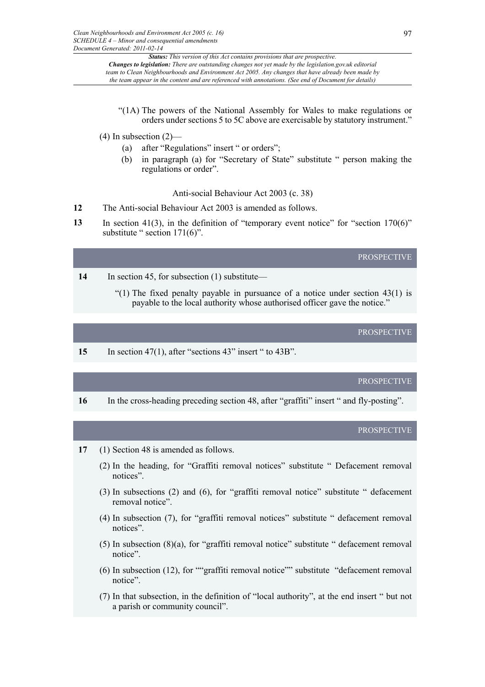*Status: This version of this Act contains provisions that are prospective. Changes to legislation: There are outstanding changes not yet made by the legislation.gov.uk editorial team to Clean Neighbourhoods and Environment Act 2005. Any changes that have already been made by*

*the team appear in the content and are referenced with annotations. (See end of Document for details)*

"(1A) The powers of the National Assembly for Wales to make regulations or orders under sections 5 to 5C above are exercisable by statutory instrument."

### $(4)$  In subsection  $(2)$ —

- (a) after "Regulations" insert " or orders";
- (b) in paragraph (a) for "Secretary of State" substitute " person making the regulations or order".

Anti-social Behaviour Act 2003 (c. 38)

- **12** The Anti-social Behaviour Act 2003 is amended as follows.
- 13 In section 41(3), in the definition of "temporary event notice" for "section 170(6)" substitute " section 171(6)".

PROSPECTIVE

- 14 In section 45, for subsection (1) substitute—
	- $(1)$  The fixed penalty payable in pursuance of a notice under section 43(1) is payable to the local authority whose authorised officer gave the notice."

PROSPECTIVE

**15** In section 47(1), after "sections 43" insert " to 43B".

# PROSPECTIVE

**16** In the cross-heading preceding section 48, after "graffiti" insert " and fly-posting".

#### PROSPECTIVE

- **17** (1) Section 48 is amended as follows.
	- (2) In the heading, for "Graffiti removal notices" substitute " Defacement removal notices".
	- (3) In subsections (2) and (6), for "graffiti removal notice" substitute " defacement removal notice".
	- (4) In subsection (7), for "graffiti removal notices" substitute " defacement removal notices".
	- $(5)$  In subsection  $(8)(a)$ , for "graffiti removal notice" substitute " defacement removal notice".
	- (6) In subsection (12), for ""graffiti removal notice"" substitute "defacement removal notice".
	- (7) In that subsection, in the definition of "local authority", at the end insert " but not a parish or community council".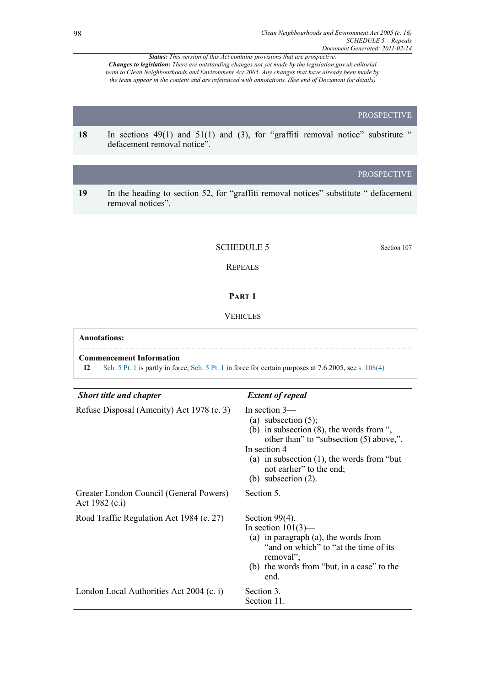#### PROSPECTIVE

18 In sections 49(1) and 51(1) and (3), for "graffiti removal notice" substitute " defacement removal notice".

## PROSPECTIVE

**19** In the heading to section 52, for "graffiti removal notices" substitute " defacement removal notices".

#### SCHEDULE 5 Section 107

## REPEALS

# **PART 1**

#### **VEHICLES**

# **Annotations:**

#### **Commencement Information**

**I2** [Sch. 5 Pt. 1](http://www.legislation.gov.uk/id/ukpga/2005/16/schedule/5/part/1) is partly in force; [Sch. 5 Pt. 1](http://www.legislation.gov.uk/id/ukpga/2005/16/schedule/5/part/1) in force for certain purposes at 7.6.2005, see [s. 108\(4\)](http://www.legislation.gov.uk/id/ukpga/2005/16/section/108/4)

# *Short title and chapter Extent of repeal*

| <i>Short title and chapter</i>                              | Extent of repeat                                                                                                                                                                                                                                                 |
|-------------------------------------------------------------|------------------------------------------------------------------------------------------------------------------------------------------------------------------------------------------------------------------------------------------------------------------|
| Refuse Disposal (Amenity) Act 1978 (c. 3)                   | In section $3-$<br>(a) subsection $(5)$ ;<br>(b) in subsection $(8)$ , the words from ",<br>other than" to "subsection $(5)$ above,".<br>In section $4-$<br>(a) in subsection $(1)$ , the words from "but"<br>not earlier" to the end;<br>(b) subsection $(2)$ . |
| Greater London Council (General Powers)<br>Act $1982$ (c.i) | Section 5.                                                                                                                                                                                                                                                       |
| Road Traffic Regulation Act 1984 (c. 27)                    | Section $99(4)$ .<br>In section $101(3)$ —<br>(a) in paragraph (a), the words from<br>"and on which" to "at the time of its"<br>removal";<br>(b) the words from "but, in a case" to the<br>end.                                                                  |
| London Local Authorities Act 2004 (c. i)                    | Section 3.<br>Section 11.                                                                                                                                                                                                                                        |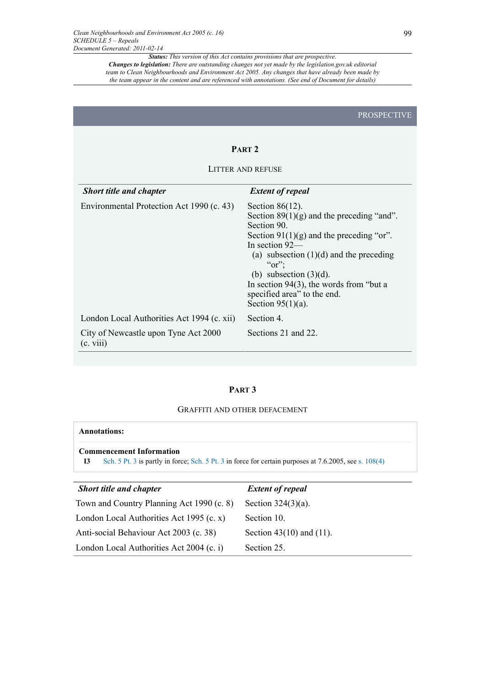# PROSPECTIVE

# **PART 2**

#### LITTER AND REFUSE

| <b>Short title and chapter</b>                    | <b>Extent of repeal</b>                                                                                                                                                                                                                                                                                                                       |
|---------------------------------------------------|-----------------------------------------------------------------------------------------------------------------------------------------------------------------------------------------------------------------------------------------------------------------------------------------------------------------------------------------------|
| Environmental Protection Act 1990 (c. 43)         | Section $86(12)$ .<br>Section $89(1)(g)$ and the preceding "and".<br>Section 90.<br>Section $91(1)(g)$ and the preceding "or".<br>In section $92-$<br>(a) subsection $(1)(d)$ and the preceding<br>" $or$ "<br>(b) subsection $(3)(d)$ .<br>In section $94(3)$ , the words from "but a<br>specified area" to the end.<br>Section $95(1)(a)$ . |
| London Local Authorities Act 1994 (c. xii)        | Section 4.                                                                                                                                                                                                                                                                                                                                    |
| City of Newcastle upon Tyne Act 2000<br>(c. viii) | Sections 21 and 22.                                                                                                                                                                                                                                                                                                                           |

# **PART 3**

#### GRAFFITI AND OTHER DEFACEMENT

| <b>Annotations:</b>                                                                                                                                    |                                |                         |
|--------------------------------------------------------------------------------------------------------------------------------------------------------|--------------------------------|-------------------------|
| <b>Commencement Information</b><br>Sch. 5 Pt. 3 is partly in force; Sch. 5 Pt. 3 in force for certain purposes at 7.6.2005, see s. 108(4)<br><b>I3</b> |                                |                         |
|                                                                                                                                                        | <b>Short title and chapter</b> | <b>Extent of repeal</b> |

| <i>Short three and chapter</i>            | Lauth of repeat             |
|-------------------------------------------|-----------------------------|
| Town and Country Planning Act 1990 (c. 8) | Section $324(3)(a)$ .       |
| London Local Authorities Act 1995 (c. x)  | Section 10.                 |
| Anti-social Behaviour Act 2003 (c. 38)    | Section 43(10) and $(11)$ . |
| London Local Authorities Act 2004 (c. i)  | Section 25.                 |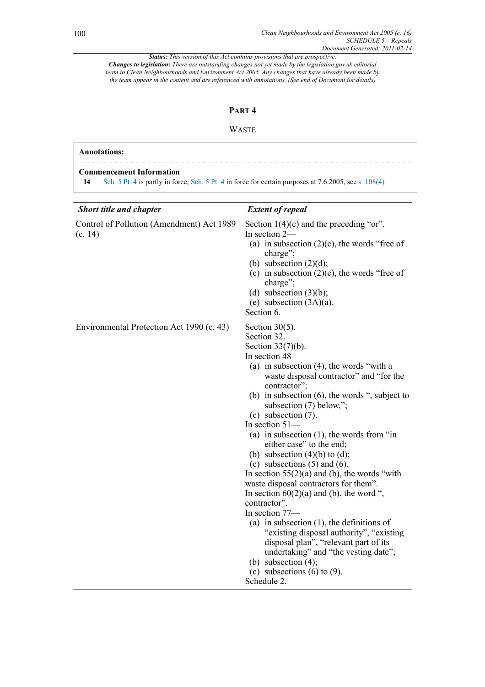# **PART 4**

# WASTE

| <b>Annotations:</b>                                                                                                                             |                                                                                                                                                                                                                                                                                                                                                                                                                                                                                                                                                                                                                                                                                                                                                                                                                                                                                                                     |
|-------------------------------------------------------------------------------------------------------------------------------------------------|---------------------------------------------------------------------------------------------------------------------------------------------------------------------------------------------------------------------------------------------------------------------------------------------------------------------------------------------------------------------------------------------------------------------------------------------------------------------------------------------------------------------------------------------------------------------------------------------------------------------------------------------------------------------------------------------------------------------------------------------------------------------------------------------------------------------------------------------------------------------------------------------------------------------|
| <b>Commencement Information</b><br>14<br>Sch. 5 Pt. 4 is partly in force; Sch. 5 Pt. 4 in force for certain purposes at 7.6.2005, see s. 108(4) |                                                                                                                                                                                                                                                                                                                                                                                                                                                                                                                                                                                                                                                                                                                                                                                                                                                                                                                     |
| <b>Short title and chapter</b>                                                                                                                  | <b>Extent of repeal</b>                                                                                                                                                                                                                                                                                                                                                                                                                                                                                                                                                                                                                                                                                                                                                                                                                                                                                             |
| Control of Pollution (Amendment) Act 1989<br>(c. 14)                                                                                            | Section $1(4)(c)$ and the preceding "or".<br>In section $2-$<br>(a) in subsection $(2)(c)$ , the words "free of<br>charge";<br>(b) subsection $(2)(d)$ ;<br>(c) in subsection $(2)(e)$ , the words "free of<br>charge";<br>(d) subsection $(3)(b)$ ;<br>(e) subsection $(3A)(a)$ .<br>Section 6.                                                                                                                                                                                                                                                                                                                                                                                                                                                                                                                                                                                                                    |
| Environmental Protection Act 1990 (c. 43)                                                                                                       | Section $30(5)$ .<br>Section 32.<br>Section $33(7)(b)$ .<br>In section 48-<br>(a) in subsection $(4)$ , the words "with a<br>waste disposal contractor" and "for the<br>contractor";<br>(b) in subsection $(6)$ , the words ", subject to<br>subsection $(7)$ below,";<br>$(c)$ subsection $(7)$ .<br>In section $51-$<br>(a) in subsection $(1)$ , the words from "in<br>either case" to the end;<br>(b) subsection $(4)(b)$ to $(d)$ ;<br>(c) subsections $(5)$ and $(6)$ .<br>In section $55(2)(a)$ and (b), the words "with<br>waste disposal contractors for them".<br>In section $60(2)(a)$ and (b), the word ",<br>contractor".<br>In section 77-<br>(a) in subsection $(1)$ , the definitions of<br>"existing disposal authority", "existing"<br>disposal plan", "relevant part of its<br>undertaking" and "the vesting date";<br>(b) subsection $(4)$ ;<br>(c) subsections $(6)$ to $(9)$ .<br>Schedule 2. |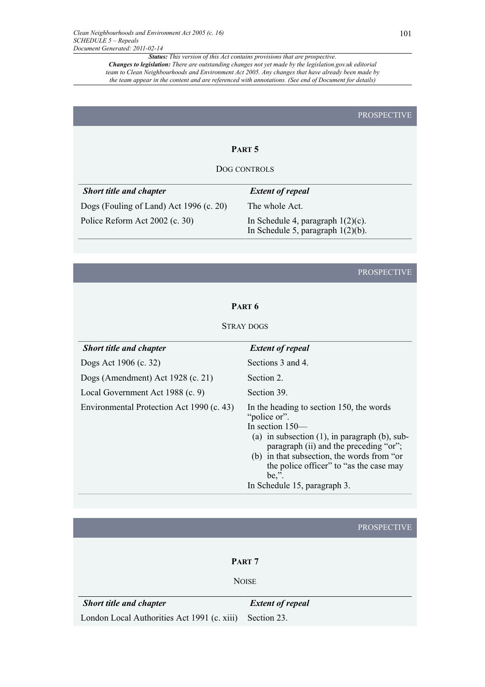# PROSPECTIVE

# **PART 5**

#### DOG CONTROLS

| <b>Short title and chapter</b>          |
|-----------------------------------------|
| Dogs (Fouling of Land) Act 1996 (c. 20) |
| Police Reform Act 2002 (c. 30)          |

# *Extent of repeal* The whole Act.

In Schedule 4, paragraph  $1(2)(c)$ . In Schedule 5, paragraph  $1(2)(b)$ .

# PROSPECTIVE

### **PART 6**

### STRAY DOGS

| <b>Extent of repeal</b>                                                                                                                                                                                                                                                                                          |
|------------------------------------------------------------------------------------------------------------------------------------------------------------------------------------------------------------------------------------------------------------------------------------------------------------------|
| Sections 3 and 4.                                                                                                                                                                                                                                                                                                |
| Section 2.                                                                                                                                                                                                                                                                                                       |
| Section 39.                                                                                                                                                                                                                                                                                                      |
| In the heading to section 150, the words<br>"police or".<br>In section $150-$<br>(a) in subsection $(1)$ , in paragraph $(b)$ , sub-<br>paragraph (ii) and the preceding "or";<br>(b) in that subsection, the words from "or<br>the police officer" to "as the case may<br>be.".<br>In Schedule 15, paragraph 3. |
|                                                                                                                                                                                                                                                                                                                  |

PROSPECTIVE

#### **PART 7**

#### NOISE

*Short title and chapter Extent of repeal* London Local Authorities Act 1991 (c. xiii) Section 23.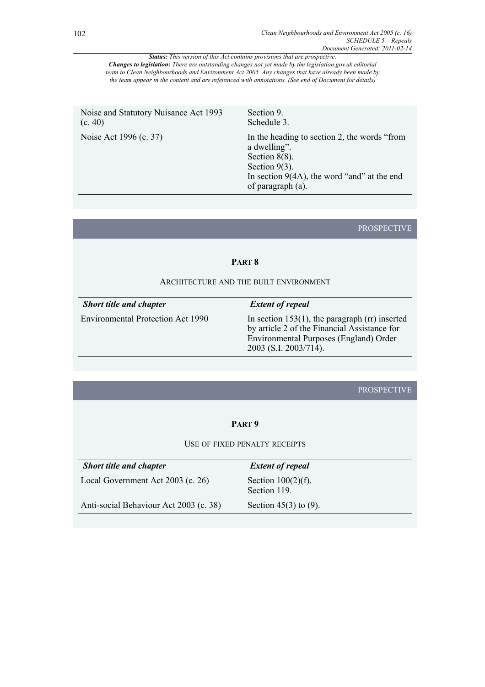Section 9.

Noise and Statutory Nuisance Act 1993 (c. 40)

Schedule 3. Noise Act 1996 (c. 37) In the heading to section 2, the words "from a dwelling". Section  $8(8)$ . Section 9(3). In section  $9(4A)$ , the word "and" at the end of paragraph (a).

PROSPECTIVE

# **PART 8**

#### ARCHITECTURE AND THE BUILT ENVIRONMENT

*Short title and chapter Extent of repeal*

Environmental Protection Act 1990 In section 153(1), the paragraph (rr) inserted by article 2 of the Financial Assistance for Environmental Purposes (England) Order 2003 (S.I. 2003/714).

#### PROSPECTIVE

#### **PART 9**

USE OF FIXED PENALTY RECEIPTS

| <b>Short title and chapter</b>         | <b>Extent of repeal</b>               |
|----------------------------------------|---------------------------------------|
| Local Government Act 2003 (c. 26)      | Section $100(2)(f)$ .<br>Section 119. |
| Anti-social Behaviour Act 2003 (c. 38) | Section $45(3)$ to $(9)$ .            |
|                                        |                                       |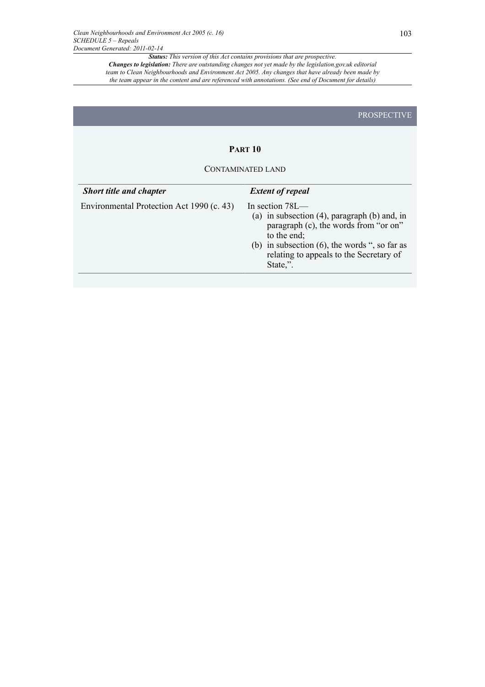# PROSPECTIVE

# **PART 10**

#### CONTAMINATED LAND

| Environmental Protection Act 1990 (c. 43) | In section 78L—                                                                                                                                                                                                      |
|-------------------------------------------|----------------------------------------------------------------------------------------------------------------------------------------------------------------------------------------------------------------------|
|                                           | (a) in subsection $(4)$ , paragraph $(b)$ and, in<br>paragraph (c), the words from "or on"<br>to the end;<br>(b) in subsection $(6)$ , the words ", so far as<br>relating to appeals to the Secretary of<br>State,". |